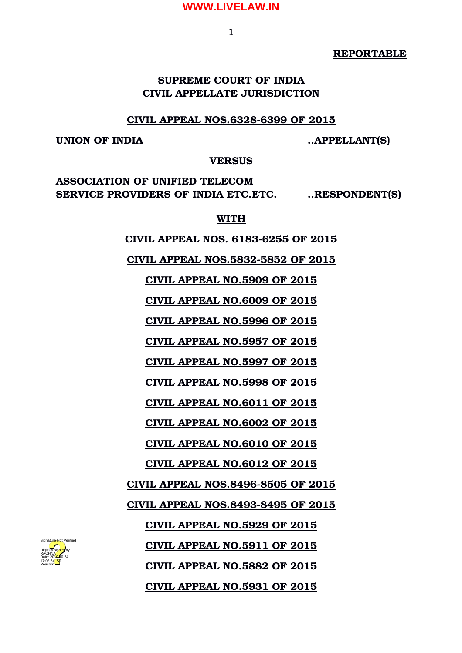1

**REPORTABLE**

# **SUPREME COURT OF INDIA CIVIL APPELLATE JURISDICTION**

## **CIVIL APPEAL NOS.6328-6399 OF 2015**

**UNION OF INDIA ..APPELLANT(S)**

**VERSUS**

**ASSOCIATION OF UNIFIED TELECOM SERVICE PROVIDERS OF INDIA ETC.ETC. ..RESPONDENT(S)**

**WITH**

 **CIVIL APPEAL NOS. 61836255 OF 2015**

 **CIVIL APPEAL NOS.58325852 OF 2015**

 **CIVIL APPEAL NO.5909 OF 2015**

 **CIVIL APPEAL NO.6009 OF 2015**

 **CIVIL APPEAL NO.5996 OF 2015**

 **CIVIL APPEAL NO.5957 OF 2015**

 **CIVIL APPEAL NO.5997 OF 2015**

 **CIVIL APPEAL NO.5998 OF 2015**

 **CIVIL APPEAL NO.6011 OF 2015**

 **CIVIL APPEAL NO.6002 OF 2015**

 **CIVIL APPEAL NO.6010 OF 2015**

 **CIVIL APPEAL NO.6012 OF 2015**

 **CIVIL APPEAL NOS.84968505 OF 2015**

 **CIVIL APPEAL NOS.84938495 OF 2015**

 **CIVIL APPEAL NO.5929 OF 2015**

 **CIVIL APPEAL NO.5911 OF 2015**

 **CIVIL APPEAL NO.5882 OF 2015**

 **CIVIL APPEAL NO.5931 OF 2015**

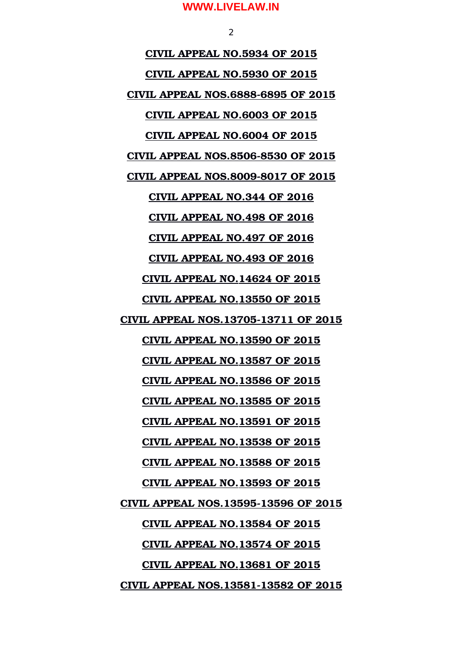$\overline{2}$ 

 **CIVIL APPEAL NO.5934 OF 2015 CIVIL APPEAL NO.5930 OF 2015 CIVIL APPEAL NOS.68886895 OF 2015 CIVIL APPEAL NO.6003 OF 2015 CIVIL APPEAL NO.6004 OF 2015 CIVIL APPEAL NOS.85068530 OF 2015 CIVIL APPEAL NOS.80098017 OF 2015 CIVIL APPEAL NO.344 OF 2016 CIVIL APPEAL NO.498 OF 2016 CIVIL APPEAL NO.497 OF 2016 CIVIL APPEAL NO.493 OF 2016 CIVIL APPEAL NO.14624 OF 2015 CIVIL APPEAL NO.13550 OF 2015 CIVIL APPEAL NOS.1370513711 OF 2015 CIVIL APPEAL NO.13590 OF 2015 CIVIL APPEAL NO.13587 OF 2015 CIVIL APPEAL NO.13586 OF 2015 CIVIL APPEAL NO.13585 OF 2015 CIVIL APPEAL NO.13591 OF 2015 CIVIL APPEAL NO.13538 OF 2015 CIVIL APPEAL NO.13588 OF 2015 CIVIL APPEAL NO.13593 OF 2015 CIVIL APPEAL NOS.1359513596 OF 2015 CIVIL APPEAL NO.13584 OF 2015 CIVIL APPEAL NO.13574 OF 2015 CIVIL APPEAL NO.13681 OF 2015 CIVIL APPEAL NOS.1358113582 OF 2015**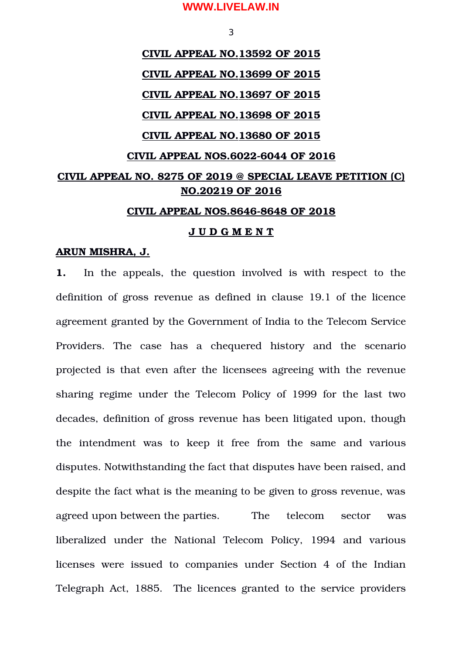3

# **CIVIL APPEAL NO.13592 OF 2015 CIVIL APPEAL NO.13699 OF 2015 CIVIL APPEAL NO.13697 OF 2015 CIVIL APPEAL NO.13698 OF 2015 CIVIL APPEAL NO.13680 OF 2015 CIVIL APPEAL NOS.60226044 OF 2016 CIVIL APPEAL NO. 8275 OF 2019 @ SPECIAL LEAVE PETITION (C) NO.20219 OF 2016 CIVIL APPEAL NOS.86468648 OF 2018**

## **J U D G M E N T**

#### **ARUN MISHRA, J.**

**1.** In the appeals, the question involved is with respect to the definition of gross revenue as defined in clause 19.1 of the licence agreement granted by the Government of India to the Telecom Service Providers. The case has a chequered history and the scenario projected is that even after the licensees agreeing with the revenue sharing regime under the Telecom Policy of 1999 for the last two decades, definition of gross revenue has been litigated upon, though the intendment was to keep it free from the same and various disputes. Notwithstanding the fact that disputes have been raised, and despite the fact what is the meaning to be given to gross revenue, was agreed upon between the parties. The telecom sector was liberalized under the National Telecom Policy, 1994 and various licenses were issued to companies under Section 4 of the Indian Telegraph Act, 1885. The licences granted to the service providers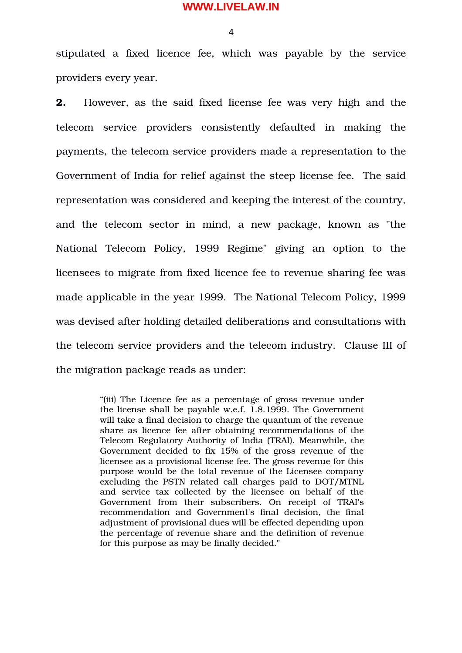$\Delta$ 

stipulated a fixed licence fee, which was payable by the service providers every year.

**2.** However, as the said fixed license fee was very high and the telecom service providers consistently defaulted in making the payments, the telecom service providers made a representation to the Government of India for relief against the steep license fee. The said representation was considered and keeping the interest of the country, and the telecom sector in mind, a new package, known as "the National Telecom Policy, 1999 Regime" giving an option to the licensees to migrate from fixed licence fee to revenue sharing fee was made applicable in the year 1999. The National Telecom Policy, 1999 was devised after holding detailed deliberations and consultations with the telecom service providers and the telecom industry. Clause III of the migration package reads as under:

> "(iii) The Licence fee as a percentage of gross revenue under the license shall be payable w.e.f. 1.8.1999. The Government will take a final decision to charge the quantum of the revenue share as licence fee after obtaining recommendations of the Telecom Regulatory Authority of India (TRAI). Meanwhile, the Government decided to fix 15% of the gross revenue of the licensee as a provisional license fee. The gross revenue for this purpose would be the total revenue of the Licensee company excluding the PSTN related call charges paid to DOT/MTNL and service tax collected by the licensee on behalf of the Government from their subscribers. On receipt of TRAI's recommendation and Government's final decision, the final adjustment of provisional dues will be effected depending upon the percentage of revenue share and the definition of revenue for this purpose as may be finally decided."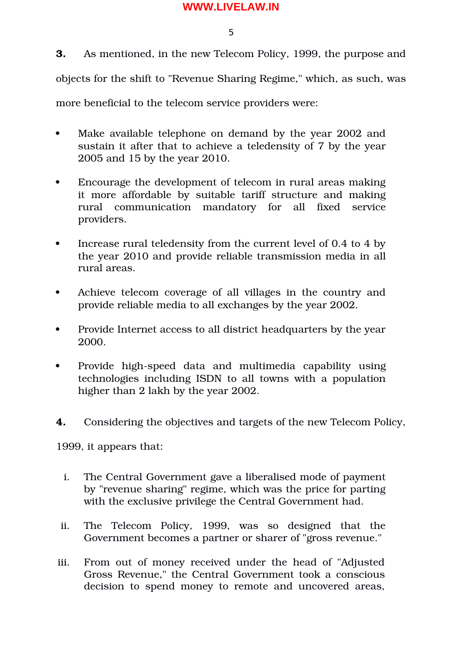5

**3.** As mentioned, in the new Telecom Policy, 1999, the purpose and objects for the shift to "Revenue Sharing Regime," which, as such, was more beneficial to the telecom service providers were:

- Make available telephone on demand by the year 2002 and sustain it after that to achieve a teledensity of 7 by the year 2005 and 15 by the year 2010.
- Encourage the development of telecom in rural areas making it more affordable by suitable tariff structure and making rural communication mandatory for all fixed service providers.
- Increase rural teledensity from the current level of 0.4 to 4 by the year 2010 and provide reliable transmission media in all rural areas.
- Achieve telecom coverage of all villages in the country and provide reliable media to all exchanges by the year 2002.
- Provide Internet access to all district headquarters by the year 2000.
- Provide high-speed data and multimedia capability using technologies including ISDN to all towns with a population higher than 2 lakh by the year 2002.
- **4.** Considering the objectives and targets of the new Telecom Policy,

1999, it appears that:

- i. The Central Government gave a liberalised mode of payment by "revenue sharing" regime, which was the price for parting with the exclusive privilege the Central Government had.
- ii. The Telecom Policy, 1999, was so designed that the Government becomes a partner or sharer of "gross revenue."
- iii. From out of money received under the head of "Adjusted Gross Revenue," the Central Government took a conscious decision to spend money to remote and uncovered areas,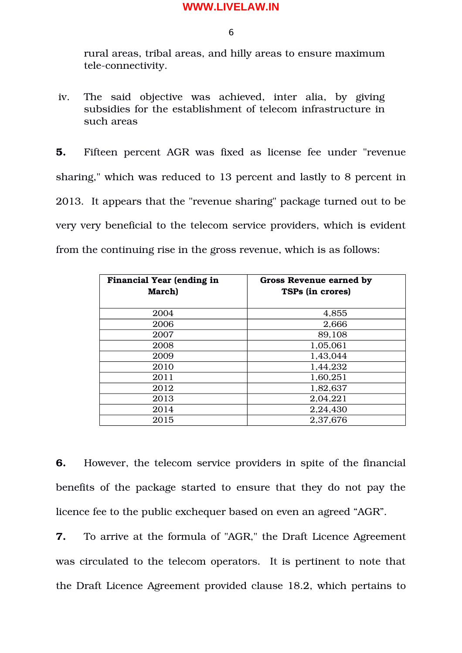6

rural areas, tribal areas, and hilly areas to ensure maximum tele-connectivity.

iv. The said objective was achieved, inter alia, by giving subsidies for the establishment of telecom infrastructure in such areas

**5.** Fifteen percent AGR was fixed as license fee under "revenue sharing," which was reduced to 13 percent and lastly to 8 percent in 2013. It appears that the "revenue sharing" package turned out to be very very beneficial to the telecom service providers, which is evident from the continuing rise in the gross revenue, which is as follows:

| <b>Financial Year (ending in</b><br>March) | <b>Gross Revenue earned by</b><br><b>TSPs (in crores)</b> |
|--------------------------------------------|-----------------------------------------------------------|
| 2004                                       | 4,855                                                     |
| 2006                                       | 2,666                                                     |
| 2007                                       | 89,108                                                    |
| 2008                                       | 1,05,061                                                  |
| 2009                                       | 1,43,044                                                  |
| 2010                                       | 1,44,232                                                  |
| 2011                                       | 1,60,251                                                  |
| 2012                                       | 1,82,637                                                  |
| 2013                                       | 2,04,221                                                  |
| 2014                                       | 2,24,430                                                  |
| 2015                                       | 2,37,676                                                  |

**6.** However, the telecom service providers in spite of the financial benefits of the package started to ensure that they do not pay the licence fee to the public exchequer based on even an agreed "AGR".

**7.** To arrive at the formula of "AGR," the Draft Licence Agreement was circulated to the telecom operators. It is pertinent to note that the Draft Licence Agreement provided clause 18.2, which pertains to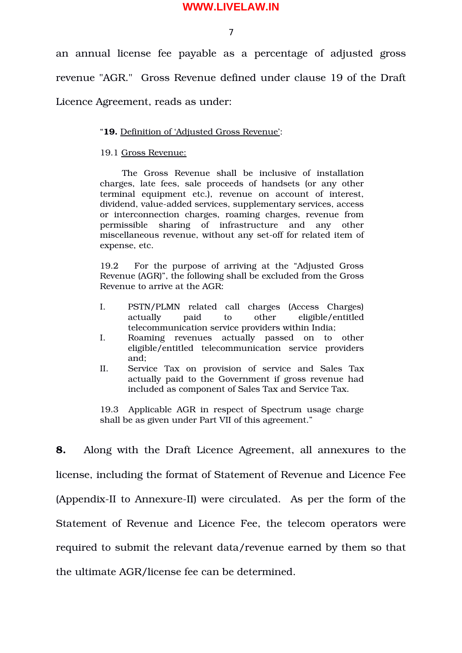7

an annual license fee payable as a percentage of adjusted gross revenue "AGR." Gross Revenue defined under clause 19 of the Draft Licence Agreement, reads as under:

#### "**19.** Definition of 'Adjusted Gross Revenue':

#### 19.1 Gross Revenue:

The Gross Revenue shall be inclusive of installation charges, late fees, sale proceeds of handsets (or any other terminal equipment etc.), revenue on account of interest, dividend, value-added services, supplementary services, access or interconnection charges, roaming charges, revenue from permissible sharing of infrastructure and any other miscellaneous revenue, without any set-off for related item of expense, etc.

19.2 For the purpose of arriving at the "Adjusted Gross Revenue (AGR)", the following shall be excluded from the Gross Revenue to arrive at the AGR:

- I. PSTN/PLMN related call charges (Access Charges) actually paid to other eligible/entitled telecommunication service providers within India;
- I. Roaming revenues actually passed on to other eligible/entitled telecommunication service providers and;
- II. Service Tax on provision of service and Sales Tax actually paid to the Government if gross revenue had included as component of Sales Tax and Service Tax.

19.3 Applicable AGR in respect of Spectrum usage charge shall be as given under Part VII of this agreement."

**8.** Along with the Draft Licence Agreement, all annexures to the license, including the format of Statement of Revenue and Licence Fee (Appendix-II to Annexure-II) were circulated. As per the form of the Statement of Revenue and Licence Fee, the telecom operators were required to submit the relevant data/revenue earned by them so that the ultimate AGR/license fee can be determined.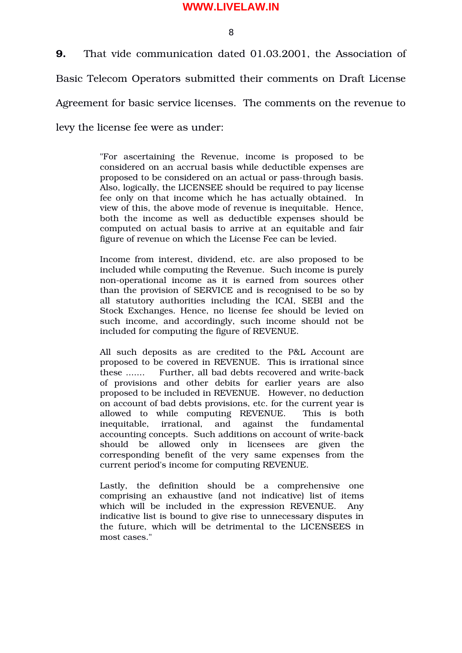8

**9.** That vide communication dated 01.03.2001, the Association of Basic Telecom Operators submitted their comments on Draft License Agreement for basic service licenses. The comments on the revenue to levy the license fee were as under:

> "For ascertaining the Revenue, income is proposed to be considered on an accrual basis while deductible expenses are proposed to be considered on an actual or pass-through basis. Also, logically, the LICENSEE should be required to pay license fee only on that income which he has actually obtained. In view of this, the above mode of revenue is inequitable. Hence, both the income as well as deductible expenses should be computed on actual basis to arrive at an equitable and fair figure of revenue on which the License Fee can be levied.

> Income from interest, dividend, etc. are also proposed to be included while computing the Revenue. Such income is purely non-operational income as it is earned from sources other than the provision of SERVICE and is recognised to be so by all statutory authorities including the ICAI, SEBI and the Stock Exchanges. Hence, no license fee should be levied on such income, and accordingly, such income should not be included for computing the figure of REVENUE.

> All such deposits as are credited to the P&L Account are proposed to be covered in REVENUE. This is irrational since these ....... Further, all bad debts recovered and write-back of provisions and other debits for earlier years are also proposed to be included in REVENUE. However, no deduction on account of bad debts provisions, etc. for the current year is allowed to while computing REVENUE. This is both inequitable, irrational, and against the fundamental accounting concepts. Such additions on account of write-back should be allowed only in licensees are given the corresponding benefit of the very same expenses from the current period's income for computing REVENUE.

> Lastly, the definition should be a comprehensive one comprising an exhaustive (and not indicative) list of items which will be included in the expression REVENUE. Any indicative list is bound to give rise to unnecessary disputes in the future, which will be detrimental to the LICENSEES in most cases."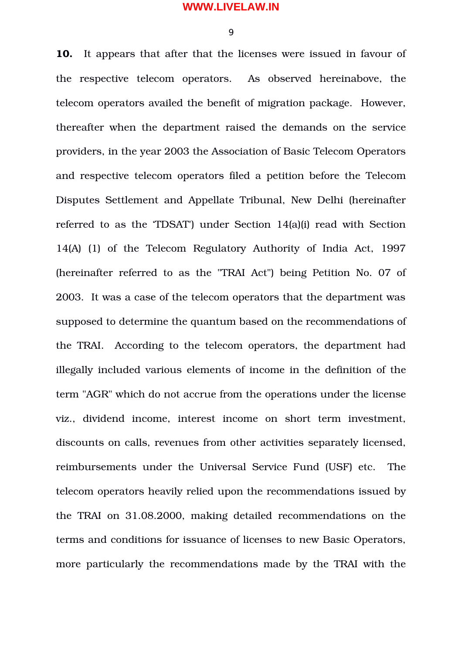$\mathbf Q$ 

**10.** It appears that after that the licenses were issued in favour of the respective telecom operators. As observed hereinabove, the telecom operators availed the benefit of migration package. However, thereafter when the department raised the demands on the service providers, in the year 2003 the Association of Basic Telecom Operators and respective telecom operators filed a petition before the Telecom Disputes Settlement and Appellate Tribunal, New Delhi (hereinafter referred to as the 'TDSAT') under Section 14(a)(i) read with Section 14(A) (1) of the Telecom Regulatory Authority of India Act, 1997 (hereinafter referred to as the "TRAI Act") being Petition No. 07 of 2003. It was a case of the telecom operators that the department was supposed to determine the quantum based on the recommendations of the TRAI. According to the telecom operators, the department had illegally included various elements of income in the definition of the term "AGR" which do not accrue from the operations under the license viz., dividend income, interest income on short term investment, discounts on calls, revenues from other activities separately licensed, reimbursements under the Universal Service Fund (USF) etc. The telecom operators heavily relied upon the recommendations issued by the TRAI on 31.08.2000, making detailed recommendations on the terms and conditions for issuance of licenses to new Basic Operators, more particularly the recommendations made by the TRAI with the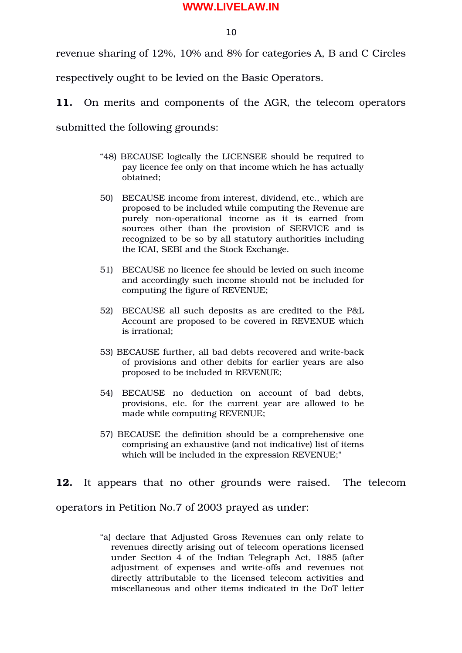10

revenue sharing of 12%, 10% and 8% for categories A, B and C Circles

respectively ought to be levied on the Basic Operators.

**11.** On merits and components of the AGR, the telecom operators

submitted the following grounds:

- "48) BECAUSE logically the LICENSEE should be required to pay licence fee only on that income which he has actually obtained;
- 50) BECAUSE income from interest, dividend, etc., which are proposed to be included while computing the Revenue are purely non-operational income as it is earned from sources other than the provision of SERVICE and is recognized to be so by all statutory authorities including the ICAI, SEBI and the Stock Exchange.
- 51) BECAUSE no licence fee should be levied on such income and accordingly such income should not be included for computing the figure of REVENUE;
- 52) BECAUSE all such deposits as are credited to the P&L Account are proposed to be covered in REVENUE which is irrational;
- 53) BECAUSE further, all bad debts recovered and write-back of provisions and other debits for earlier years are also proposed to be included in REVENUE;
- 54) BECAUSE no deduction on account of bad debts, provisions, etc. for the current year are allowed to be made while computing REVENUE;
- 57) BECAUSE the definition should be a comprehensive one comprising an exhaustive (and not indicative) list of items which will be included in the expression REVENUE;"

**12.** It appears that no other grounds were raised. The telecom operators in Petition No.7 of 2003 prayed as under:

> "a) declare that Adjusted Gross Revenues can only relate to revenues directly arising out of telecom operations licensed under Section 4 of the Indian Telegraph Act, 1885 (after adjustment of expenses and write-offs and revenues not directly attributable to the licensed telecom activities and miscellaneous and other items indicated in the DoT letter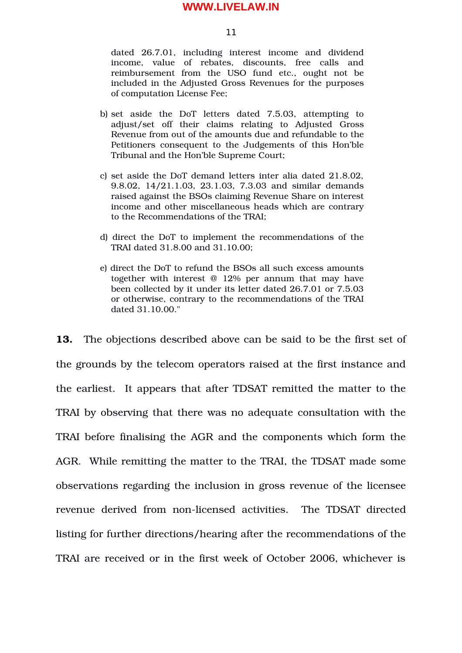11

dated 26.7.01, including interest income and dividend income, value of rebates, discounts, free calls and reimbursement from the USO fund etc., ought not be included in the Adjusted Gross Revenues for the purposes of computation License Fee;

- b) set aside the DoT letters dated 7.5.03, attempting to adjust/set off their claims relating to Adjusted Gross Revenue from out of the amounts due and refundable to the Petitioners consequent to the Judgements of this Hon'ble Tribunal and the Hon'ble Supreme Court;
- c) set aside the DoT demand letters inter alia dated 21.8.02, 9.8.02, 14/21.1.03, 23.1.03, 7.3.03 and similar demands raised against the BSOs claiming Revenue Share on interest income and other miscellaneous heads which are contrary to the Recommendations of the TRAI;
- d) direct the DoT to implement the recommendations of the TRAI dated 31.8.00 and 31.10.00;
- e) direct the DoT to refund the BSOs all such excess amounts together with interest @ 12% per annum that may have been collected by it under its letter dated 26.7.01 or 7.5.03 or otherwise, contrary to the recommendations of the TRAI dated 31.10.00."

**13.** The objections described above can be said to be the first set of the grounds by the telecom operators raised at the first instance and the earliest. It appears that after TDSAT remitted the matter to the TRAI by observing that there was no adequate consultation with the TRAI before finalising the AGR and the components which form the AGR. While remitting the matter to the TRAI, the TDSAT made some observations regarding the inclusion in gross revenue of the licensee revenue derived from non-licensed activities. The TDSAT directed listing for further directions/hearing after the recommendations of the TRAI are received or in the first week of October 2006, whichever is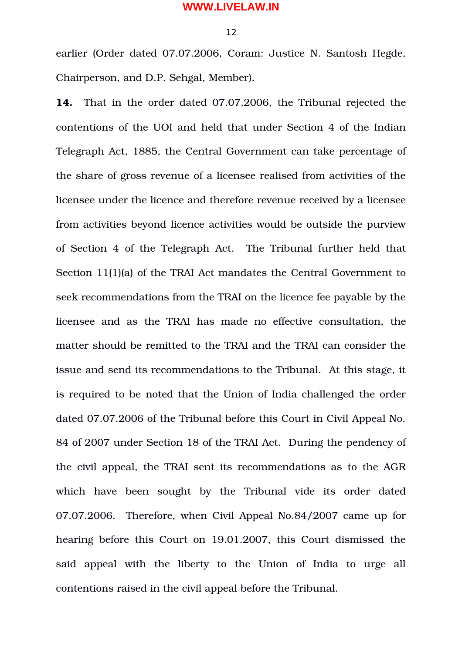12

earlier (Order dated 07.07.2006, Coram: Justice N. Santosh Hegde, Chairperson, and D.P. Sehgal, Member).

**14.** That in the order dated 07.07.2006, the Tribunal rejected the contentions of the UOI and held that under Section 4 of the Indian Telegraph Act, 1885, the Central Government can take percentage of the share of gross revenue of a licensee realised from activities of the licensee under the licence and therefore revenue received by a licensee from activities beyond licence activities would be outside the purview of Section 4 of the Telegraph Act. The Tribunal further held that Section 11(1)(a) of the TRAI Act mandates the Central Government to seek recommendations from the TRAI on the licence fee payable by the licensee and as the TRAI has made no effective consultation, the matter should be remitted to the TRAI and the TRAI can consider the issue and send its recommendations to the Tribunal. At this stage, it is required to be noted that the Union of India challenged the order dated 07.07.2006 of the Tribunal before this Court in Civil Appeal No. 84 of 2007 under Section 18 of the TRAI Act. During the pendency of the civil appeal, the TRAI sent its recommendations as to the AGR which have been sought by the Tribunal vide its order dated 07.07.2006. Therefore, when Civil Appeal No.84/2007 came up for hearing before this Court on 19.01.2007, this Court dismissed the said appeal with the liberty to the Union of India to urge all contentions raised in the civil appeal before the Tribunal.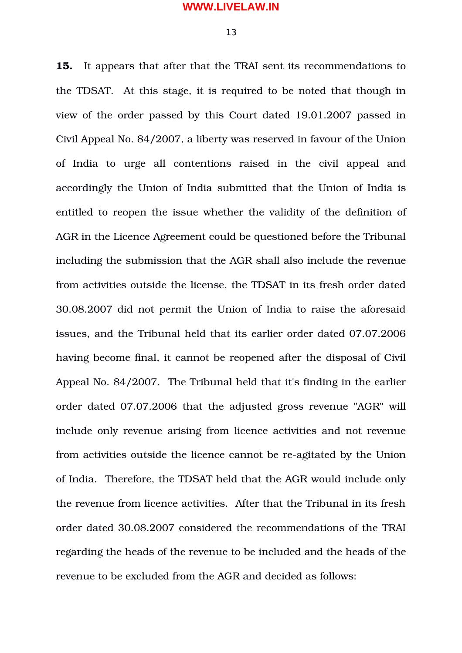**15.** It appears that after that the TRAI sent its recommendations to the TDSAT. At this stage, it is required to be noted that though in view of the order passed by this Court dated 19.01.2007 passed in Civil Appeal No. 84/2007, a liberty was reserved in favour of the Union of India to urge all contentions raised in the civil appeal and accordingly the Union of India submitted that the Union of India is entitled to reopen the issue whether the validity of the definition of AGR in the Licence Agreement could be questioned before the Tribunal including the submission that the AGR shall also include the revenue from activities outside the license, the TDSAT in its fresh order dated 30.08.2007 did not permit the Union of India to raise the aforesaid issues, and the Tribunal held that its earlier order dated 07.07.2006 having become final, it cannot be reopened after the disposal of Civil Appeal No. 84/2007. The Tribunal held that it's finding in the earlier order dated 07.07.2006 that the adjusted gross revenue "AGR" will include only revenue arising from licence activities and not revenue from activities outside the licence cannot be re-agitated by the Union of India. Therefore, the TDSAT held that the AGR would include only the revenue from licence activities. After that the Tribunal in its fresh order dated 30.08.2007 considered the recommendations of the TRAI regarding the heads of the revenue to be included and the heads of the revenue to be excluded from the AGR and decided as follows: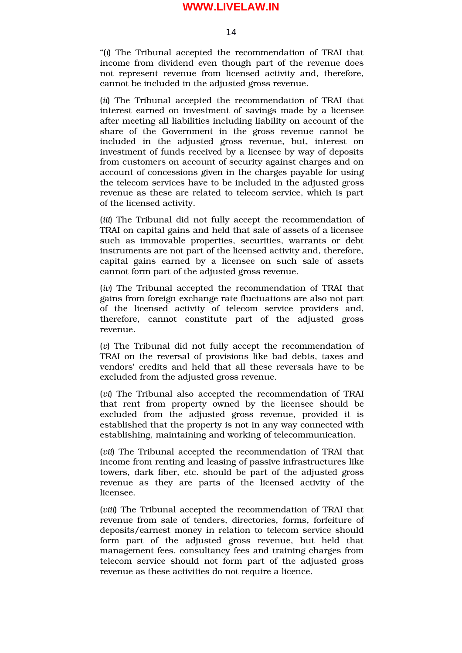14

"(*i*) The Tribunal accepted the recommendation of TRAI that income from dividend even though part of the revenue does not represent revenue from licensed activity and, therefore, cannot be included in the adjusted gross revenue.

(*ii*) The Tribunal accepted the recommendation of TRAI that interest earned on investment of savings made by a licensee after meeting all liabilities including liability on account of the share of the Government in the gross revenue cannot be included in the adjusted gross revenue, but, interest on investment of funds received by a licensee by way of deposits from customers on account of security against charges and on account of concessions given in the charges payable for using the telecom services have to be included in the adjusted gross revenue as these are related to telecom service, which is part of the licensed activity.

(*iii*) The Tribunal did not fully accept the recommendation of TRAI on capital gains and held that sale of assets of a licensee such as immovable properties, securities, warrants or debt instruments are not part of the licensed activity and, therefore, capital gains earned by a licensee on such sale of assets cannot form part of the adjusted gross revenue.

(*iv*) The Tribunal accepted the recommendation of TRAI that gains from foreign exchange rate fluctuations are also not part of the licensed activity of telecom service providers and, therefore, cannot constitute part of the adjusted gross revenue.

(*v*) The Tribunal did not fully accept the recommendation of TRAI on the reversal of provisions like bad debts, taxes and vendors' credits and held that all these reversals have to be excluded from the adjusted gross revenue.

(*vi*) The Tribunal also accepted the recommendation of TRAI that rent from property owned by the licensee should be excluded from the adjusted gross revenue, provided it is established that the property is not in any way connected with establishing, maintaining and working of telecommunication.

(*vii*) The Tribunal accepted the recommendation of TRAI that income from renting and leasing of passive infrastructures like towers, dark fiber, etc. should be part of the adjusted gross revenue as they are parts of the licensed activity of the licensee.

(*viii*) The Tribunal accepted the recommendation of TRAI that revenue from sale of tenders, directories, forms, forfeiture of deposits/earnest money in relation to telecom service should form part of the adjusted gross revenue, but held that management fees, consultancy fees and training charges from telecom service should not form part of the adjusted gross revenue as these activities do not require a licence.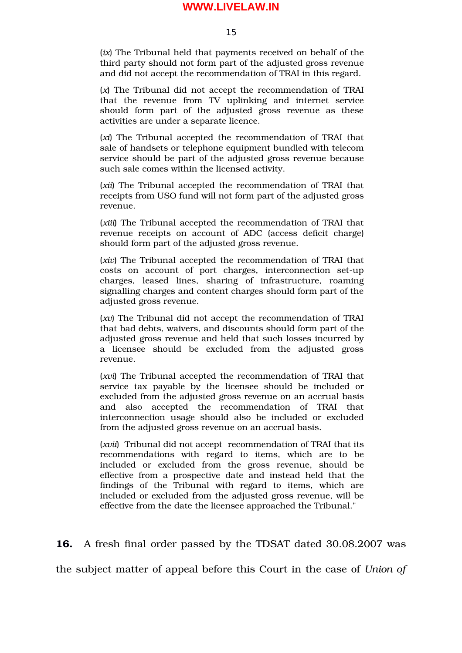15

(*ix*) The Tribunal held that payments received on behalf of the third party should not form part of the adjusted gross revenue and did not accept the recommendation of TRAI in this regard.

(*x*) The Tribunal did not accept the recommendation of TRAI that the revenue from TV uplinking and internet service should form part of the adjusted gross revenue as these activities are under a separate licence.

(*xi*) The Tribunal accepted the recommendation of TRAI that sale of handsets or telephone equipment bundled with telecom service should be part of the adjusted gross revenue because such sale comes within the licensed activity.

(*xii*) The Tribunal accepted the recommendation of TRAI that receipts from USO fund will not form part of the adjusted gross revenue.

(*xiii*) The Tribunal accepted the recommendation of TRAI that revenue receipts on account of ADC (access deficit charge) should form part of the adjusted gross revenue.

(*xiv*) The Tribunal accepted the recommendation of TRAI that costs on account of port charges, interconnection set-up charges, leased lines, sharing of infrastructure, roaming signalling charges and content charges should form part of the adjusted gross revenue.

(*xv*) The Tribunal did not accept the recommendation of TRAI that bad debts, waivers, and discounts should form part of the adjusted gross revenue and held that such losses incurred by a licensee should be excluded from the adjusted gross revenue.

(*xvi*) The Tribunal accepted the recommendation of TRAI that service tax payable by the licensee should be included or excluded from the adjusted gross revenue on an accrual basis and also accepted the recommendation of TRAI that interconnection usage should also be included or excluded from the adjusted gross revenue on an accrual basis.

(*xvii*) Tribunal did not accept recommendation of TRAI that its recommendations with regard to items, which are to be included or excluded from the gross revenue, should be effective from a prospective date and instead held that the findings of the Tribunal with regard to items, which are included or excluded from the adjusted gross revenue, will be effective from the date the licensee approached the Tribunal."

**16.** A fresh final order passed by the TDSAT dated 30.08.2007 was

the subject matter of appeal before this Court in the case of *Union of*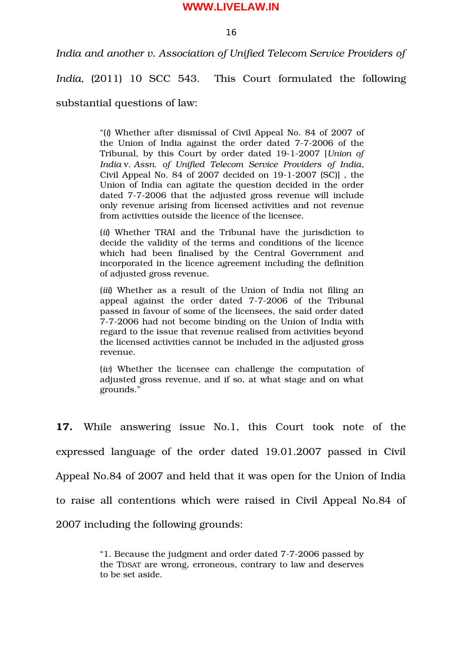16

*India and another v. Association of Unified Telecom Service Providers of*

*India,* (2011) 10 SCC 543. This Court formulated the following

substantial questions of law:

"(*i*) Whether after dismissal of Civil Appeal No. 84 of 2007 of the Union of India against the order dated 7-7-2006 of the Tribunal, by this Court by order dated 1912007 [*Union of India* v. *Assn. of Unified Telecom Service Providers of India*, Civil Appeal No. 84 of  $2007$  decided on  $19-1-2007$  (SC)], the Union of India can agitate the question decided in the order dated 7-7-2006 that the adjusted gross revenue will include only revenue arising from licensed activities and not revenue from activities outside the licence of the licensee.

(*ii*) Whether TRAI and the Tribunal have the jurisdiction to decide the validity of the terms and conditions of the licence which had been finalised by the Central Government and incorporated in the licence agreement including the definition of adjusted gross revenue.

(*iii*) Whether as a result of the Union of India not filing an appeal against the order dated 7-7-2006 of the Tribunal passed in favour of some of the licensees, the said order dated 772006 had not become binding on the Union of India with regard to the issue that revenue realised from activities beyond the licensed activities cannot be included in the adjusted gross revenue.

(*iv*) Whether the licensee can challenge the computation of adjusted gross revenue, and if so, at what stage and on what grounds."

**17.** While answering issue No.1, this Court took note of the expressed language of the order dated 19.01.2007 passed in Civil Appeal No.84 of 2007 and held that it was open for the Union of India to raise all contentions which were raised in Civil Appeal No.84 of 2007 including the following grounds:

> "1. Because the judgment and order dated 772006 passed by the TDSAT are wrong, erroneous, contrary to law and deserves to be set aside.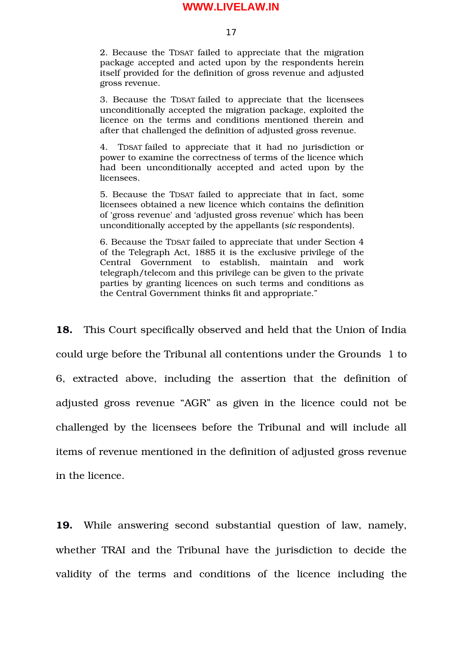17

2. Because the TDSAT failed to appreciate that the migration package accepted and acted upon by the respondents herein itself provided for the definition of gross revenue and adjusted gross revenue.

3. Because the TDSAT failed to appreciate that the licensees unconditionally accepted the migration package, exploited the licence on the terms and conditions mentioned therein and after that challenged the definition of adjusted gross revenue.

4. TDSAT failed to appreciate that it had no jurisdiction or power to examine the correctness of terms of the licence which had been unconditionally accepted and acted upon by the licensees.

5. Because the TDSAT failed to appreciate that in fact, some licensees obtained a new licence which contains the definition of 'gross revenue' and 'adjusted gross revenue' which has been unconditionally accepted by the appellants (*sic* respondents).

6. Because the TDSAT failed to appreciate that under Section 4 of the Telegraph Act, 1885 it is the exclusive privilege of the Central Government to establish, maintain and work telegraph/telecom and this privilege can be given to the private parties by granting licences on such terms and conditions as the Central Government thinks fit and appropriate."

**18.** This Court specifically observed and held that the Union of India could urge before the Tribunal all contentions under the Grounds 1 to 6, extracted above, including the assertion that the definition of adjusted gross revenue "AGR" as given in the licence could not be challenged by the licensees before the Tribunal and will include all items of revenue mentioned in the definition of adjusted gross revenue in the licence.

**19.** While answering second substantial question of law, namely, whether TRAI and the Tribunal have the jurisdiction to decide the validity of the terms and conditions of the licence including the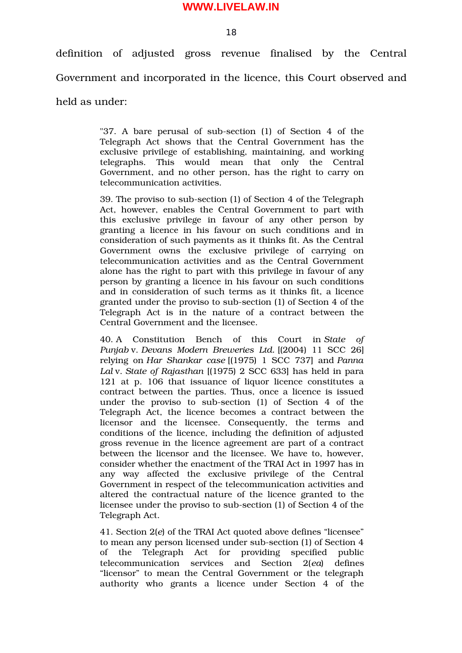definition of adjusted gross revenue finalised by the Central Government and incorporated in the licence, this Court observed and held as under:

> "37. A bare perusal of sub-section (1) of Section 4 of the Telegraph Act shows that the Central Government has the exclusive privilege of establishing, maintaining, and working telegraphs. This would mean that only the Central Government, and no other person, has the right to carry on telecommunication activities.

> 39. The proviso to sub-section (1) of Section 4 of the Telegraph Act, however, enables the Central Government to part with this exclusive privilege in favour of any other person by granting a licence in his favour on such conditions and in consideration of such payments as it thinks fit. As the Central Government owns the exclusive privilege of carrying on telecommunication activities and as the Central Government alone has the right to part with this privilege in favour of any person by granting a licence in his favour on such conditions and in consideration of such terms as it thinks fit, a licence granted under the proviso to subsection (1) of Section 4 of the Telegraph Act is in the nature of a contract between the Central Government and the licensee.

> 40. A Constitution Bench of this Court in *State of Punjab* v. *Devans Modern Breweries Ltd.* [(2004) 11 SCC 26] relying on *Har Shankar case* [(1975) 1 SCC 737] and *Panna Lal* v. *State of Rajasthan* [(1975) 2 SCC 633] has held in para 121 at p. 106 that issuance of liquor licence constitutes a contract between the parties. Thus, once a licence is issued under the proviso to sub-section (1) of Section 4 of the Telegraph Act, the licence becomes a contract between the licensor and the licensee. Consequently, the terms and conditions of the licence, including the definition of adjusted gross revenue in the licence agreement are part of a contract between the licensor and the licensee. We have to, however, consider whether the enactment of the TRAI Act in 1997 has in any way affected the exclusive privilege of the Central Government in respect of the telecommunication activities and altered the contractual nature of the licence granted to the licensee under the proviso to sub-section (1) of Section 4 of the Telegraph Act.

> 41. Section 2(*e*) of the TRAI Act quoted above defines "licensee" to mean any person licensed under sub-section (1) of Section 4 of the Telegraph Act for providing specified public telecommunication services and Section 2(*ea*) defines "licensor" to mean the Central Government or the telegraph authority who grants a licence under Section 4 of the

18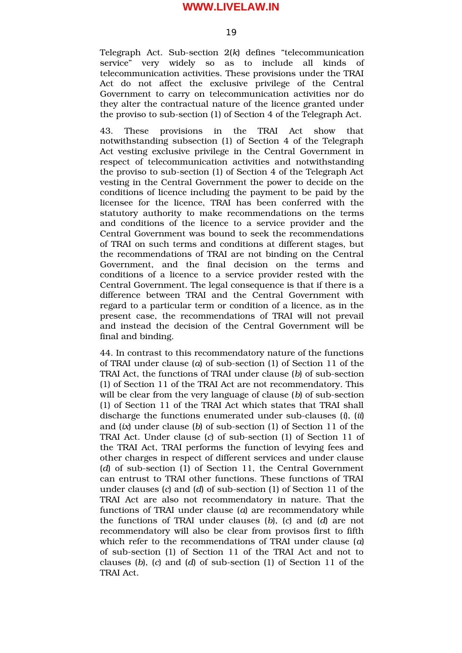Telegraph Act. Sub-section 2(k) defines "telecommunication service" very widely so as to include all kinds of telecommunication activities. These provisions under the TRAI Act do not affect the exclusive privilege of the Central Government to carry on telecommunication activities nor do they alter the contractual nature of the licence granted under the proviso to sub-section (1) of Section 4 of the Telegraph Act.

43. These provisions in the TRAI Act show that notwithstanding subsection (1) of Section 4 of the Telegraph Act vesting exclusive privilege in the Central Government in respect of telecommunication activities and notwithstanding the proviso to subsection (1) of Section 4 of the Telegraph Act vesting in the Central Government the power to decide on the conditions of licence including the payment to be paid by the licensee for the licence, TRAI has been conferred with the statutory authority to make recommendations on the terms and conditions of the licence to a service provider and the Central Government was bound to seek the recommendations of TRAI on such terms and conditions at different stages, but the recommendations of TRAI are not binding on the Central Government, and the final decision on the terms and conditions of a licence to a service provider rested with the Central Government. The legal consequence is that if there is a difference between TRAI and the Central Government with regard to a particular term or condition of a licence, as in the present case, the recommendations of TRAI will not prevail and instead the decision of the Central Government will be final and binding.

44. In contrast to this recommendatory nature of the functions of TRAI under clause (*a*) of subsection (1) of Section 11 of the TRAI Act, the functions of TRAI under clause (*b*) of sub-section (1) of Section 11 of the TRAI Act are not recommendatory. This will be clear from the very language of clause (*b*) of sub-section (1) of Section 11 of the TRAI Act which states that TRAI shall discharge the functions enumerated under sub-clauses (*i*), (*ii*) and (*ix*) under clause (*b*) of sub-section (1) of Section 11 of the TRAI Act. Under clause (*c*) of sub-section (1) of Section 11 of the TRAI Act, TRAI performs the function of levying fees and other charges in respect of different services and under clause (*d*) of sub-section (1) of Section 11, the Central Government can entrust to TRAI other functions. These functions of TRAI under clauses (*c*) and (*d*) of sub-section (1) of Section 11 of the TRAI Act are also not recommendatory in nature. That the functions of TRAI under clause (*a*) are recommendatory while the functions of TRAI under clauses (*b*), (*c*) and (*d*) are not recommendatory will also be clear from provisos first to fifth which refer to the recommendations of TRAI under clause (*a*) of subsection (1) of Section 11 of the TRAI Act and not to clauses (b), (c) and (d) of sub-section (1) of Section 11 of the TRAI Act.

19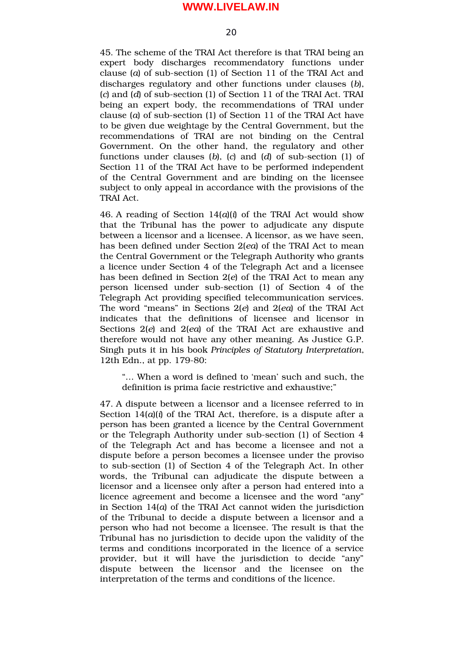45. The scheme of the TRAI Act therefore is that TRAI being an expert body discharges recommendatory functions under clause (*a*) of sub-section (1) of Section 11 of the TRAI Act and discharges regulatory and other functions under clauses (*b*), (*c*) and (*d*) of subsection (1) of Section 11 of the TRAI Act. TRAI being an expert body, the recommendations of TRAI under clause (*a*) of sub-section (1) of Section 11 of the TRAI Act have to be given due weightage by the Central Government, but the recommendations of TRAI are not binding on the Central Government. On the other hand, the regulatory and other functions under clauses (b), (c) and (d) of sub-section (1) of Section 11 of the TRAI Act have to be performed independent of the Central Government and are binding on the licensee subject to only appeal in accordance with the provisions of the TRAI Act.

46. A reading of Section 14(*a*)(*i*) of the TRAI Act would show that the Tribunal has the power to adjudicate any dispute between a licensor and a licensee. A licensor, as we have seen, has been defined under Section 2(*ea*) of the TRAI Act to mean the Central Government or the Telegraph Authority who grants a licence under Section 4 of the Telegraph Act and a licensee has been defined in Section 2(*e*) of the TRAI Act to mean any person licensed under sub-section (1) of Section 4 of the Telegraph Act providing specified telecommunication services. The word "means" in Sections 2(*e*) and 2(*ea*) of the TRAI Act indicates that the definitions of licensee and licensor in Sections 2(*e*) and 2(*ea*) of the TRAI Act are exhaustive and therefore would not have any other meaning. As Justice G.P. Singh puts it in his book *Principles of Statutory Interpretation*, 12th Edn., at pp. 179-80:

"… When a word is defined to 'mean' such and such, the definition is prima facie restrictive and exhaustive;"

47. A dispute between a licensor and a licensee referred to in Section 14(*a*)(*i*) of the TRAI Act, therefore, is a dispute after a person has been granted a licence by the Central Government or the Telegraph Authority under sub-section (1) of Section 4 of the Telegraph Act and has become a licensee and not a dispute before a person becomes a licensee under the proviso to sub-section (1) of Section 4 of the Telegraph Act. In other words, the Tribunal can adjudicate the dispute between a licensor and a licensee only after a person had entered into a licence agreement and become a licensee and the word "any" in Section 14(*a*) of the TRAI Act cannot widen the jurisdiction of the Tribunal to decide a dispute between a licensor and a person who had not become a licensee. The result is that the Tribunal has no jurisdiction to decide upon the validity of the terms and conditions incorporated in the licence of a service provider, but it will have the jurisdiction to decide "any" dispute between the licensor and the licensee on the interpretation of the terms and conditions of the licence.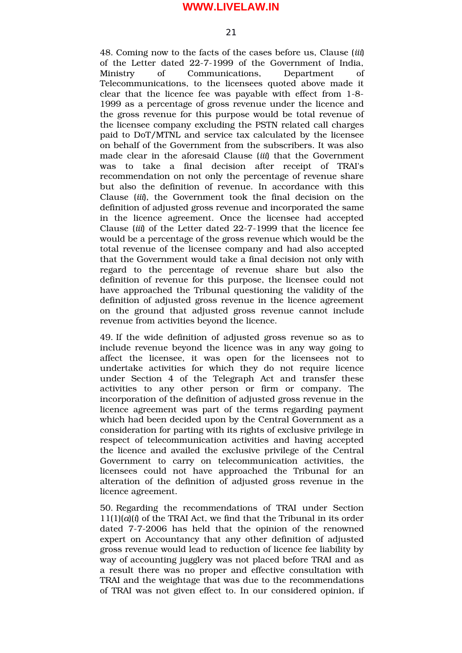21

48. Coming now to the facts of the cases before us, Clause (*iii*) of the Letter dated 22-7-1999 of the Government of India, Ministry of Communications. Department of Telecommunications, to the licensees quoted above made it clear that the licence fee was payable with effect from 1-8-1999 as a percentage of gross revenue under the licence and the gross revenue for this purpose would be total revenue of the licensee company excluding the PSTN related call charges paid to DoT/MTNL and service tax calculated by the licensee on behalf of the Government from the subscribers. It was also made clear in the aforesaid Clause (*iii*) that the Government was to take a final decision after receipt of TRAI's recommendation on not only the percentage of revenue share but also the definition of revenue. In accordance with this Clause (*iii*), the Government took the final decision on the definition of adjusted gross revenue and incorporated the same in the licence agreement. Once the licensee had accepted Clause *(iii)* of the Letter dated 22-7-1999 that the licence fee would be a percentage of the gross revenue which would be the total revenue of the licensee company and had also accepted that the Government would take a final decision not only with regard to the percentage of revenue share but also the definition of revenue for this purpose, the licensee could not have approached the Tribunal questioning the validity of the definition of adjusted gross revenue in the licence agreement on the ground that adjusted gross revenue cannot include revenue from activities beyond the licence.

49. If the wide definition of adjusted gross revenue so as to include revenue beyond the licence was in any way going to affect the licensee, it was open for the licensees not to undertake activities for which they do not require licence under Section 4 of the Telegraph Act and transfer these activities to any other person or firm or company. The incorporation of the definition of adjusted gross revenue in the licence agreement was part of the terms regarding payment which had been decided upon by the Central Government as a consideration for parting with its rights of exclusive privilege in respect of telecommunication activities and having accepted the licence and availed the exclusive privilege of the Central Government to carry on telecommunication activities, the licensees could not have approached the Tribunal for an alteration of the definition of adjusted gross revenue in the licence agreement.

50. Regarding the recommendations of TRAI under Section 11(1)(*a*)(*i*) of the TRAI Act, we find that the Tribunal in its order dated 7-7-2006 has held that the opinion of the renowned expert on Accountancy that any other definition of adjusted gross revenue would lead to reduction of licence fee liability by way of accounting jugglery was not placed before TRAI and as a result there was no proper and effective consultation with TRAI and the weightage that was due to the recommendations of TRAI was not given effect to. In our considered opinion, if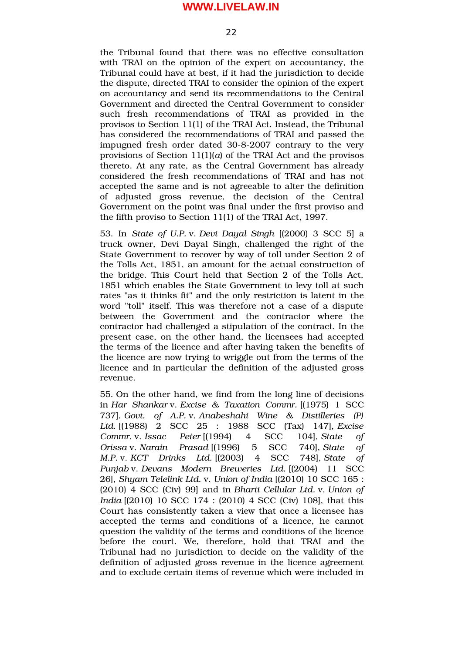the Tribunal found that there was no effective consultation with TRAI on the opinion of the expert on accountancy, the Tribunal could have at best, if it had the jurisdiction to decide the dispute, directed TRAI to consider the opinion of the expert on accountancy and send its recommendations to the Central Government and directed the Central Government to consider such fresh recommendations of TRAI as provided in the provisos to Section 11(1) of the TRAI Act. Instead, the Tribunal has considered the recommendations of TRAI and passed the impugned fresh order dated 30-8-2007 contrary to the very provisions of Section 11(1)(*a*) of the TRAI Act and the provisos thereto. At any rate, as the Central Government has already considered the fresh recommendations of TRAI and has not accepted the same and is not agreeable to alter the definition of adjusted gross revenue, the decision of the Central Government on the point was final under the first proviso and the fifth proviso to Section 11(1) of the TRAI Act, 1997.

53. In *State of U.P.* v. *Devi Dayal Singh* [(2000) 3 SCC 5] a truck owner, Devi Dayal Singh, challenged the right of the State Government to recover by way of toll under Section 2 of the Tolls Act, 1851, an amount for the actual construction of the bridge. This Court held that Section 2 of the Tolls Act, 1851 which enables the State Government to levy toll at such rates "as it thinks fit" and the only restriction is latent in the word "toll" itself. This was therefore not a case of a dispute between the Government and the contractor where the contractor had challenged a stipulation of the contract. In the present case, on the other hand, the licensees had accepted the terms of the licence and after having taken the benefits of the licence are now trying to wriggle out from the terms of the licence and in particular the definition of the adjusted gross revenue.

55. On the other hand, we find from the long line of decisions in *Har Shankar* v. *Excise & Taxation Commr.* [(1975) 1 SCC 737], *Govt. of A.P.* v. *Anabeshahi Wine & Distilleries (P) Ltd.* [(1988) 2 SCC 25 : 1988 SCC (Tax) 147], *Excise Commr.* v. *Issac Peter* [(1994) 4 SCC 104], *State of Orissa* v. *Narain Prasad* [(1996) 5 SCC 740], *State of M.P.* v. *KCT Drinks Ltd.* [(2003) 4 SCC 748], *State of Punjab* v. *Devans Modern Breweries Ltd.* [(2004) 11 SCC 26], *Shyam Telelink Ltd.* v. *Union of India* [(2010) 10 SCC 165 : (2010) 4 SCC (Civ) 99] and in *Bharti Cellular Ltd.* v. *Union of India* [(2010) 10 SCC 174 : (2010) 4 SCC (Civ) 108], that this Court has consistently taken a view that once a licensee has accepted the terms and conditions of a licence, he cannot question the validity of the terms and conditions of the licence before the court. We, therefore, hold that TRAI and the Tribunal had no jurisdiction to decide on the validity of the definition of adjusted gross revenue in the licence agreement and to exclude certain items of revenue which were included in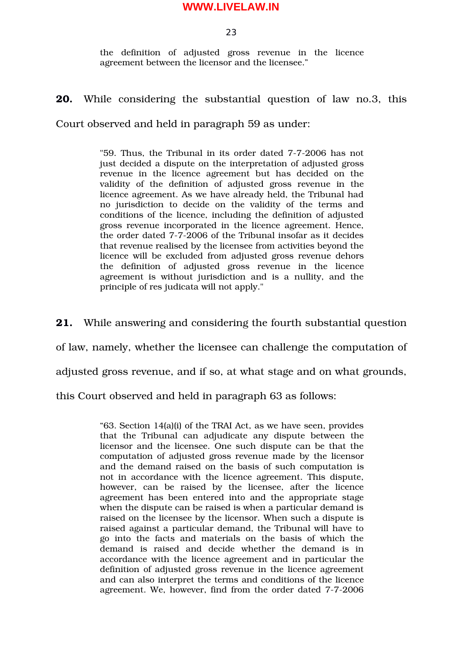23

the definition of adjusted gross revenue in the licence agreement between the licensor and the licensee."

## **20.** While considering the substantial question of law no.3, this

Court observed and held in paragraph 59 as under:

"59. Thus, the Tribunal in its order dated 7-7-2006 has not just decided a dispute on the interpretation of adjusted gross revenue in the licence agreement but has decided on the validity of the definition of adjusted gross revenue in the licence agreement. As we have already held, the Tribunal had no jurisdiction to decide on the validity of the terms and conditions of the licence, including the definition of adjusted gross revenue incorporated in the licence agreement. Hence, the order dated 7-7-2006 of the Tribunal insofar as it decides that revenue realised by the licensee from activities beyond the licence will be excluded from adjusted gross revenue dehors the definition of adjusted gross revenue in the licence agreement is without jurisdiction and is a nullity, and the principle of res judicata will not apply."

**21.** While answering and considering the fourth substantial question of law, namely, whether the licensee can challenge the computation of adjusted gross revenue, and if so, at what stage and on what grounds,

this Court observed and held in paragraph 63 as follows:

"63. Section 14(a)(i) of the TRAI Act, as we have seen, provides that the Tribunal can adjudicate any dispute between the licensor and the licensee. One such dispute can be that the computation of adjusted gross revenue made by the licensor and the demand raised on the basis of such computation is not in accordance with the licence agreement. This dispute, however, can be raised by the licensee, after the licence agreement has been entered into and the appropriate stage when the dispute can be raised is when a particular demand is raised on the licensee by the licensor. When such a dispute is raised against a particular demand, the Tribunal will have to go into the facts and materials on the basis of which the demand is raised and decide whether the demand is in accordance with the licence agreement and in particular the definition of adjusted gross revenue in the licence agreement and can also interpret the terms and conditions of the licence agreement. We, however, find from the order dated 7-7-2006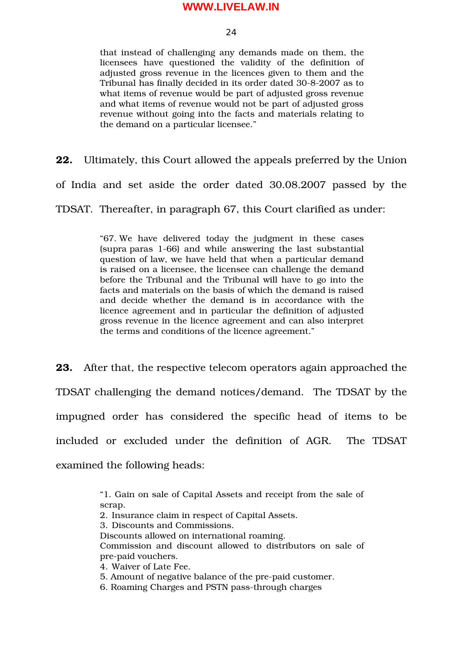$24$ 

that instead of challenging any demands made on them, the licensees have questioned the validity of the definition of adjusted gross revenue in the licences given to them and the Tribunal has finally decided in its order dated 30-8-2007 as to what items of revenue would be part of adjusted gross revenue and what items of revenue would not be part of adjusted gross revenue without going into the facts and materials relating to the demand on a particular licensee."

**22.** Ultimately, this Court allowed the appeals preferred by the Union

of India and set aside the order dated 30.08.2007 passed by the

TDSAT. Thereafter, in paragraph 67, this Court clarified as under:

"67. We have delivered today the judgment in these cases (supra paras 166) and while answering the last substantial question of law, we have held that when a particular demand is raised on a licensee, the licensee can challenge the demand before the Tribunal and the Tribunal will have to go into the facts and materials on the basis of which the demand is raised and decide whether the demand is in accordance with the licence agreement and in particular the definition of adjusted gross revenue in the licence agreement and can also interpret the terms and conditions of the licence agreement."

**23.** After that, the respective telecom operators again approached the TDSAT challenging the demand notices/demand. The TDSAT by the impugned order has considered the specific head of items to be included or excluded under the definition of AGR. The TDSAT examined the following heads:

> "1. Gain on sale of Capital Assets and receipt from the sale of scrap.

2. Insurance claim in respect of Capital Assets.

3. Discounts and Commissions.

Discounts allowed on international roaming. Commission and discount allowed to distributors on sale of pre-paid vouchers.

4. Waiver of Late Fee.

5. Amount of negative balance of the pre-paid customer.

6. Roaming Charges and PSTN pass-through charges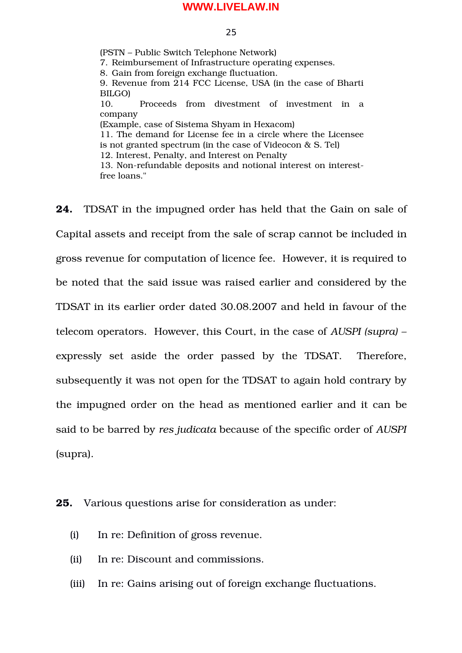#### 25

(PSTN – Public Switch Telephone Network) 7. Reimbursement of Infrastructure operating expenses. 8. Gain from foreign exchange fluctuation. 9. Revenue from 214 FCC License, USA (in the case of Bharti BILGO) 10. Proceeds from divestment of investment in a company (Example, case of Sistema Shyam in Hexacom) 11. The demand for License fee in a circle where the Licensee is not granted spectrum (in the case of Videocon & S. Tel) 12. Interest, Penalty, and Interest on Penalty 13. Non-refundable deposits and notional interest on interestfree loans."

**24.** TDSAT in the impugned order has held that the Gain on sale of Capital assets and receipt from the sale of scrap cannot be included in gross revenue for computation of licence fee. However, it is required to be noted that the said issue was raised earlier and considered by the TDSAT in its earlier order dated 30.08.2007 and held in favour of the telecom operators. However, this Court, in the case of *AUSPI (supra) –* expressly set aside the order passed by the TDSAT. Therefore, subsequently it was not open for the TDSAT to again hold contrary by the impugned order on the head as mentioned earlier and it can be said to be barred by *res judicata* because of the specific order of *AUSPI* (supra).

#### **25.** Various questions arise for consideration as under:

- (i) In re: Definition of gross revenue.
- (ii) In re: Discount and commissions.
- (iii) In re: Gains arising out of foreign exchange fluctuations.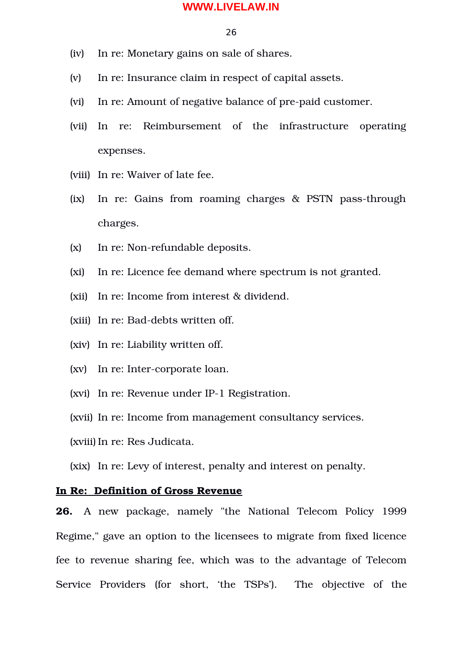#### 26

- (iv) In re: Monetary gains on sale of shares.
- (v) In re: Insurance claim in respect of capital assets.
- (vi) In re: Amount of negative balance of pre-paid customer.
- (vii) In re: Reimbursement of the infrastructure operating expenses.
- (viii) In re: Waiver of late fee.
- (ix) In re: Gains from roaming charges & PSTN pass-through charges.
- $(x)$  In re: Non-refundable deposits.
- (xi) In re: Licence fee demand where spectrum is not granted.
- (xii) In re: Income from interest & dividend.
- (xiii) In re: Bad-debts written off.
- (xiv) In re: Liability written off.
- (xv) In re: Inter-corporate loan.
- (xvi) In re: Revenue under IP-1 Registration.
- (xvii) In re: Income from management consultancy services.
- (xviii) In re: Res Judicata.
- (xix) In re: Levy of interest, penalty and interest on penalty.

## **In Re: Definition of Gross Revenue**

**26.** A new package, namely "the National Telecom Policy 1999 Regime," gave an option to the licensees to migrate from fixed licence fee to revenue sharing fee, which was to the advantage of Telecom Service Providers (for short, 'the TSPs'). The objective of the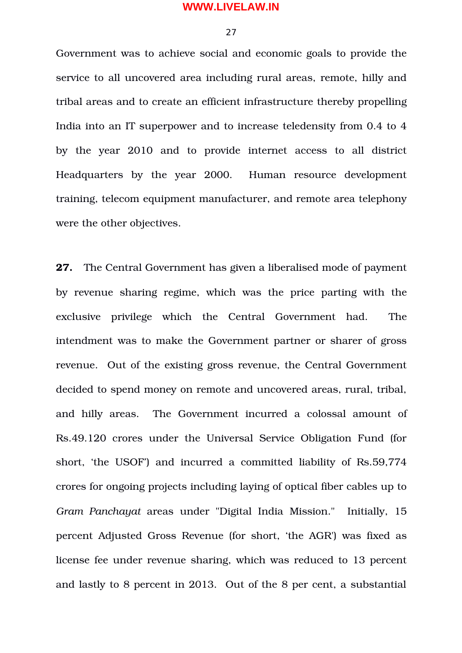27

Government was to achieve social and economic goals to provide the service to all uncovered area including rural areas, remote, hilly and tribal areas and to create an efficient infrastructure thereby propelling India into an IT superpower and to increase teledensity from 0.4 to 4 by the year 2010 and to provide internet access to all district Headquarters by the year 2000. Human resource development training, telecom equipment manufacturer, and remote area telephony were the other objectives.

**27.** The Central Government has given a liberalised mode of payment by revenue sharing regime, which was the price parting with the exclusive privilege which the Central Government had. The intendment was to make the Government partner or sharer of gross revenue. Out of the existing gross revenue, the Central Government decided to spend money on remote and uncovered areas, rural, tribal, and hilly areas. The Government incurred a colossal amount of Rs.49.120 crores under the Universal Service Obligation Fund (for short, 'the USOF') and incurred a committed liability of Rs.59,774 crores for ongoing projects including laying of optical fiber cables up to *Gram Panchayat* areas under "Digital India Mission." Initially, 15 percent Adjusted Gross Revenue (for short, 'the AGR') was fixed as license fee under revenue sharing, which was reduced to 13 percent and lastly to 8 percent in 2013. Out of the 8 per cent, a substantial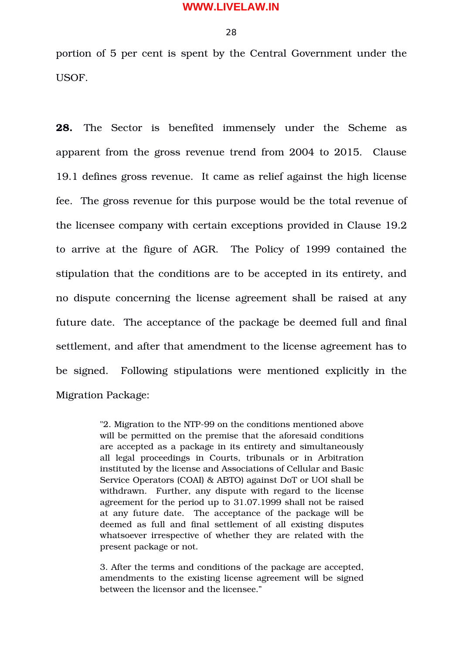28

portion of 5 per cent is spent by the Central Government under the USOF.

28. The Sector is benefited immensely under the Scheme as apparent from the gross revenue trend from 2004 to 2015. Clause 19.1 defines gross revenue. It came as relief against the high license fee. The gross revenue for this purpose would be the total revenue of the licensee company with certain exceptions provided in Clause 19.2 to arrive at the figure of AGR. The Policy of 1999 contained the stipulation that the conditions are to be accepted in its entirety, and no dispute concerning the license agreement shall be raised at any future date. The acceptance of the package be deemed full and final settlement, and after that amendment to the license agreement has to be signed. Following stipulations were mentioned explicitly in the Migration Package:

> "2. Migration to the NTP-99 on the conditions mentioned above will be permitted on the premise that the aforesaid conditions are accepted as a package in its entirety and simultaneously all legal proceedings in Courts, tribunals or in Arbitration instituted by the license and Associations of Cellular and Basic Service Operators (COAI) & ABTO) against DoT or UOI shall be withdrawn. Further, any dispute with regard to the license agreement for the period up to 31.07.1999 shall not be raised at any future date. The acceptance of the package will be deemed as full and final settlement of all existing disputes whatsoever irrespective of whether they are related with the present package or not.

> 3. After the terms and conditions of the package are accepted, amendments to the existing license agreement will be signed between the licensor and the licensee."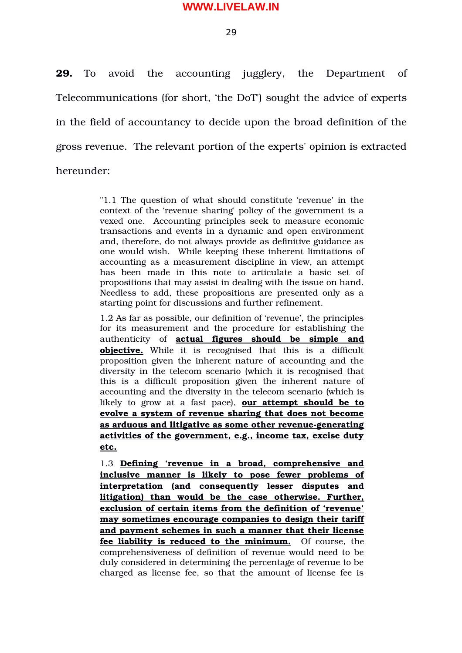29

**29.** To avoid the accounting jugglery, the Department of Telecommunications (for short, 'the DoT') sought the advice of experts in the field of accountancy to decide upon the broad definition of the gross revenue. The relevant portion of the experts' opinion is extracted hereunder:

> "1.1 The question of what should constitute 'revenue' in the context of the 'revenue sharing' policy of the government is a vexed one. Accounting principles seek to measure economic transactions and events in a dynamic and open environment and, therefore, do not always provide as definitive guidance as one would wish. While keeping these inherent limitations of accounting as a measurement discipline in view, an attempt has been made in this note to articulate a basic set of propositions that may assist in dealing with the issue on hand. Needless to add, these propositions are presented only as a starting point for discussions and further refinement.

> 1.2 As far as possible, our definition of 'revenue', the principles for its measurement and the procedure for establishing the authenticity of **actual figures should be simple and objective.** While it is recognised that this is a difficult proposition given the inherent nature of accounting and the diversity in the telecom scenario (which it is recognised that this is a difficult proposition given the inherent nature of accounting and the diversity in the telecom scenario (which is likely to grow at a fast pace), **our attempt should be to evolve a system of revenue sharing that does not become** as arduous and litigative as some other revenue-generating **activities of the government, e.g., income tax, excise duty etc.**

> 1.3 **Defining 'revenue in a broad, comprehensive and inclusive manner is likely to pose fewer problems of interpretation (and consequently lesser disputes and litigation) than would be the case otherwise. Further, exclusion of certain items from the definition of 'revenue' may sometimes encourage companies to design their tariff and payment schemes in such a manner that their license** fee liability is reduced to the minimum. Of course, the comprehensiveness of definition of revenue would need to be duly considered in determining the percentage of revenue to be charged as license fee, so that the amount of license fee is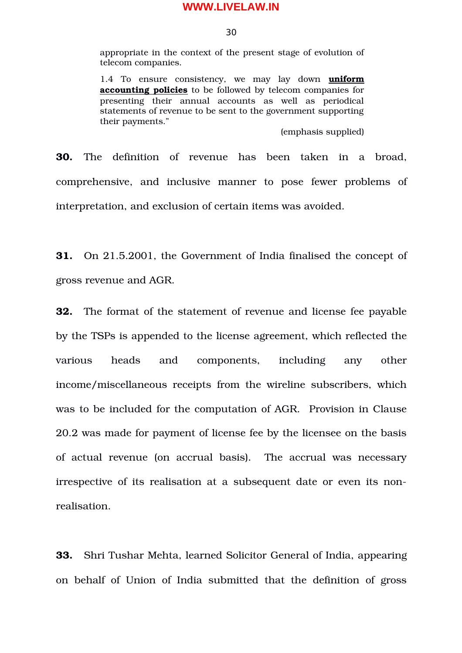30

appropriate in the context of the present stage of evolution of telecom companies.

1.4 To ensure consistency, we may lay down **uniform accounting policies** to be followed by telecom companies for presenting their annual accounts as well as periodical statements of revenue to be sent to the government supporting their payments."

(emphasis supplied)

**30.** The definition of revenue has been taken in a broad, comprehensive, and inclusive manner to pose fewer problems of interpretation, and exclusion of certain items was avoided.

**31.** On 21.5.2001, the Government of India finalised the concept of gross revenue and AGR.

**32.** The format of the statement of revenue and license fee payable by the TSPs is appended to the license agreement, which reflected the various heads and components, including any other income/miscellaneous receipts from the wireline subscribers, which was to be included for the computation of AGR. Provision in Clause 20.2 was made for payment of license fee by the licensee on the basis of actual revenue (on accrual basis). The accrual was necessary irrespective of its realisation at a subsequent date or even its nonrealisation.

**33.** Shri Tushar Mehta, learned Solicitor General of India, appearing on behalf of Union of India submitted that the definition of gross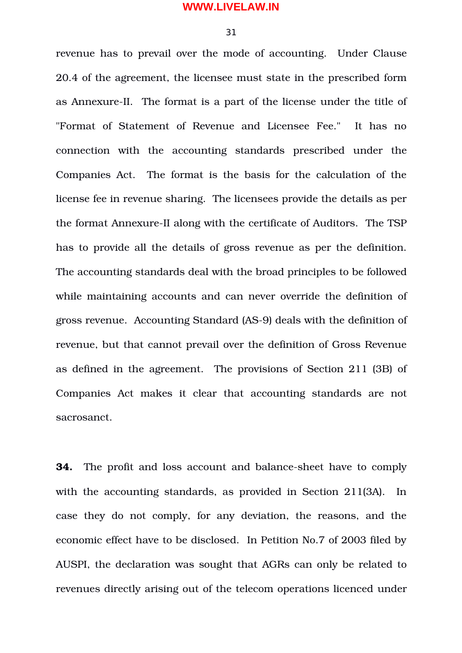31

revenue has to prevail over the mode of accounting. Under Clause 20.4 of the agreement, the licensee must state in the prescribed form as Annexure-II. The format is a part of the license under the title of "Format of Statement of Revenue and Licensee Fee." It has no connection with the accounting standards prescribed under the Companies Act. The format is the basis for the calculation of the license fee in revenue sharing. The licensees provide the details as per the format Annexure-II along with the certificate of Auditors. The TSP has to provide all the details of gross revenue as per the definition. The accounting standards deal with the broad principles to be followed while maintaining accounts and can never override the definition of gross revenue. Accounting Standard (AS-9) deals with the definition of revenue, but that cannot prevail over the definition of Gross Revenue as defined in the agreement. The provisions of Section 211 (3B) of Companies Act makes it clear that accounting standards are not sacrosanct.

**34.** The profit and loss account and balance-sheet have to comply with the accounting standards, as provided in Section 211(3A). In case they do not comply, for any deviation, the reasons, and the economic effect have to be disclosed. In Petition No.7 of 2003 filed by AUSPI, the declaration was sought that AGRs can only be related to revenues directly arising out of the telecom operations licenced under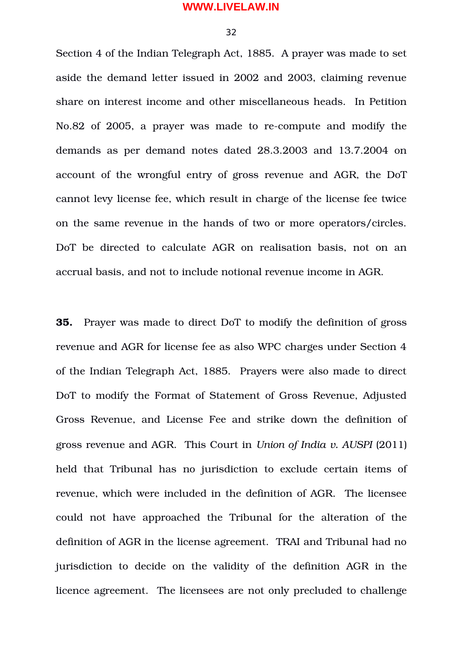32

Section 4 of the Indian Telegraph Act, 1885. A prayer was made to set aside the demand letter issued in 2002 and 2003, claiming revenue share on interest income and other miscellaneous heads. In Petition No.82 of 2005, a prayer was made to re-compute and modify the demands as per demand notes dated 28.3.2003 and 13.7.2004 on account of the wrongful entry of gross revenue and AGR, the DoT cannot levy license fee, which result in charge of the license fee twice on the same revenue in the hands of two or more operators/circles. DoT be directed to calculate AGR on realisation basis, not on an accrual basis, and not to include notional revenue income in AGR.

**35.** Prayer was made to direct DoT to modify the definition of gross revenue and AGR for license fee as also WPC charges under Section 4 of the Indian Telegraph Act, 1885. Prayers were also made to direct DoT to modify the Format of Statement of Gross Revenue, Adjusted Gross Revenue, and License Fee and strike down the definition of gross revenue and AGR. This Court in *Union of India v. AUSPI* (2011) held that Tribunal has no jurisdiction to exclude certain items of revenue, which were included in the definition of AGR. The licensee could not have approached the Tribunal for the alteration of the definition of AGR in the license agreement. TRAI and Tribunal had no jurisdiction to decide on the validity of the definition AGR in the licence agreement. The licensees are not only precluded to challenge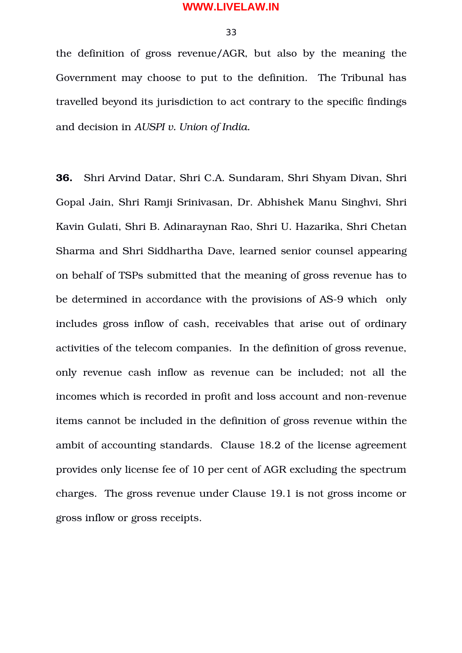33

the definition of gross revenue/AGR, but also by the meaning the Government may choose to put to the definition. The Tribunal has travelled beyond its jurisdiction to act contrary to the specific findings and decision in *AUSPI v. Union of India.*

**36.** Shri Arvind Datar, Shri C.A. Sundaram, Shri Shyam Divan, Shri Gopal Jain, Shri Ramji Srinivasan, Dr. Abhishek Manu Singhvi, Shri Kavin Gulati, Shri B. Adinaraynan Rao, Shri U. Hazarika, Shri Chetan Sharma and Shri Siddhartha Dave, learned senior counsel appearing on behalf of TSPs submitted that the meaning of gross revenue has to be determined in accordance with the provisions of AS-9 which only includes gross inflow of cash, receivables that arise out of ordinary activities of the telecom companies. In the definition of gross revenue, only revenue cash inflow as revenue can be included; not all the incomes which is recorded in profit and loss account and non-revenue items cannot be included in the definition of gross revenue within the ambit of accounting standards. Clause 18.2 of the license agreement provides only license fee of 10 per cent of AGR excluding the spectrum charges. The gross revenue under Clause 19.1 is not gross income or gross inflow or gross receipts.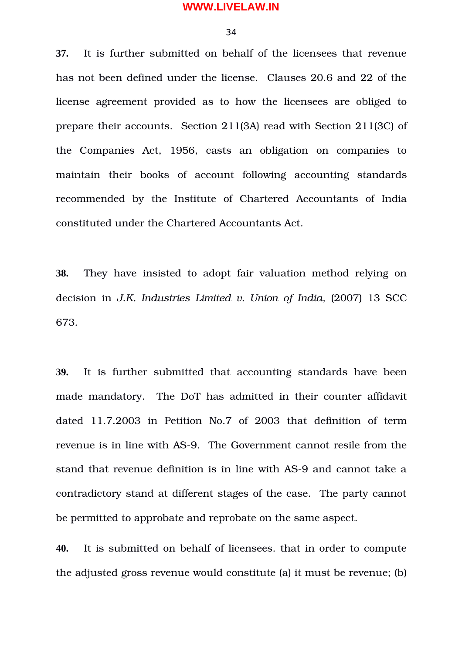34

**37.** It is further submitted on behalf of the licensees that revenue has not been defined under the license. Clauses 20.6 and 22 of the license agreement provided as to how the licensees are obliged to prepare their accounts. Section 211(3A) read with Section 211(3C) of the Companies Act, 1956, casts an obligation on companies to maintain their books of account following accounting standards recommended by the Institute of Chartered Accountants of India constituted under the Chartered Accountants Act.

**38.** They have insisted to adopt fair valuation method relying on decision in *J.K. Industries Limited v. Union of India*, (2007) 13 SCC 673.

**39.** It is further submitted that accounting standards have been made mandatory. The DoT has admitted in their counter affidavit dated 11.7.2003 in Petition No.7 of 2003 that definition of term revenue is in line with AS-9. The Government cannot resile from the stand that revenue definition is in line with AS-9 and cannot take a contradictory stand at different stages of the case. The party cannot be permitted to approbate and reprobate on the same aspect.

**40.** It is submitted on behalf of licensees. that in order to compute the adjusted gross revenue would constitute (a) it must be revenue; (b)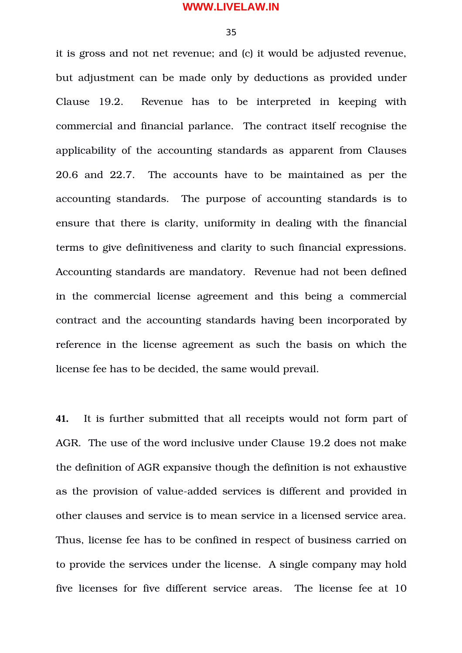35

it is gross and not net revenue; and (c) it would be adjusted revenue, but adjustment can be made only by deductions as provided under Clause 19.2. Revenue has to be interpreted in keeping with commercial and financial parlance. The contract itself recognise the applicability of the accounting standards as apparent from Clauses 20.6 and 22.7. The accounts have to be maintained as per the accounting standards. The purpose of accounting standards is to ensure that there is clarity, uniformity in dealing with the financial terms to give definitiveness and clarity to such financial expressions. Accounting standards are mandatory. Revenue had not been defined in the commercial license agreement and this being a commercial contract and the accounting standards having been incorporated by reference in the license agreement as such the basis on which the license fee has to be decided, the same would prevail.

**41.** It is further submitted that all receipts would not form part of AGR. The use of the word inclusive under Clause 19.2 does not make the definition of AGR expansive though the definition is not exhaustive as the provision of value-added services is different and provided in other clauses and service is to mean service in a licensed service area. Thus, license fee has to be confined in respect of business carried on to provide the services under the license. A single company may hold five licenses for five different service areas. The license fee at 10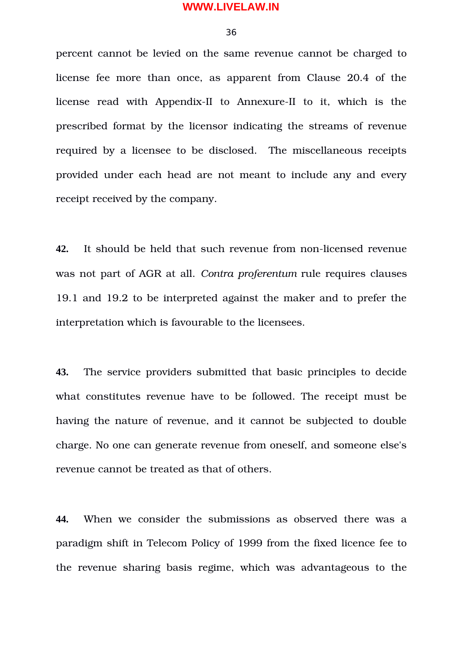36

percent cannot be levied on the same revenue cannot be charged to license fee more than once, as apparent from Clause 20.4 of the license read with Appendix-II to Annexure-II to it, which is the prescribed format by the licensor indicating the streams of revenue required by a licensee to be disclosed. The miscellaneous receipts provided under each head are not meant to include any and every receipt received by the company.

**42.** It should be held that such revenue from non-licensed revenue was not part of AGR at all. *Contra proferentum* rule requires clauses 19.1 and 19.2 to be interpreted against the maker and to prefer the interpretation which is favourable to the licensees.

**43.** The service providers submitted that basic principles to decide what constitutes revenue have to be followed. The receipt must be having the nature of revenue, and it cannot be subjected to double charge. No one can generate revenue from oneself, and someone else's revenue cannot be treated as that of others.

**44.** When we consider the submissions as observed there was a paradigm shift in Telecom Policy of 1999 from the fixed licence fee to the revenue sharing basis regime, which was advantageous to the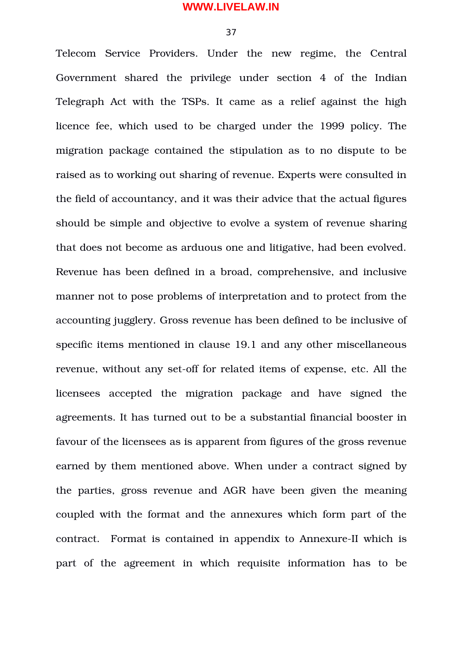37

Telecom Service Providers. Under the new regime, the Central Government shared the privilege under section 4 of the Indian Telegraph Act with the TSPs. It came as a relief against the high licence fee, which used to be charged under the 1999 policy. The migration package contained the stipulation as to no dispute to be raised as to working out sharing of revenue. Experts were consulted in the field of accountancy, and it was their advice that the actual figures should be simple and objective to evolve a system of revenue sharing that does not become as arduous one and litigative, had been evolved. Revenue has been defined in a broad, comprehensive, and inclusive manner not to pose problems of interpretation and to protect from the accounting jugglery. Gross revenue has been defined to be inclusive of specific items mentioned in clause 19.1 and any other miscellaneous revenue, without any set-off for related items of expense, etc. All the licensees accepted the migration package and have signed the agreements. It has turned out to be a substantial financial booster in favour of the licensees as is apparent from figures of the gross revenue earned by them mentioned above. When under a contract signed by the parties, gross revenue and AGR have been given the meaning coupled with the format and the annexures which form part of the contract. Format is contained in appendix to Annexure-II which is part of the agreement in which requisite information has to be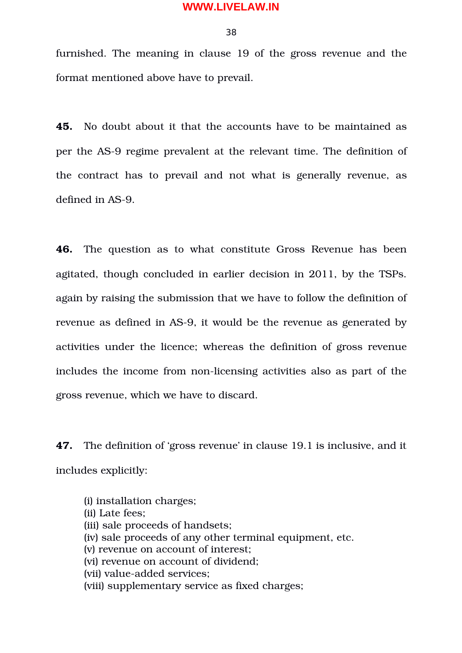38

furnished. The meaning in clause 19 of the gross revenue and the format mentioned above have to prevail.

**45.** No doubt about it that the accounts have to be maintained as per the AS-9 regime prevalent at the relevant time. The definition of the contract has to prevail and not what is generally revenue, as defined in AS-9.

**46.** The question as to what constitute Gross Revenue has been agitated, though concluded in earlier decision in 2011, by the TSPs. again by raising the submission that we have to follow the definition of revenue as defined in AS-9, it would be the revenue as generated by activities under the licence; whereas the definition of gross revenue includes the income from non-licensing activities also as part of the gross revenue, which we have to discard.

**47.** The definition of 'gross revenue' in clause 19.1 is inclusive, and it includes explicitly:

(i) installation charges; (ii) Late fees; (iii) sale proceeds of handsets; (iv) sale proceeds of any other terminal equipment, etc. (v) revenue on account of interest; (vi) revenue on account of dividend; (vii) value-added services: (viii) supplementary service as fixed charges;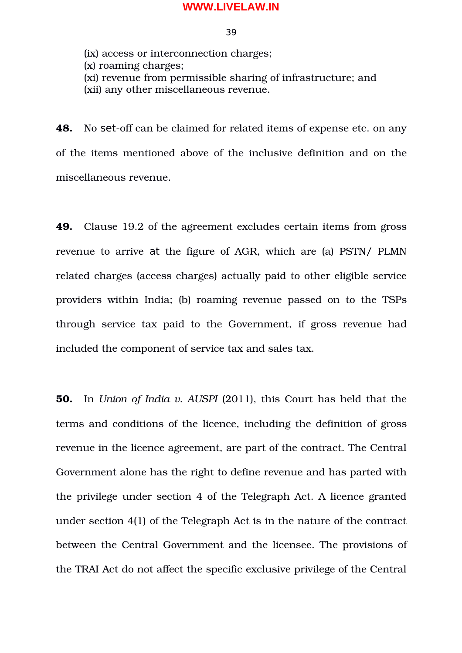39

(ix) access or interconnection charges; (x) roaming charges; (xi) revenue from permissible sharing of infrastructure; and (xii) any other miscellaneous revenue.

**48.** No set-off can be claimed for related items of expense etc. on any of the items mentioned above of the inclusive definition and on the miscellaneous revenue.

**49.** Clause 19.2 of the agreement excludes certain items from gross revenue to arrive at the figure of AGR, which are (a) PSTN/ PLMN related charges (access charges) actually paid to other eligible service providers within India; (b) roaming revenue passed on to the TSPs through service tax paid to the Government, if gross revenue had included the component of service tax and sales tax.

**50.** In *Union of India v. AUSPI* (2011), this Court has held that the terms and conditions of the licence, including the definition of gross revenue in the licence agreement, are part of the contract. The Central Government alone has the right to define revenue and has parted with the privilege under section 4 of the Telegraph Act. A licence granted under section 4(1) of the Telegraph Act is in the nature of the contract between the Central Government and the licensee. The provisions of the TRAI Act do not affect the specific exclusive privilege of the Central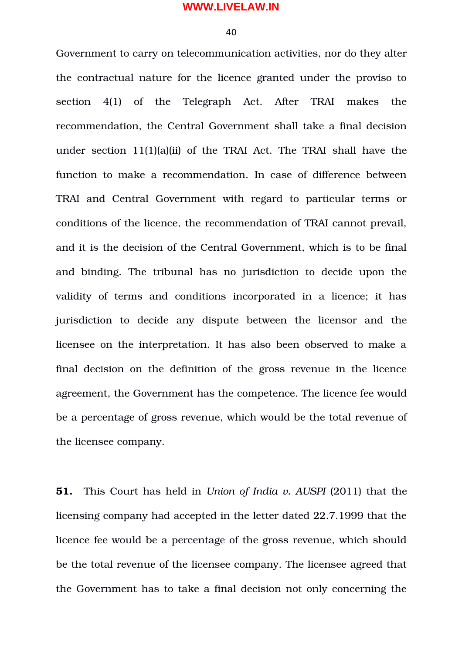40

Government to carry on telecommunication activities, nor do they alter the contractual nature for the licence granted under the proviso to section 4(1) of the Telegraph Act. After TRAI makes the recommendation, the Central Government shall take a final decision under section 11(1)(a)(ii) of the TRAI Act. The TRAI shall have the function to make a recommendation. In case of difference between TRAI and Central Government with regard to particular terms or conditions of the licence, the recommendation of TRAI cannot prevail, and it is the decision of the Central Government, which is to be final and binding. The tribunal has no jurisdiction to decide upon the validity of terms and conditions incorporated in a licence; it has jurisdiction to decide any dispute between the licensor and the licensee on the interpretation. It has also been observed to make a final decision on the definition of the gross revenue in the licence agreement, the Government has the competence. The licence fee would be a percentage of gross revenue, which would be the total revenue of the licensee company.

**51.** This Court has held in *Union of India v. AUSPI* (2011) that the licensing company had accepted in the letter dated 22.7.1999 that the licence fee would be a percentage of the gross revenue, which should be the total revenue of the licensee company. The licensee agreed that the Government has to take a final decision not only concerning the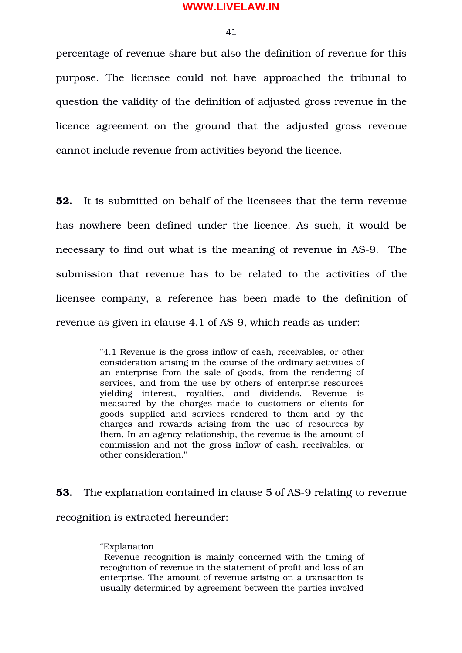41

percentage of revenue share but also the definition of revenue for this purpose. The licensee could not have approached the tribunal to question the validity of the definition of adjusted gross revenue in the licence agreement on the ground that the adjusted gross revenue cannot include revenue from activities beyond the licence.

**52.** It is submitted on behalf of the licensees that the term revenue has nowhere been defined under the licence. As such, it would be necessary to find out what is the meaning of revenue in AS-9. The submission that revenue has to be related to the activities of the licensee company, a reference has been made to the definition of revenue as given in clause 4.1 of AS-9, which reads as under:

> "4.1 Revenue is the gross inflow of cash, receivables, or other consideration arising in the course of the ordinary activities of an enterprise from the sale of goods, from the rendering of services, and from the use by others of enterprise resources yielding interest, royalties, and dividends. Revenue is measured by the charges made to customers or clients for goods supplied and services rendered to them and by the charges and rewards arising from the use of resources by them. In an agency relationship, the revenue is the amount of commission and not the gross inflow of cash, receivables, or other consideration."

**53.** The explanation contained in clause 5 of AS-9 relating to revenue recognition is extracted hereunder:

#### "Explanation

 Revenue recognition is mainly concerned with the timing of recognition of revenue in the statement of profit and loss of an enterprise. The amount of revenue arising on a transaction is usually determined by agreement between the parties involved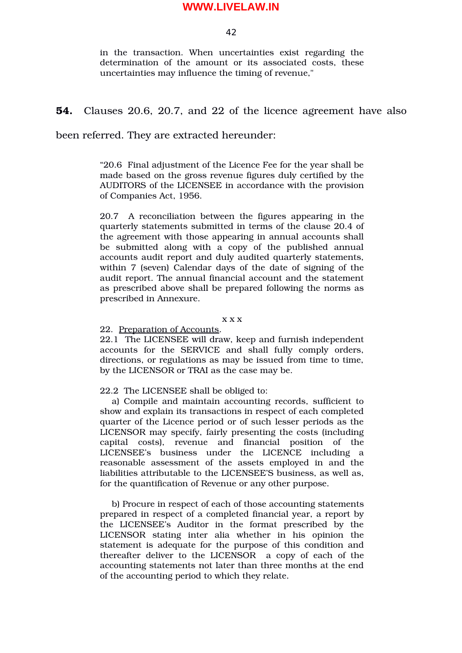42

in the transaction. When uncertainties exist regarding the determination of the amount or its associated costs, these uncertainties may influence the timing of revenue,"

## **54.** Clauses 20.6, 20.7, and 22 of the licence agreement have also

been referred. They are extracted hereunder:

"20.6 Final adjustment of the Licence Fee for the year shall be made based on the gross revenue figures duly certified by the AUDITORS of the LICENSEE in accordance with the provision of Companies Act, 1956.

20.7 A reconciliation between the figures appearing in the quarterly statements submitted in terms of the clause 20.4 of the agreement with those appearing in annual accounts shall be submitted along with a copy of the published annual accounts audit report and duly audited quarterly statements, within 7 (seven) Calendar days of the date of signing of the audit report. The annual financial account and the statement as prescribed above shall be prepared following the norms as prescribed in Annexure.

x x x

#### 22. Preparation of Accounts.

22.1 The LICENSEE will draw, keep and furnish independent accounts for the SERVICE and shall fully comply orders, directions, or regulations as may be issued from time to time, by the LICENSOR or TRAI as the case may be.

#### 22.2 The LICENSEE shall be obliged to:

a) Compile and maintain accounting records, sufficient to show and explain its transactions in respect of each completed quarter of the Licence period or of such lesser periods as the LICENSOR may specify, fairly presenting the costs (including capital costs), revenue and financial position of the LICENSEE's business under the LICENCE including a reasonable assessment of the assets employed in and the liabilities attributable to the LICENSEE'S business, as well as, for the quantification of Revenue or any other purpose.

b) Procure in respect of each of those accounting statements prepared in respect of a completed financial year, a report by the LICENSEE's Auditor in the format prescribed by the LICENSOR stating inter alia whether in his opinion the statement is adequate for the purpose of this condition and thereafter deliver to the LICENSOR a copy of each of the accounting statements not later than three months at the end of the accounting period to which they relate.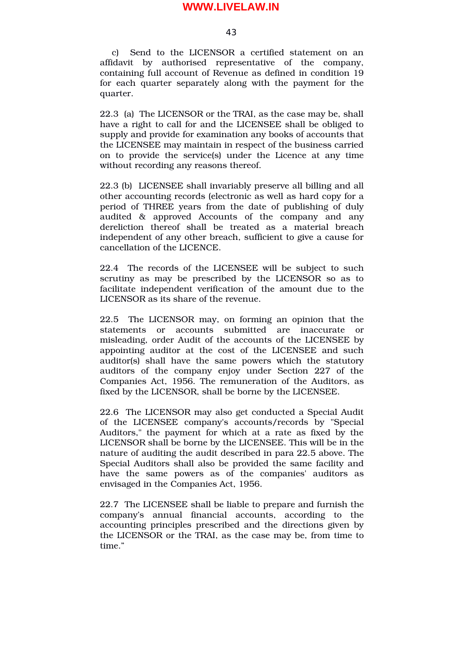43

c) Send to the LICENSOR a certified statement on an affidavit by authorised representative of the company, containing full account of Revenue as defined in condition 19 for each quarter separately along with the payment for the quarter.

22.3 (a) The LICENSOR or the TRAI, as the case may be, shall have a right to call for and the LICENSEE shall be obliged to supply and provide for examination any books of accounts that the LICENSEE may maintain in respect of the business carried on to provide the service(s) under the Licence at any time without recording any reasons thereof.

22.3 (b) LICENSEE shall invariably preserve all billing and all other accounting records (electronic as well as hard copy for a period of THREE years from the date of publishing of duly audited & approved Accounts of the company and any dereliction thereof shall be treated as a material breach independent of any other breach, sufficient to give a cause for cancellation of the LICENCE.

22.4 The records of the LICENSEE will be subject to such scrutiny as may be prescribed by the LICENSOR so as to facilitate independent verification of the amount due to the LICENSOR as its share of the revenue.

22.5 The LICENSOR may, on forming an opinion that the statements or accounts submitted are inaccurate or misleading, order Audit of the accounts of the LICENSEE by appointing auditor at the cost of the LICENSEE and such auditor(s) shall have the same powers which the statutory auditors of the company enjoy under Section 227 of the Companies Act, 1956. The remuneration of the Auditors, as fixed by the LICENSOR, shall be borne by the LICENSEE.

22.6 The LICENSOR may also get conducted a Special Audit of the LICENSEE company's accounts/records by "Special Auditors," the payment for which at a rate as fixed by the LICENSOR shall be borne by the LICENSEE. This will be in the nature of auditing the audit described in para 22.5 above. The Special Auditors shall also be provided the same facility and have the same powers as of the companies' auditors as envisaged in the Companies Act, 1956.

22.7 The LICENSEE shall be liable to prepare and furnish the company's annual financial accounts, according to the accounting principles prescribed and the directions given by the LICENSOR or the TRAI, as the case may be, from time to time."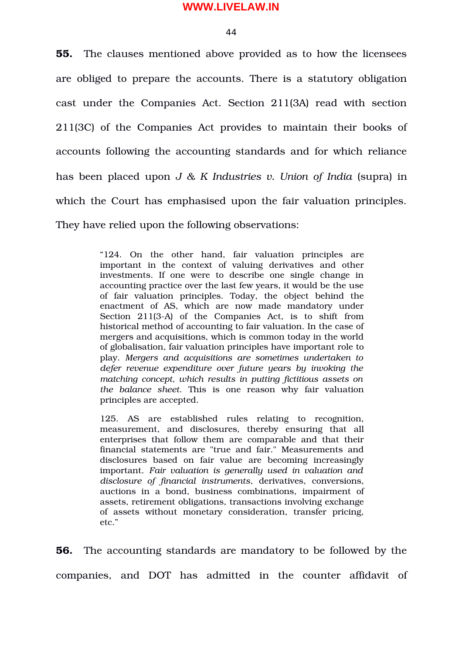44

**55.** The clauses mentioned above provided as to how the licensees are obliged to prepare the accounts. There is a statutory obligation cast under the Companies Act. Section 211(3A) read with section 211(3C) of the Companies Act provides to maintain their books of accounts following the accounting standards and for which reliance has been placed upon *J & K Industries v. Union of India* (supra) in which the Court has emphasised upon the fair valuation principles. They have relied upon the following observations:

> "124. On the other hand, fair valuation principles are important in the context of valuing derivatives and other investments. If one were to describe one single change in accounting practice over the last few years, it would be the use of fair valuation principles. Today, the object behind the enactment of AS, which are now made mandatory under Section 211(3-A) of the Companies Act, is to shift from historical method of accounting to fair valuation. In the case of mergers and acquisitions, which is common today in the world of globalisation, fair valuation principles have important role to play. *Mergers and acquisitions are sometimes undertaken to defer revenue expenditure over future years by invoking the matching concept, which results in putting fictitious assets on the balance sheet*. This is one reason why fair valuation principles are accepted.

> 125. AS are established rules relating to recognition, measurement, and disclosures, thereby ensuring that all enterprises that follow them are comparable and that their financial statements are "true and fair." Measurements and disclosures based on fair value are becoming increasingly important. *Fair valuation is generally used in valuation and disclosure of financial instruments*, derivatives, conversions, auctions in a bond, business combinations, impairment of assets, retirement obligations, transactions involving exchange of assets without monetary consideration, transfer pricing, etc."

**56.** The accounting standards are mandatory to be followed by the companies, and DOT has admitted in the counter affidavit of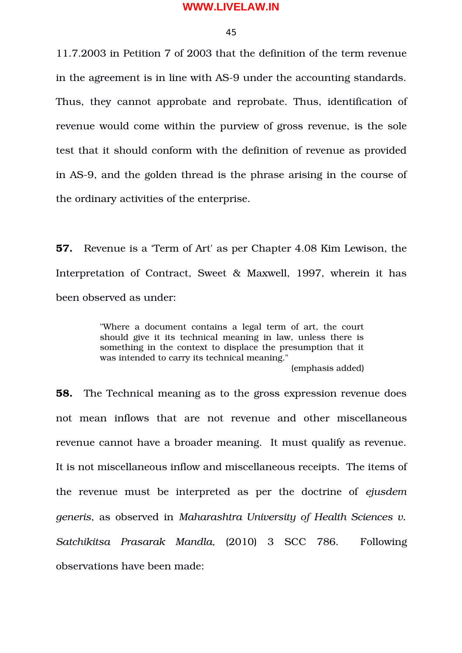45

11.7.2003 in Petition 7 of 2003 that the definition of the term revenue in the agreement is in line with AS-9 under the accounting standards. Thus, they cannot approbate and reprobate. Thus, identification of revenue would come within the purview of gross revenue, is the sole test that it should conform with the definition of revenue as provided in AS9, and the golden thread is the phrase arising in the course of the ordinary activities of the enterprise.

**57.** Revenue is a 'Term of Art' as per Chapter 4.08 Kim Lewison, the Interpretation of Contract, Sweet & Maxwell, 1997, wherein it has been observed as under:

> "Where a document contains a legal term of art, the court should give it its technical meaning in law, unless there is something in the context to displace the presumption that it was intended to carry its technical meaning."

(emphasis added)

**58.** The Technical meaning as to the gross expression revenue does not mean inflows that are not revenue and other miscellaneous revenue cannot have a broader meaning. It must qualify as revenue. It is not miscellaneous inflow and miscellaneous receipts. The items of the revenue must be interpreted as per the doctrine of ejusdem *generis*, as observed in *Maharashtra University of Health Sciences v. Satchikitsa Prasarak Mandla,* (2010) 3 SCC 786. Following observations have been made: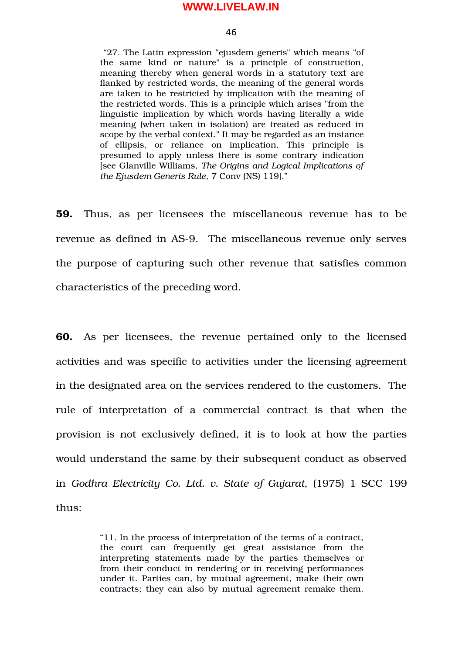#### 46

 "27. The Latin expression "ejusdem generis" which means "of the same kind or nature" is a principle of construction, meaning thereby when general words in a statutory text are flanked by restricted words, the meaning of the general words are taken to be restricted by implication with the meaning of the restricted words. This is a principle which arises "from the linguistic implication by which words having literally a wide meaning (when taken in isolation) are treated as reduced in scope by the verbal context." It may be regarded as an instance of ellipsis, or reliance on implication. This principle is presumed to apply unless there is some contrary indication [see Glanville Williams, *The Origins and Logical Implications of the Ejusdem Generis Rule*, 7 Conv (NS) 119]."

**59.** Thus, as per licensees the miscellaneous revenue has to be revenue as defined in AS-9. The miscellaneous revenue only serves the purpose of capturing such other revenue that satisfies common characteristics of the preceding word.

**60.** As per licensees, the revenue pertained only to the licensed activities and was specific to activities under the licensing agreement in the designated area on the services rendered to the customers. The rule of interpretation of a commercial contract is that when the provision is not exclusively defined, it is to look at how the parties would understand the same by their subsequent conduct as observed in *Godhra Electricity Co. Ltd. v. State of Gujarat, (1975) 1 SCC 199* thus:

> "11. In the process of interpretation of the terms of a contract, the court can frequently get great assistance from the interpreting statements made by the parties themselves or from their conduct in rendering or in receiving performances under it. Parties can, by mutual agreement, make their own contracts; they can also by mutual agreement remake them.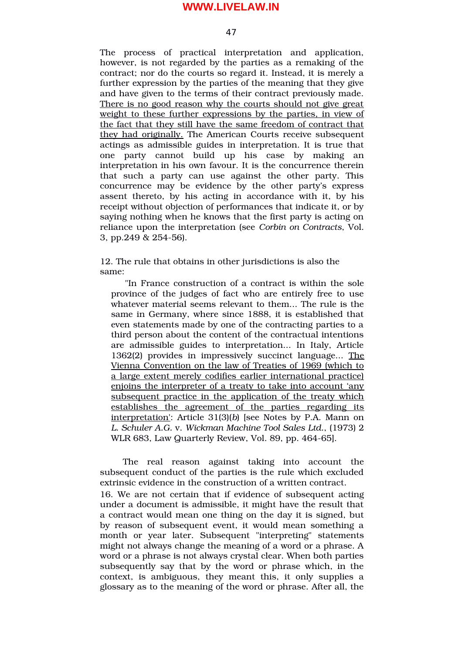47

The process of practical interpretation and application, however, is not regarded by the parties as a remaking of the contract; nor do the courts so regard it. Instead, it is merely a further expression by the parties of the meaning that they give and have given to the terms of their contract previously made. There is no good reason why the courts should not give great weight to these further expressions by the parties, in view of the fact that they still have the same freedom of contract that they had originally. The American Courts receive subsequent actings as admissible guides in interpretation. It is true that one party cannot build up his case by making an interpretation in his own favour. It is the concurrence therein that such a party can use against the other party. This concurrence may be evidence by the other party's express assent thereto, by his acting in accordance with it, by his receipt without objection of performances that indicate it, or by saying nothing when he knows that the first party is acting on reliance upon the interpretation (see *Corbin on Contracts*, Vol. 3, pp.249  $& 254-56$ .

12. The rule that obtains in other jurisdictions is also the same:

"In France construction of a contract is within the sole province of the judges of fact who are entirely free to use whatever material seems relevant to them... The rule is the same in Germany, where since 1888, it is established that even statements made by one of the contracting parties to a third person about the content of the contractual intentions are admissible guides to interpretation... In Italy, Article 1362(2) provides in impressively succinct language... The Vienna Convention on the law of Treaties of 1969 (which to a large extent merely codifies earlier international practice) enjoins the interpreter of a treaty to take into account 'any subsequent practice in the application of the treaty which establishes the agreement of the parties regarding its interpretation': Article 31(3)(*b*) [see Notes by P.A. Mann on *L. Schuler A.G.* v. *Wickman Machine Tool Sales Ltd.*, (1973) 2 WLR 683, Law Quarterly Review, Vol. 89, pp. 464-65].

The real reason against taking into account the subsequent conduct of the parties is the rule which excluded extrinsic evidence in the construction of a written contract.

16. We are not certain that if evidence of subsequent acting under a document is admissible, it might have the result that a contract would mean one thing on the day it is signed, but by reason of subsequent event, it would mean something a month or year later. Subsequent "interpreting" statements might not always change the meaning of a word or a phrase. A word or a phrase is not always crystal clear. When both parties subsequently say that by the word or phrase which, in the context, is ambiguous, they meant this, it only supplies a glossary as to the meaning of the word or phrase. After all, the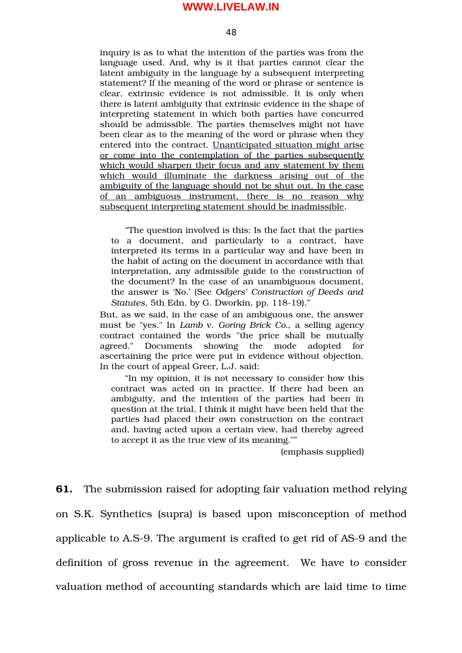48

inquiry is as to what the intention of the parties was from the language used. And, why is it that parties cannot clear the latent ambiguity in the language by a subsequent interpreting statement? If the meaning of the word or phrase or sentence is clear, extrinsic evidence is not admissible. It is only when there is latent ambiguity that extrinsic evidence in the shape of interpreting statement in which both parties have concurred should be admissible. The parties themselves might not have been clear as to the meaning of the word or phrase when they entered into the contract. Unanticipated situation might arise or come into the contemplation of the parties subsequently which would sharpen their focus and any statement by them which would illuminate the darkness arising out of the ambiguity of the language should not be shut out. In the case of an ambiguous instrument, there is no reason why subsequent interpreting statement should be inadmissible.

"The question involved is this: Is the fact that the parties to a document, and particularly to a contract, have interpreted its terms in a particular way and have been in the habit of acting on the document in accordance with that interpretation, any admissible guide to the construction of the document? In the case of an unambiguous document, the answer is 'No.' (See *Odgers' Construction of Deeds and* Statutes, 5th Edn. by G. Dworkin, pp. 118-19)."

But, as we said, in the case of an ambiguous one, the answer must be "yes." In *Lamb* v. *Goring Brick Co.*, a selling agency contract contained the words "the price shall be mutually agreed." Documents showing the mode adopted for ascertaining the price were put in evidence without objection. In the court of appeal Greer, L.J. said:

"In my opinion, it is not necessary to consider how this contract was acted on in practice. If there had been an ambiguity, and the intention of the parties had been in question at the trial, I think it might have been held that the parties had placed their own construction on the contract and, having acted upon a certain view, had thereby agreed to accept it as the true view of its meaning.""

(emphasis supplied)

**61.** The submission raised for adopting fair valuation method relying on S.K. Synthetics (supra) is based upon misconception of method applicable to A.S-9. The argument is crafted to get rid of AS-9 and the definition of gross revenue in the agreement. We have to consider valuation method of accounting standards which are laid time to time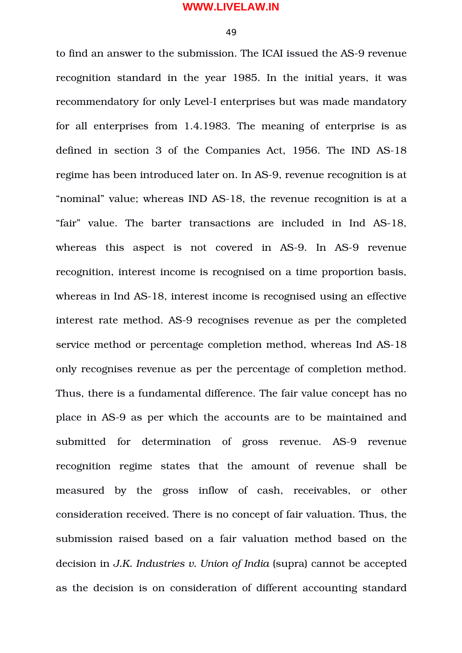49

to find an answer to the submission. The ICAI issued the AS-9 revenue recognition standard in the year 1985. In the initial years, it was recommendatory for only Level-I enterprises but was made mandatory for all enterprises from 1.4.1983. The meaning of enterprise is as defined in section 3 of the Companies Act, 1956. The IND AS-18 regime has been introduced later on. In AS-9, revenue recognition is at "nominal" value; whereas IND AS-18, the revenue recognition is at a "fair" value. The barter transactions are included in Ind AS18, whereas this aspect is not covered in AS-9. In AS-9 revenue recognition, interest income is recognised on a time proportion basis, whereas in Ind AS-18, interest income is recognised using an effective interest rate method. AS-9 recognises revenue as per the completed service method or percentage completion method, whereas Ind AS-18 only recognises revenue as per the percentage of completion method. Thus, there is a fundamental difference. The fair value concept has no place in AS9 as per which the accounts are to be maintained and submitted for determination of gross revenue. AS-9 revenue recognition regime states that the amount of revenue shall be measured by the gross inflow of cash, receivables, or other consideration received. There is no concept of fair valuation. Thus, the submission raised based on a fair valuation method based on the decision in *J.K. Industries v. Union of India* (supra) cannot be accepted as the decision is on consideration of different accounting standard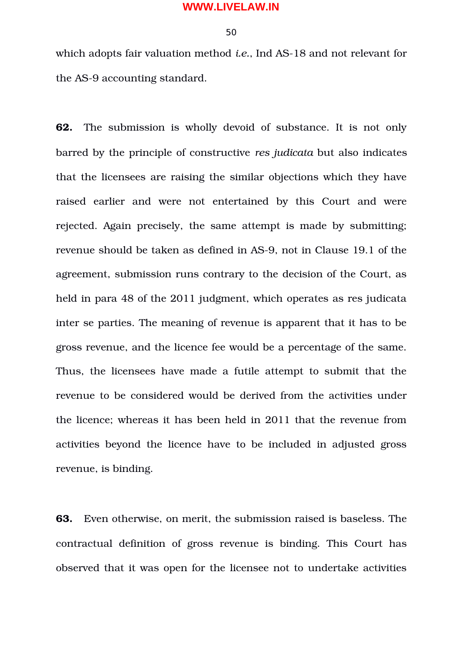50

which adopts fair valuation method *i.e.*, Ind AS-18 and not relevant for the AS-9 accounting standard.

**62.** The submission is wholly devoid of substance. It is not only barred by the principle of constructive *res judicata* but also indicates that the licensees are raising the similar objections which they have raised earlier and were not entertained by this Court and were rejected. Again precisely, the same attempt is made by submitting; revenue should be taken as defined in AS-9, not in Clause 19.1 of the agreement, submission runs contrary to the decision of the Court, as held in para 48 of the 2011 judgment, which operates as res judicata inter se parties. The meaning of revenue is apparent that it has to be gross revenue, and the licence fee would be a percentage of the same. Thus, the licensees have made a futile attempt to submit that the revenue to be considered would be derived from the activities under the licence; whereas it has been held in 2011 that the revenue from activities beyond the licence have to be included in adjusted gross revenue, is binding.

**63.** Even otherwise, on merit, the submission raised is baseless. The contractual definition of gross revenue is binding. This Court has observed that it was open for the licensee not to undertake activities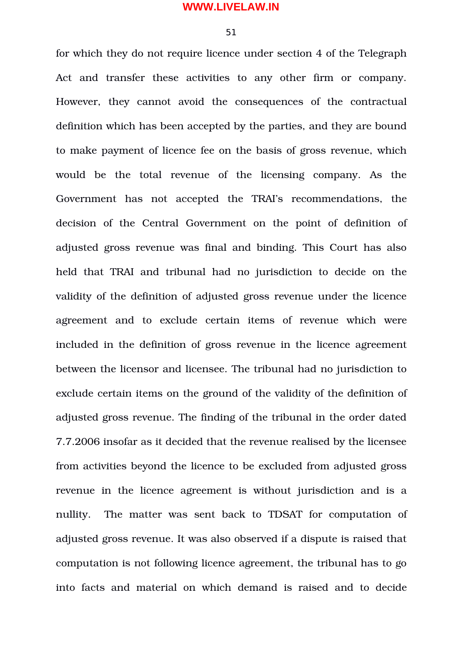51

for which they do not require licence under section 4 of the Telegraph Act and transfer these activities to any other firm or company. However, they cannot avoid the consequences of the contractual definition which has been accepted by the parties, and they are bound to make payment of licence fee on the basis of gross revenue, which would be the total revenue of the licensing company. As the Government has not accepted the TRAI's recommendations, the decision of the Central Government on the point of definition of adjusted gross revenue was final and binding. This Court has also held that TRAI and tribunal had no jurisdiction to decide on the validity of the definition of adjusted gross revenue under the licence agreement and to exclude certain items of revenue which were included in the definition of gross revenue in the licence agreement between the licensor and licensee. The tribunal had no jurisdiction to exclude certain items on the ground of the validity of the definition of adjusted gross revenue. The finding of the tribunal in the order dated 7.7.2006 insofar as it decided that the revenue realised by the licensee from activities beyond the licence to be excluded from adjusted gross revenue in the licence agreement is without jurisdiction and is a nullity. The matter was sent back to TDSAT for computation of adjusted gross revenue. It was also observed if a dispute is raised that computation is not following licence agreement, the tribunal has to go into facts and material on which demand is raised and to decide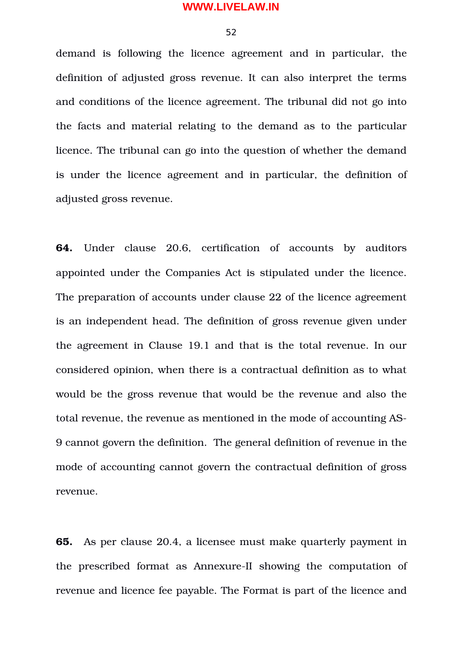52

demand is following the licence agreement and in particular, the definition of adjusted gross revenue. It can also interpret the terms and conditions of the licence agreement. The tribunal did not go into the facts and material relating to the demand as to the particular licence. The tribunal can go into the question of whether the demand is under the licence agreement and in particular, the definition of adjusted gross revenue.

**64.** Under clause 20.6, certification of accounts by auditors appointed under the Companies Act is stipulated under the licence. The preparation of accounts under clause 22 of the licence agreement is an independent head. The definition of gross revenue given under the agreement in Clause 19.1 and that is the total revenue. In our considered opinion, when there is a contractual definition as to what would be the gross revenue that would be the revenue and also the total revenue, the revenue as mentioned in the mode of accounting AS-9 cannot govern the definition. The general definition of revenue in the mode of accounting cannot govern the contractual definition of gross revenue.

**65.** As per clause 20.4, a licensee must make quarterly payment in the prescribed format as Annexure-II showing the computation of revenue and licence fee payable. The Format is part of the licence and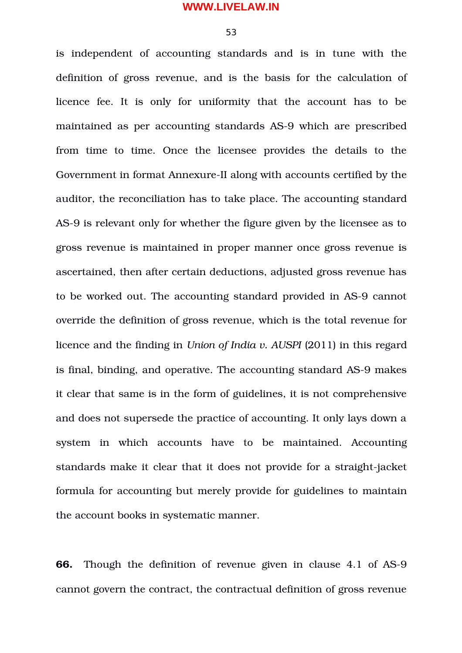53

is independent of accounting standards and is in tune with the definition of gross revenue, and is the basis for the calculation of licence fee. It is only for uniformity that the account has to be maintained as per accounting standards AS-9 which are prescribed from time to time. Once the licensee provides the details to the Government in format Annexure-II along with accounts certified by the auditor, the reconciliation has to take place. The accounting standard AS-9 is relevant only for whether the figure given by the licensee as to gross revenue is maintained in proper manner once gross revenue is ascertained, then after certain deductions, adjusted gross revenue has to be worked out. The accounting standard provided in AS-9 cannot override the definition of gross revenue, which is the total revenue for licence and the finding in *Union of India v. AUSPI* (2011) in this regard is final, binding, and operative. The accounting standard AS-9 makes it clear that same is in the form of guidelines, it is not comprehensive and does not supersede the practice of accounting. It only lays down a system in which accounts have to be maintained. Accounting standards make it clear that it does not provide for a straight-jacket formula for accounting but merely provide for guidelines to maintain the account books in systematic manner.

**66.** Though the definition of revenue given in clause 4.1 of AS-9 cannot govern the contract, the contractual definition of gross revenue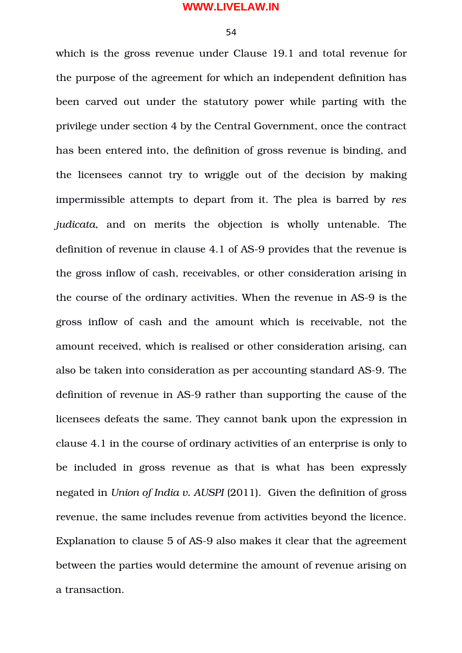54

which is the gross revenue under Clause 19.1 and total revenue for the purpose of the agreement for which an independent definition has been carved out under the statutory power while parting with the privilege under section 4 by the Central Government, once the contract has been entered into, the definition of gross revenue is binding, and the licensees cannot try to wriggle out of the decision by making impermissible attempts to depart from it. The plea is barred by *res judicata*, and on merits the objection is wholly untenable. The definition of revenue in clause 4.1 of AS-9 provides that the revenue is the gross inflow of cash, receivables, or other consideration arising in the course of the ordinary activities. When the revenue in AS-9 is the gross inflow of cash and the amount which is receivable, not the amount received, which is realised or other consideration arising, can also be taken into consideration as per accounting standard AS-9. The definition of revenue in AS-9 rather than supporting the cause of the licensees defeats the same. They cannot bank upon the expression in clause 4.1 in the course of ordinary activities of an enterprise is only to be included in gross revenue as that is what has been expressly negated in *Union of India v. AUSPI* (2011). Given the definition of gross revenue, the same includes revenue from activities beyond the licence. Explanation to clause 5 of AS-9 also makes it clear that the agreement between the parties would determine the amount of revenue arising on a transaction.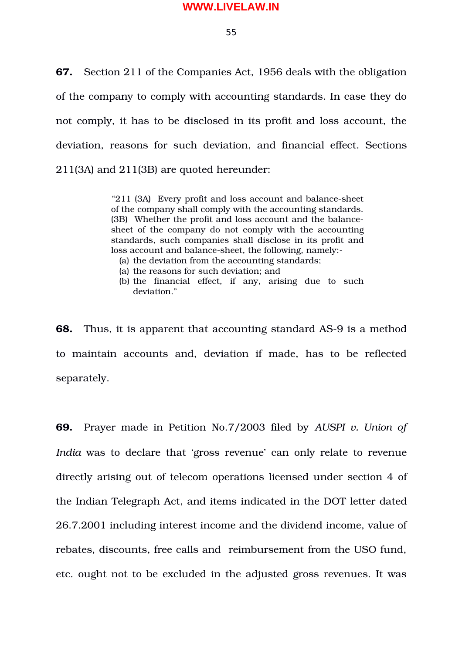55

**67.** Section 211 of the Companies Act, 1956 deals with the obligation of the company to comply with accounting standards. In case they do not comply, it has to be disclosed in its profit and loss account, the deviation, reasons for such deviation, and financial effect. Sections 211(3A) and 211(3B) are quoted hereunder:

> "211 (3A) Every profit and loss account and balance-sheet of the company shall comply with the accounting standards. (3B) Whether the profit and loss account and the balancesheet of the company do not comply with the accounting standards, such companies shall disclose in its profit and loss account and balance-sheet, the following, namely:-

- (a) the deviation from the accounting standards;
- (a) the reasons for such deviation; and
- (b) the financial effect, if any, arising due to such deviation."

**68.** Thus, it is apparent that accounting standard AS-9 is a method to maintain accounts and, deviation if made, has to be reflected separately.

**69.** Prayer made in Petition No.7/2003 filed by *AUSPI v. Union of India* was to declare that 'gross revenue' can only relate to revenue directly arising out of telecom operations licensed under section 4 of the Indian Telegraph Act, and items indicated in the DOT letter dated 26.7.2001 including interest income and the dividend income, value of rebates, discounts, free calls and reimbursement from the USO fund, etc. ought not to be excluded in the adjusted gross revenues. It was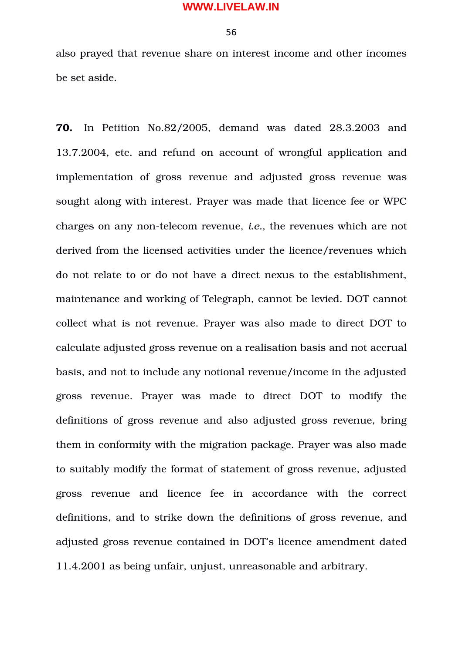also prayed that revenue share on interest income and other incomes be set aside.

**70.** In Petition No.82/2005, demand was dated 28.3.2003 and 13.7.2004, etc. and refund on account of wrongful application and implementation of gross revenue and adjusted gross revenue was sought along with interest. Prayer was made that licence fee or WPC charges on any non-telecom revenue, *i.e.*, the revenues which are not derived from the licensed activities under the licence/revenues which do not relate to or do not have a direct nexus to the establishment, maintenance and working of Telegraph, cannot be levied. DOT cannot collect what is not revenue. Prayer was also made to direct DOT to calculate adjusted gross revenue on a realisation basis and not accrual basis, and not to include any notional revenue/income in the adjusted gross revenue. Prayer was made to direct DOT to modify the definitions of gross revenue and also adjusted gross revenue, bring them in conformity with the migration package. Prayer was also made to suitably modify the format of statement of gross revenue, adjusted gross revenue and licence fee in accordance with the correct definitions, and to strike down the definitions of gross revenue, and adjusted gross revenue contained in DOT's licence amendment dated 11.4.2001 as being unfair, unjust, unreasonable and arbitrary.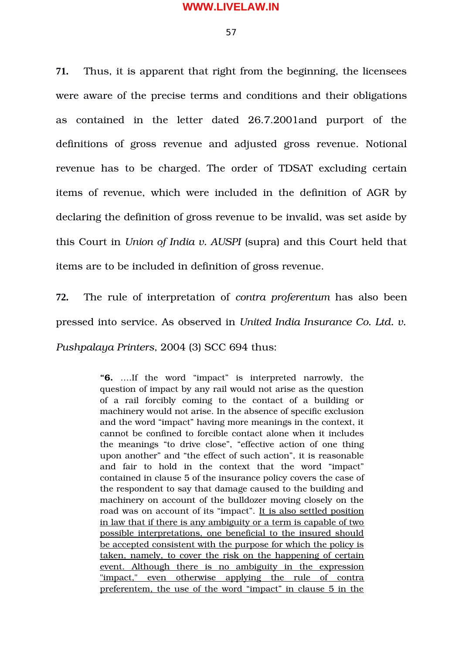**71.** Thus, it is apparent that right from the beginning, the licensees were aware of the precise terms and conditions and their obligations as contained in the letter dated 26.7.2001and purport of the definitions of gross revenue and adjusted gross revenue. Notional revenue has to be charged. The order of TDSAT excluding certain items of revenue, which were included in the definition of AGR by declaring the definition of gross revenue to be invalid, was set aside by this Court in *Union of India v. AUSPI* (supra) and this Court held that items are to be included in definition of gross revenue.

**72.** The rule of interpretation of *contra proferentum* has also been pressed into service. As observed in *United India Insurance Co. Ltd. v. Pushpalaya Printers*, 2004 (3) SCC 694 thus:

> **"6.** ….If the word "impact" is interpreted narrowly, the question of impact by any rail would not arise as the question of a rail forcibly coming to the contact of a building or machinery would not arise. In the absence of specific exclusion and the word "impact" having more meanings in the context, it cannot be confined to forcible contact alone when it includes the meanings "to drive close", "effective action of one thing upon another" and "the effect of such action", it is reasonable and fair to hold in the context that the word "impact" contained in clause 5 of the insurance policy covers the case of the respondent to say that damage caused to the building and machinery on account of the bulldozer moving closely on the road was on account of its "impact". It is also settled position in law that if there is any ambiguity or a term is capable of two possible interpretations, one beneficial to the insured should be accepted consistent with the purpose for which the policy is taken, namely, to cover the risk on the happening of certain event. Although there is no ambiguity in the expression "impact," even otherwise applying the rule of contra preferentem, the use of the word "impact" in clause 5 in the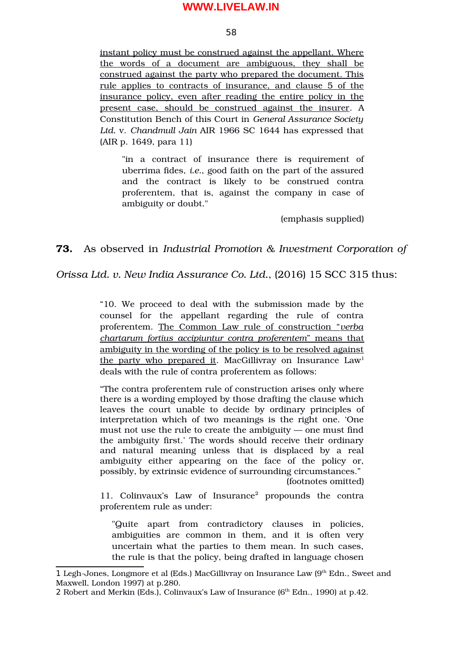58

instant policy must be construed against the appellant. Where the words of a document are ambiguous, they shall be construed against the party who prepared the document. This rule applies to contracts of insurance, and clause 5 of the insurance policy, even after reading the entire policy in the present case, should be construed against the insurer. A Constitution Bench of this Court in *General Assurance Society Ltd.* v. *Chandmull Jain* AIR 1966 SC 1644 has expressed that (AIR p. 1649, para 11)

"in a contract of insurance there is requirement of uberrima fides, *i.e.*, good faith on the part of the assured and the contract is likely to be construed contra proferentem, that is, against the company in case of ambiguity or doubt."

(emphasis supplied)

# **73.** As observed in *Industrial Promotion & Investment Corporation of*

*Orissa Ltd. v. New India Assurance Co. Ltd.*, (2016) 15 SCC 315 thus:

"10. We proceed to deal with the submission made by the counsel for the appellant regarding the rule of contra proferentem. The Common Law rule of construction "*verba chartarum fortius accipiuntur contra proferentem*" means that ambiguity in the wording of the policy is to be resolved against the party who prepared it. MacGillivray on Insurance  $Law<sup>1</sup>$  $Law<sup>1</sup>$  $Law<sup>1</sup>$ deals with the rule of contra proferentem as follows:

"The contra proferentem rule of construction arises only where there is a wording employed by those drafting the clause which leaves the court unable to decide by ordinary principles of interpretation which of two meanings is the right one. 'One must not use the rule to create the ambiguity — one must find the ambiguity first.' The words should receive their ordinary and natural meaning unless that is displaced by a real ambiguity either appearing on the face of the policy or, possibly, by extrinsic evidence of surrounding circumstances."

(footnotes omitted)

11. Colinvaux's Law of Insurance<sup>[2](#page-57-1)</sup> propounds the contra proferentem rule as under:

"Quite apart from contradictory clauses in policies, ambiguities are common in them, and it is often very uncertain what the parties to them mean. In such cases, the rule is that the policy, being drafted in language chosen

<span id="page-57-0"></span><sup>1</sup> Legh-Jones, Longmore et al (Eds.) MacGillivray on Insurance Law (9<sup>th</sup> Edn., Sweet and Maxwell, London 1997) at p.280.

<span id="page-57-1"></span><sup>2</sup> Robert and Merkin (Eds.), Colinvaux's Law of Insurance ( $6<sup>th</sup>$  Edn., 1990) at p.42.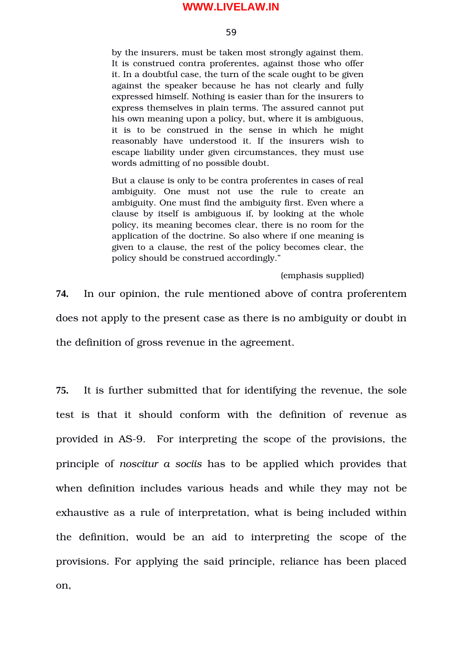#### 59

by the insurers, must be taken most strongly against them. It is construed contra proferentes, against those who offer it. In a doubtful case, the turn of the scale ought to be given against the speaker because he has not clearly and fully expressed himself. Nothing is easier than for the insurers to express themselves in plain terms. The assured cannot put his own meaning upon a policy, but, where it is ambiguous, it is to be construed in the sense in which he might reasonably have understood it. If the insurers wish to escape liability under given circumstances, they must use words admitting of no possible doubt.

But a clause is only to be contra proferentes in cases of real ambiguity. One must not use the rule to create an ambiguity. One must find the ambiguity first. Even where a clause by itself is ambiguous if, by looking at the whole policy, its meaning becomes clear, there is no room for the application of the doctrine. So also where if one meaning is given to a clause, the rest of the policy becomes clear, the policy should be construed accordingly."

(emphasis supplied)

**74.** In our opinion, the rule mentioned above of contra proferentem does not apply to the present case as there is no ambiguity or doubt in the definition of gross revenue in the agreement.

**75.** It is further submitted that for identifying the revenue, the sole test is that it should conform with the definition of revenue as provided in AS9. For interpreting the scope of the provisions, the principle of *noscitur a sociis* has to be applied which provides that when definition includes various heads and while they may not be exhaustive as a rule of interpretation, what is being included within the definition, would be an aid to interpreting the scope of the provisions. For applying the said principle, reliance has been placed on,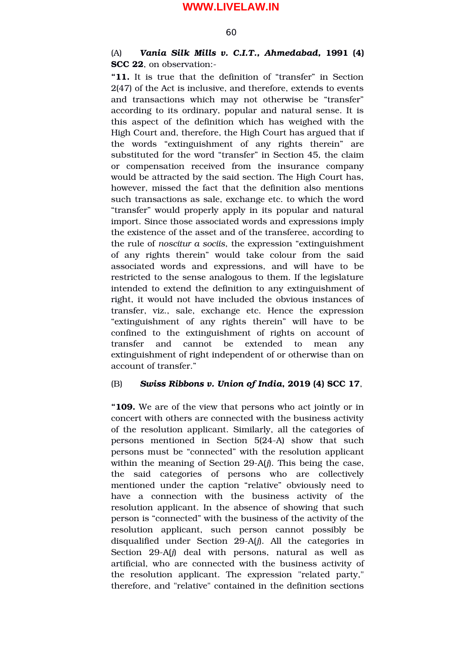#### 60

### (A) *Vania Silk Mills v. C.I.T., Ahmedabad,* **1991 (4) SCC 22**, on observation:

**"11.** It is true that the definition of "transfer" in Section 2(47) of the Act is inclusive, and therefore, extends to events and transactions which may not otherwise be "transfer" according to its ordinary, popular and natural sense. It is this aspect of the definition which has weighed with the High Court and, therefore, the High Court has argued that if the words "extinguishment of any rights therein" are substituted for the word "transfer" in Section 45, the claim or compensation received from the insurance company would be attracted by the said section. The High Court has, however, missed the fact that the definition also mentions such transactions as sale, exchange etc. to which the word "transfer" would properly apply in its popular and natural import. Since those associated words and expressions imply the existence of the asset and of the transferee, according to the rule of *noscitur a sociis*, the expression "extinguishment of any rights therein" would take colour from the said associated words and expressions, and will have to be restricted to the sense analogous to them. If the legislature intended to extend the definition to any extinguishment of right, it would not have included the obvious instances of transfer, viz., sale, exchange etc. Hence the expression "extinguishment of any rights therein" will have to be confined to the extinguishment of rights on account of transfer and cannot be extended to mean any extinguishment of right independent of or otherwise than on account of transfer."

#### (B) *Swiss Ribbons v. Union of India***, 2019 (4) SCC 17**,

**"109.** We are of the view that persons who act jointly or in concert with others are connected with the business activity of the resolution applicant. Similarly, all the categories of persons mentioned in Section 5(24-A) show that such persons must be "connected" with the resolution applicant within the meaning of Section 29-A(*j*). This being the case, the said categories of persons who are collectively mentioned under the caption "relative" obviously need to have a connection with the business activity of the resolution applicant. In the absence of showing that such person is "connected" with the business of the activity of the resolution applicant, such person cannot possibly be disqualified under Section 29-A(*j*). All the categories in Section 29-A(*j*) deal with persons, natural as well as artificial, who are connected with the business activity of the resolution applicant. The expression "related party," therefore, and "relative" contained in the definition sections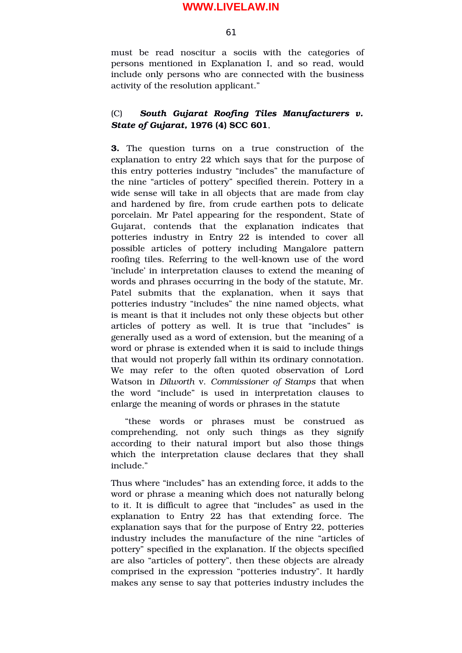61

must be read noscitur a sociis with the categories of persons mentioned in Explanation I, and so read, would include only persons who are connected with the business activity of the resolution applicant."

## (C) *South Gujarat Roofing Tiles Manufacturers v. State of Gujarat,* **1976 (4) SCC 601**,

**3.** The question turns on a true construction of the explanation to entry 22 which says that for the purpose of this entry potteries industry "includes" the manufacture of the nine "articles of pottery" specified therein. Pottery in a wide sense will take in all objects that are made from clay and hardened by fire, from crude earthen pots to delicate porcelain. Mr Patel appearing for the respondent, State of Gujarat, contends that the explanation indicates that potteries industry in Entry 22 is intended to cover all possible articles of pottery including Mangalore pattern roofing tiles. Referring to the well-known use of the word 'include' in interpretation clauses to extend the meaning of words and phrases occurring in the body of the statute, Mr. Patel submits that the explanation, when it says that potteries industry "includes" the nine named objects, what is meant is that it includes not only these objects but other articles of pottery as well. It is true that "includes" is generally used as a word of extension, but the meaning of a word or phrase is extended when it is said to include things that would not properly fall within its ordinary connotation. We may refer to the often quoted observation of Lord Watson in *Dilworth* v. *Commissioner of Stamps* that when the word "include" is used in interpretation clauses to enlarge the meaning of words or phrases in the statute

"these words or phrases must be construed as comprehending, not only such things as they signify according to their natural import but also those things which the interpretation clause declares that they shall include."

Thus where "includes" has an extending force, it adds to the word or phrase a meaning which does not naturally belong to it. It is difficult to agree that "includes" as used in the explanation to Entry 22 has that extending force. The explanation says that for the purpose of Entry 22, potteries industry includes the manufacture of the nine "articles of pottery" specified in the explanation. If the objects specified are also "articles of pottery", then these objects are already comprised in the expression "potteries industry". It hardly makes any sense to say that potteries industry includes the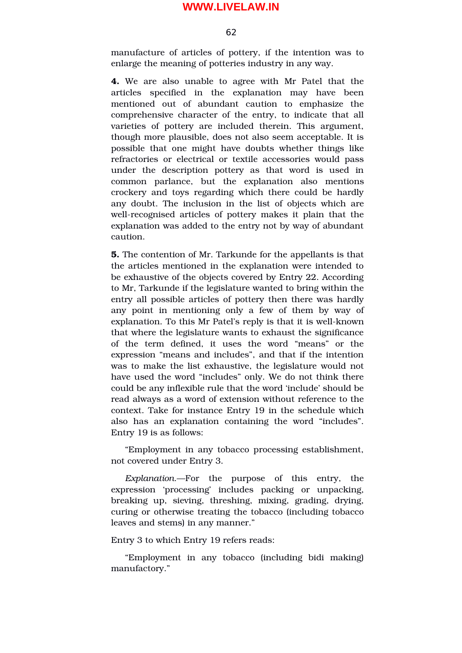62

manufacture of articles of pottery, if the intention was to enlarge the meaning of potteries industry in any way.

**4.** We are also unable to agree with Mr Patel that the articles specified in the explanation may have been mentioned out of abundant caution to emphasize the comprehensive character of the entry, to indicate that all varieties of pottery are included therein. This argument, though more plausible, does not also seem acceptable. It is possible that one might have doubts whether things like refractories or electrical or textile accessories would pass under the description pottery as that word is used in common parlance, but the explanation also mentions crockery and toys regarding which there could be hardly any doubt. The inclusion in the list of objects which are well-recognised articles of pottery makes it plain that the explanation was added to the entry not by way of abundant caution.

**5.** The contention of Mr. Tarkunde for the appellants is that the articles mentioned in the explanation were intended to be exhaustive of the objects covered by Entry 22. According to Mr, Tarkunde if the legislature wanted to bring within the entry all possible articles of pottery then there was hardly any point in mentioning only a few of them by way of explanation. To this Mr Patel's reply is that it is well-known that where the legislature wants to exhaust the significance of the term defined, it uses the word "means" or the expression "means and includes", and that if the intention was to make the list exhaustive, the legislature would not have used the word "includes" only. We do not think there could be any inflexible rule that the word 'include' should be read always as a word of extension without reference to the context. Take for instance Entry 19 in the schedule which also has an explanation containing the word "includes". Entry 19 is as follows:

"Employment in any tobacco processing establishment, not covered under Entry 3.

*Explanation*.—For the purpose of this entry, the expression 'processing' includes packing or unpacking, breaking up, sieving, threshing, mixing, grading, drying, curing or otherwise treating the tobacco (including tobacco leaves and stems) in any manner."

#### Entry 3 to which Entry 19 refers reads:

"Employment in any tobacco (including bidi making) manufactory."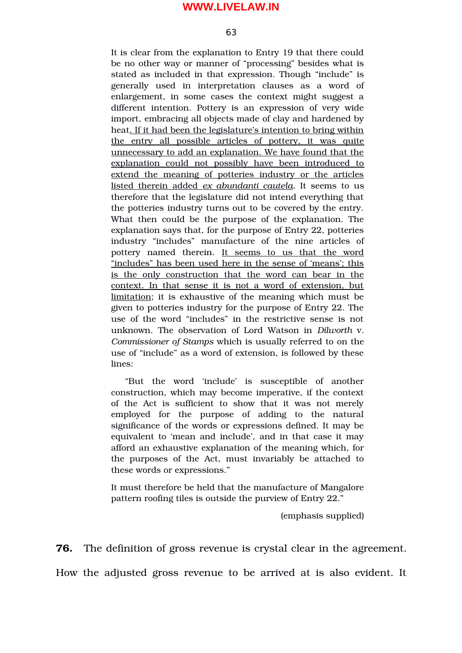63

It is clear from the explanation to Entry 19 that there could be no other way or manner of "processing" besides what is stated as included in that expression. Though "include" is generally used in interpretation clauses as a word of enlargement, in some cases the context might suggest a different intention. Pottery is an expression of very wide import, embracing all objects made of clay and hardened by heat. If it had been the legislature's intention to bring within the entry all possible articles of pottery, it was quite unnecessary to add an explanation. We have found that the explanation could not possibly have been introduced to extend the meaning of potteries industry or the articles listed therein added *ex abundanti cautela.* It seems to us therefore that the legislature did not intend everything that the potteries industry turns out to be covered by the entry. What then could be the purpose of the explanation. The explanation says that, for the purpose of Entry 22, potteries industry "includes" manufacture of the nine articles of pottery named therein. It seems to us that the word "includes" has been used here in the sense of 'means'; this is the only construction that the word can bear in the context. In that sense it is not a word of extension, but limitation; it is exhaustive of the meaning which must be given to potteries industry for the purpose of Entry 22. The use of the word "includes" in the restrictive sense is not unknown. The observation of Lord Watson in *Dilworth* v. *Commissioner of Stamps* which is usually referred to on the use of "include" as a word of extension, is followed by these lines:

"But the word 'include' is susceptible of another construction, which may become imperative, if the context of the Act is sufficient to show that it was not merely employed for the purpose of adding to the natural significance of the words or expressions defined. It may be equivalent to 'mean and include', and in that case it may afford an exhaustive explanation of the meaning which, for the purposes of the Act, must invariably be attached to these words or expressions."

It must therefore be held that the manufacture of Mangalore pattern roofing tiles is outside the purview of Entry 22."

(emphasis supplied)

**76.** The definition of gross revenue is crystal clear in the agreement.

How the adjusted gross revenue to be arrived at is also evident. It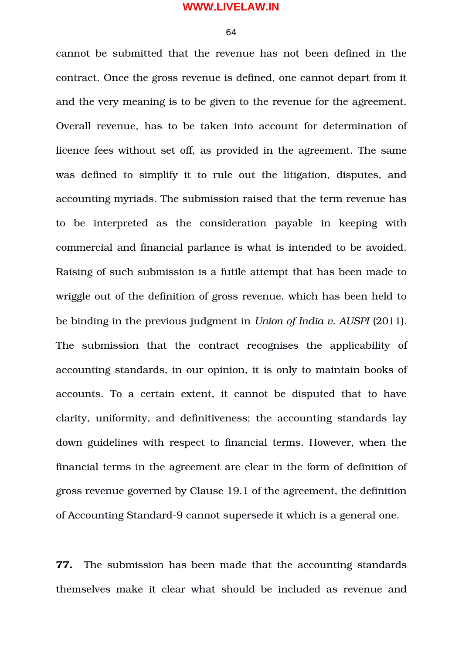64

cannot be submitted that the revenue has not been defined in the contract. Once the gross revenue is defined, one cannot depart from it and the very meaning is to be given to the revenue for the agreement. Overall revenue, has to be taken into account for determination of licence fees without set off, as provided in the agreement. The same was defined to simplify it to rule out the litigation, disputes, and accounting myriads. The submission raised that the term revenue has to be interpreted as the consideration payable in keeping with commercial and financial parlance is what is intended to be avoided. Raising of such submission is a futile attempt that has been made to wriggle out of the definition of gross revenue, which has been held to be binding in the previous judgment in *Union of India v. AUSPI* (2011). The submission that the contract recognises the applicability of accounting standards, in our opinion, it is only to maintain books of accounts. To a certain extent, it cannot be disputed that to have clarity, uniformity, and definitiveness; the accounting standards lay down guidelines with respect to financial terms. However, when the financial terms in the agreement are clear in the form of definition of gross revenue governed by Clause 19.1 of the agreement, the definition of Accounting Standard-9 cannot supersede it which is a general one.

**77.** The submission has been made that the accounting standards themselves make it clear what should be included as revenue and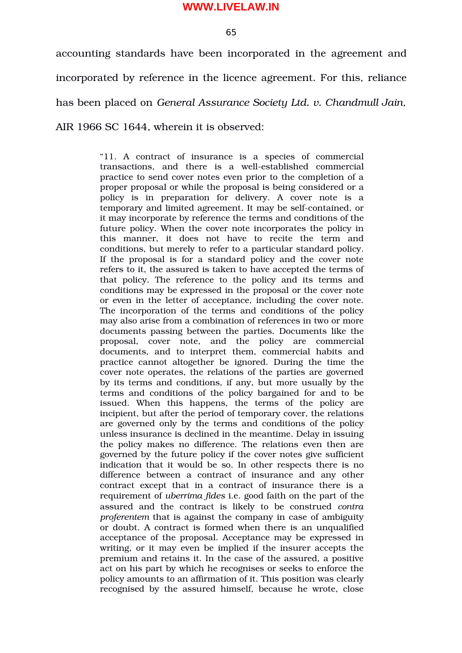65

accounting standards have been incorporated in the agreement and incorporated by reference in the licence agreement. For this, reliance has been placed on *General Assurance Society Ltd. v. Chandmull Jain,* AIR 1966 SC 1644, wherein it is observed:

> "11. A contract of insurance is a species of commercial transactions, and there is a well-established commercial practice to send cover notes even prior to the completion of a proper proposal or while the proposal is being considered or a policy is in preparation for delivery. A cover note is a temporary and limited agreement. It may be self-contained, or it may incorporate by reference the terms and conditions of the future policy. When the cover note incorporates the policy in this manner, it does not have to recite the term and conditions, but merely to refer to a particular standard policy. If the proposal is for a standard policy and the cover note refers to it, the assured is taken to have accepted the terms of that policy. The reference to the policy and its terms and conditions may be expressed in the proposal or the cover note or even in the letter of acceptance, including the cover note. The incorporation of the terms and conditions of the policy may also arise from a combination of references in two or more documents passing between the parties. Documents like the proposal, cover note, and the policy are commercial documents, and to interpret them, commercial habits and practice cannot altogether be ignored. During the time the cover note operates, the relations of the parties are governed by its terms and conditions, if any, but more usually by the terms and conditions of the policy bargained for and to be issued. When this happens, the terms of the policy are incipient, but after the period of temporary cover, the relations are governed only by the terms and conditions of the policy unless insurance is declined in the meantime. Delay in issuing the policy makes no difference. The relations even then are governed by the future policy if the cover notes give sufficient indication that it would be so. In other respects there is no difference between a contract of insurance and any other contract except that in a contract of insurance there is a requirement of *uberrima fides* i.e. good faith on the part of the assured and the contract is likely to be construed *contra proferentem* that is against the company in case of ambiguity or doubt. A contract is formed when there is an unqualified acceptance of the proposal. Acceptance may be expressed in writing, or it may even be implied if the insurer accepts the premium and retains it. In the case of the assured, a positive act on his part by which he recognises or seeks to enforce the policy amounts to an affirmation of it. This position was clearly recognised by the assured himself, because he wrote, close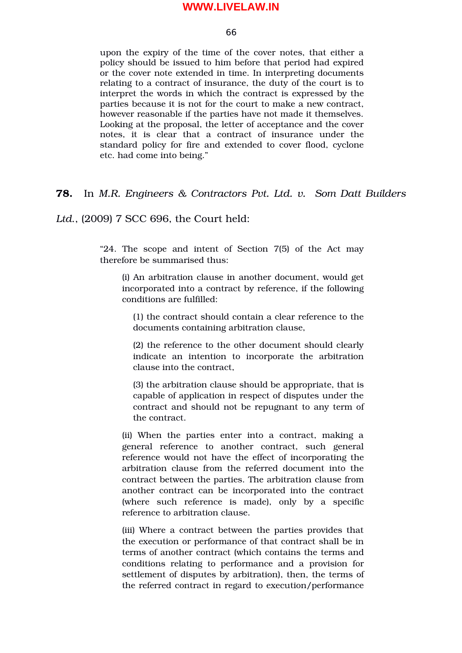#### 66

upon the expiry of the time of the cover notes, that either a policy should be issued to him before that period had expired or the cover note extended in time. In interpreting documents relating to a contract of insurance, the duty of the court is to interpret the words in which the contract is expressed by the parties because it is not for the court to make a new contract, however reasonable if the parties have not made it themselves. Looking at the proposal, the letter of acceptance and the cover notes, it is clear that a contract of insurance under the standard policy for fire and extended to cover flood, cyclone etc. had come into being."

**78.** In *M.R. Engineers & Contractors Pvt. Ltd. v. Som Datt Builders*

*Ltd*., (2009) 7 SCC 696, the Court held:

"24. The scope and intent of Section 7(5) of the Act may therefore be summarised thus:

(i) An arbitration clause in another document, would get incorporated into a contract by reference, if the following conditions are fulfilled:

(1) the contract should contain a clear reference to the documents containing arbitration clause,

(2) the reference to the other document should clearly indicate an intention to incorporate the arbitration clause into the contract,

(3) the arbitration clause should be appropriate, that is capable of application in respect of disputes under the contract and should not be repugnant to any term of the contract.

(ii) When the parties enter into a contract, making a general reference to another contract, such general reference would not have the effect of incorporating the arbitration clause from the referred document into the contract between the parties. The arbitration clause from another contract can be incorporated into the contract (where such reference is made), only by a specific reference to arbitration clause.

(iii) Where a contract between the parties provides that the execution or performance of that contract shall be in terms of another contract (which contains the terms and conditions relating to performance and a provision for settlement of disputes by arbitration), then, the terms of the referred contract in regard to execution/performance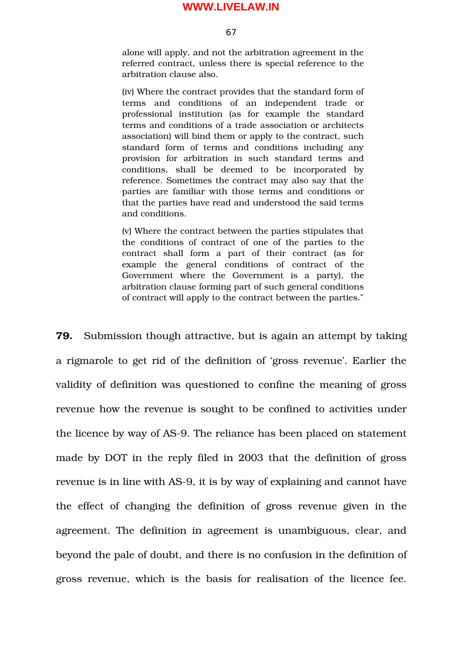67

alone will apply, and not the arbitration agreement in the referred contract, unless there is special reference to the arbitration clause also.

(iv) Where the contract provides that the standard form of terms and conditions of an independent trade or professional institution (as for example the standard terms and conditions of a trade association or architects association) will bind them or apply to the contract, such standard form of terms and conditions including any provision for arbitration in such standard terms and conditions, shall be deemed to be incorporated by reference. Sometimes the contract may also say that the parties are familiar with those terms and conditions or that the parties have read and understood the said terms and conditions.

(v) Where the contract between the parties stipulates that the conditions of contract of one of the parties to the contract shall form a part of their contract (as for example the general conditions of contract of the Government where the Government is a party), the arbitration clause forming part of such general conditions of contract will apply to the contract between the parties."

**79.** Submission though attractive, but is again an attempt by taking a rigmarole to get rid of the definition of 'gross revenue'. Earlier the validity of definition was questioned to confine the meaning of gross revenue how the revenue is sought to be confined to activities under the licence by way of AS-9. The reliance has been placed on statement made by DOT in the reply filed in 2003 that the definition of gross revenue is in line with AS-9, it is by way of explaining and cannot have the effect of changing the definition of gross revenue given in the agreement. The definition in agreement is unambiguous, clear, and beyond the pale of doubt, and there is no confusion in the definition of gross revenue, which is the basis for realisation of the licence fee.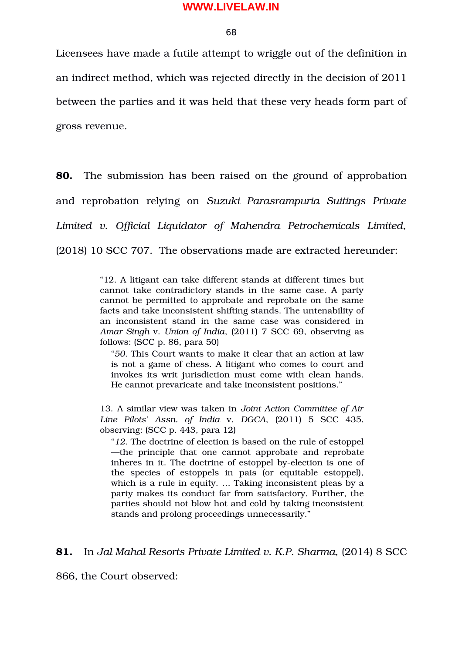68

Licensees have made a futile attempt to wriggle out of the definition in an indirect method, which was rejected directly in the decision of 2011 between the parties and it was held that these very heads form part of gross revenue.

**80.** The submission has been raised on the ground of approbation and reprobation relying on *Suzuki Parasrampuria Suitings Private Limited v. Official Liquidator of Mahendra Petrochemicals Limited,* (2018) 10 SCC 707. The observations made are extracted hereunder:

> "12. A litigant can take different stands at different times but cannot take contradictory stands in the same case. A party cannot be permitted to approbate and reprobate on the same facts and take inconsistent shifting stands. The untenability of an inconsistent stand in the same case was considered in *Amar Singh* v. *Union of India*, (2011) 7 SCC 69, observing as follows: (SCC p. 86, para 50)

"*50*. This Court wants to make it clear that an action at law is not a game of chess. A litigant who comes to court and invokes its writ jurisdiction must come with clean hands. He cannot prevaricate and take inconsistent positions."

13. A similar view was taken in *Joint Action Committee of Air Line Pilots' Assn. of India* v. *DGCA*, (2011) 5 SCC 435, observing: (SCC p. 443, para 12)

"*12*. The doctrine of election is based on the rule of estoppel —the principle that one cannot approbate and reprobate inheres in it. The doctrine of estoppel by-election is one of the species of estoppels in pais (or equitable estoppel), which is a rule in equity. … Taking inconsistent pleas by a party makes its conduct far from satisfactory. Further, the parties should not blow hot and cold by taking inconsistent stands and prolong proceedings unnecessarily."

**81.** In *Jal Mahal Resorts Private Limited v. K.P. Sharma,* (2014) 8 SCC

866, the Court observed: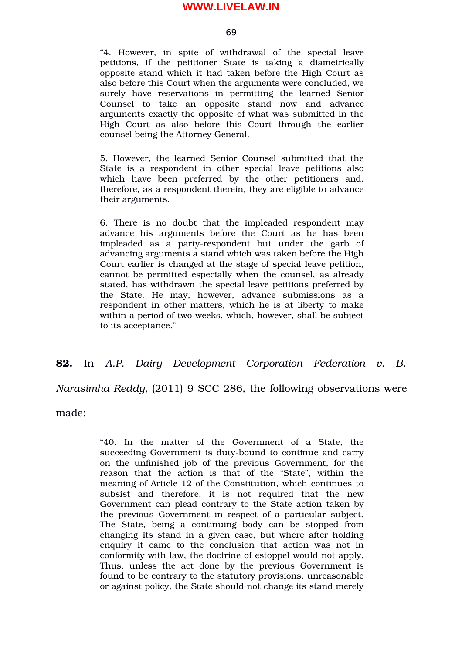69

"4. However, in spite of withdrawal of the special leave petitions, if the petitioner State is taking a diametrically opposite stand which it had taken before the High Court as also before this Court when the arguments were concluded, we surely have reservations in permitting the learned Senior Counsel to take an opposite stand now and advance arguments exactly the opposite of what was submitted in the High Court as also before this Court through the earlier counsel being the Attorney General.

5. However, the learned Senior Counsel submitted that the State is a respondent in other special leave petitions also which have been preferred by the other petitioners and, therefore, as a respondent therein, they are eligible to advance their arguments.

6. There is no doubt that the impleaded respondent may advance his arguments before the Court as he has been impleaded as a party-respondent but under the garb of advancing arguments a stand which was taken before the High Court earlier is changed at the stage of special leave petition, cannot be permitted especially when the counsel, as already stated, has withdrawn the special leave petitions preferred by the State. He may, however, advance submissions as a respondent in other matters, which he is at liberty to make within a period of two weeks, which, however, shall be subject to its acceptance."

# **82.** In *A.P. Dairy Development Corporation Federation v. B.*

*Narasimha Reddy,* (2011) 9 SCC 286, the following observations were

made:

"40. In the matter of the Government of a State, the succeeding Government is duty-bound to continue and carry on the unfinished job of the previous Government, for the reason that the action is that of the "State", within the meaning of Article 12 of the Constitution, which continues to subsist and therefore, it is not required that the new Government can plead contrary to the State action taken by the previous Government in respect of a particular subject. The State, being a continuing body can be stopped from changing its stand in a given case, but where after holding enquiry it came to the conclusion that action was not in conformity with law, the doctrine of estoppel would not apply. Thus, unless the act done by the previous Government is found to be contrary to the statutory provisions, unreasonable or against policy, the State should not change its stand merely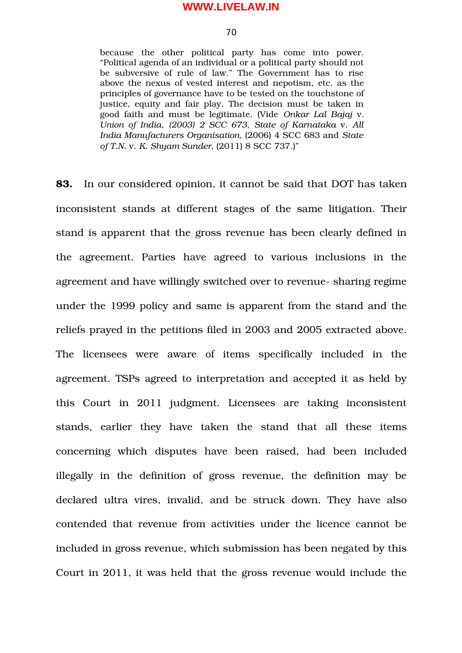70

because the other political party has come into power. "Political agenda of an individual or a political party should not be subversive of rule of law." The Government has to rise above the nexus of vested interest and nepotism, etc. as the principles of governance have to be tested on the touchstone of justice, equity and fair play. The decision must be taken in good faith and must be legitimate. (Vide *Onkar Lal Bajaj* v. *Union of India*, *(2003) 2 SCC 673, State of Karnataka* v. *All India Manufacturers Organisation,* (2006) 4 SCC 683 and *State of T.N.* v. *K. Shyam Sunder,* (2011) 8 SCC 737.)"

**83.** In our considered opinion, it cannot be said that DOT has taken inconsistent stands at different stages of the same litigation. Their stand is apparent that the gross revenue has been clearly defined in the agreement. Parties have agreed to various inclusions in the agreement and have willingly switched over to revenue-sharing regime under the 1999 policy and same is apparent from the stand and the reliefs prayed in the petitions filed in 2003 and 2005 extracted above. The licensees were aware of items specifically included in the agreement. TSPs agreed to interpretation and accepted it as held by this Court in 2011 judgment. Licensees are taking inconsistent stands, earlier they have taken the stand that all these items concerning which disputes have been raised, had been included illegally in the definition of gross revenue, the definition may be declared ultra vires, invalid, and be struck down. They have also contended that revenue from activities under the licence cannot be included in gross revenue, which submission has been negated by this Court in 2011, it was held that the gross revenue would include the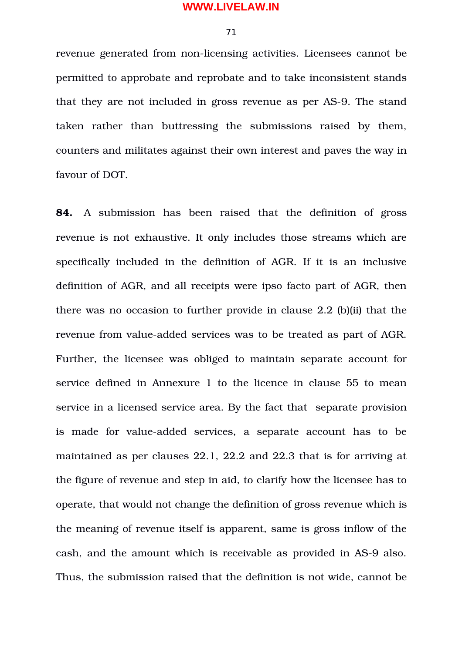71

revenue generated from non-licensing activities. Licensees cannot be permitted to approbate and reprobate and to take inconsistent stands that they are not included in gross revenue as per AS-9. The stand taken rather than buttressing the submissions raised by them, counters and militates against their own interest and paves the way in favour of DOT.

**84.** A submission has been raised that the definition of gross revenue is not exhaustive. It only includes those streams which are specifically included in the definition of AGR. If it is an inclusive definition of AGR, and all receipts were ipso facto part of AGR, then there was no occasion to further provide in clause 2.2 (b)(ii) that the revenue from value-added services was to be treated as part of AGR. Further, the licensee was obliged to maintain separate account for service defined in Annexure 1 to the licence in clause 55 to mean service in a licensed service area. By the fact that separate provision is made for value-added services, a separate account has to be maintained as per clauses 22.1, 22.2 and 22.3 that is for arriving at the figure of revenue and step in aid, to clarify how the licensee has to operate, that would not change the definition of gross revenue which is the meaning of revenue itself is apparent, same is gross inflow of the cash, and the amount which is receivable as provided in AS-9 also. Thus, the submission raised that the definition is not wide, cannot be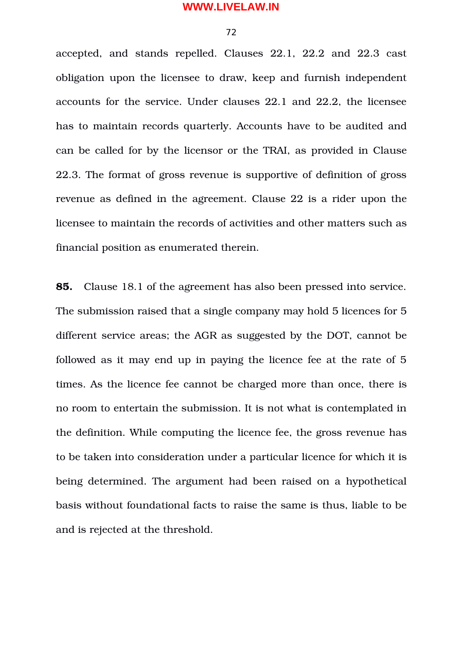72

accepted, and stands repelled. Clauses 22.1, 22.2 and 22.3 cast obligation upon the licensee to draw, keep and furnish independent accounts for the service. Under clauses 22.1 and 22.2, the licensee has to maintain records quarterly. Accounts have to be audited and can be called for by the licensor or the TRAI, as provided in Clause 22.3. The format of gross revenue is supportive of definition of gross revenue as defined in the agreement. Clause 22 is a rider upon the licensee to maintain the records of activities and other matters such as financial position as enumerated therein.

**85.** Clause 18.1 of the agreement has also been pressed into service. The submission raised that a single company may hold 5 licences for 5 different service areas; the AGR as suggested by the DOT, cannot be followed as it may end up in paying the licence fee at the rate of 5 times. As the licence fee cannot be charged more than once, there is no room to entertain the submission. It is not what is contemplated in the definition. While computing the licence fee, the gross revenue has to be taken into consideration under a particular licence for which it is being determined. The argument had been raised on a hypothetical basis without foundational facts to raise the same is thus, liable to be and is rejected at the threshold.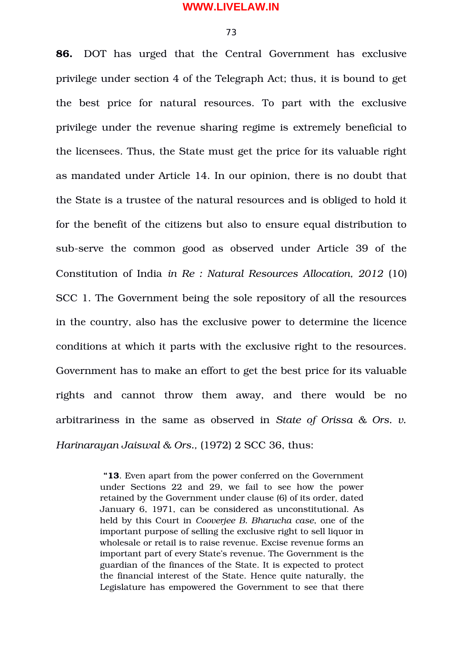73

**86.** DOT has urged that the Central Government has exclusive privilege under section 4 of the Telegraph Act; thus, it is bound to get the best price for natural resources. To part with the exclusive privilege under the revenue sharing regime is extremely beneficial to the licensees. Thus, the State must get the price for its valuable right as mandated under Article 14. In our opinion, there is no doubt that the State is a trustee of the natural resources and is obliged to hold it for the benefit of the citizens but also to ensure equal distribution to sub-serve the common good as observed under Article 39 of the Constitution of India *in Re : Natural Resources Allocation, 2012* (10) SCC 1. The Government being the sole repository of all the resources in the country, also has the exclusive power to determine the licence conditions at which it parts with the exclusive right to the resources. Government has to make an effort to get the best price for its valuable rights and cannot throw them away, and there would be no arbitrariness in the same as observed in *State of Orissa & Ors. v. Harinarayan Jaiswal & Ors.,* (1972) 2 SCC 36, thus:

> **"13**. Even apart from the power conferred on the Government under Sections 22 and 29, we fail to see how the power retained by the Government under clause (6) of its order, dated January 6, 1971, can be considered as unconstitutional. As held by this Court in *Cooverjee B. Bharucha case*, one of the important purpose of selling the exclusive right to sell liquor in wholesale or retail is to raise revenue. Excise revenue forms an important part of every State's revenue. The Government is the guardian of the finances of the State. It is expected to protect the financial interest of the State. Hence quite naturally, the Legislature has empowered the Government to see that there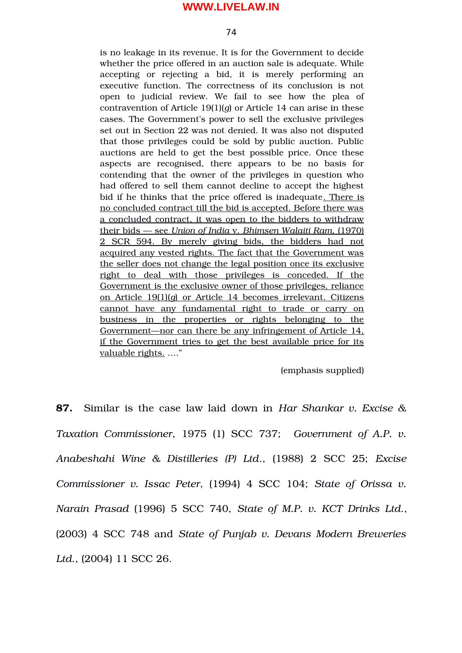74

is no leakage in its revenue. It is for the Government to decide whether the price offered in an auction sale is adequate. While accepting or rejecting a bid, it is merely performing an executive function. The correctness of its conclusion is not open to judicial review. We fail to see how the plea of contravention of Article 19(1)(*g*) or Article 14 can arise in these cases. The Government's power to sell the exclusive privileges set out in Section 22 was not denied. It was also not disputed that those privileges could be sold by public auction. Public auctions are held to get the best possible price. Once these aspects are recognised, there appears to be no basis for contending that the owner of the privileges in question who had offered to sell them cannot decline to accept the highest bid if he thinks that the price offered is inadequate. There is no concluded contract till the bid is accepted. Before there was a concluded contract, it was open to the bidders to withdraw their bids — see  *Union of India* v. *Bhimsen Walaiti Ram*, (1970) 2 SCR 594. By merely giving bids, the bidders had not acquired any vested rights. The fact that the Government was the seller does not change the legal position once its exclusive right to deal with those privileges is conceded. If the Government is the exclusive owner of those privileges, reliance on Article 19(1)(*g*) or Article 14 becomes irrelevant. Citizens cannot have any fundamental right to trade or carry on business in the properties or rights belonging to the Government—nor can there be any infringement of Article 14, if the Government tries to get the best available price for its valuable rights. …."

(emphasis supplied)

**87.** Similar is the case law laid down in *Har Shankar v. Excise & Taxation Commissioner*, 1975 (1) SCC 737; *Government of A.P. v. Anabeshahi Wine & Distilleries (P) Ltd*., (1988) 2 SCC 25; *Excise Commissioner v. Issac Peter*, (1994) 4 SCC 104; *State of Orissa v. Narain Prasad* (1996) 5 SCC 740, *State of M.P. v. KCT Drinks Ltd*., (2003) 4 SCC 748 and *State of Punjab v. Devans Modern Breweries Ltd*., (2004) 11 SCC 26.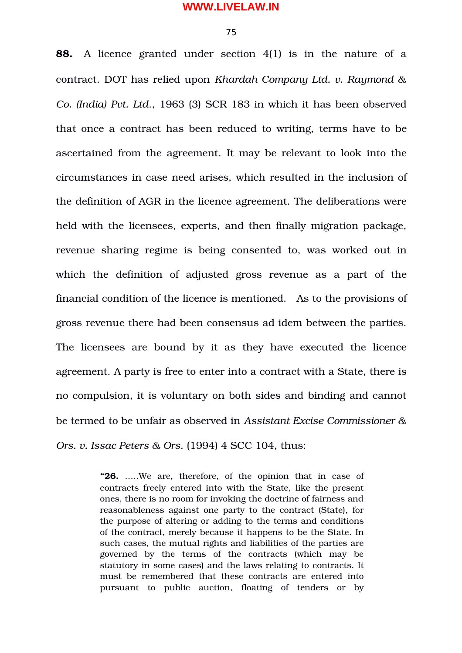75

**88.** A licence granted under section 4(1) is in the nature of a contract. DOT has relied upon *Khardah Company Ltd. v. Raymond & Co. (India) Pvt. Ltd*., 1963 (3) SCR 183 in which it has been observed that once a contract has been reduced to writing, terms have to be ascertained from the agreement. It may be relevant to look into the circumstances in case need arises, which resulted in the inclusion of the definition of AGR in the licence agreement. The deliberations were held with the licensees, experts, and then finally migration package, revenue sharing regime is being consented to, was worked out in which the definition of adjusted gross revenue as a part of the financial condition of the licence is mentioned. As to the provisions of gross revenue there had been consensus ad idem between the parties. The licensees are bound by it as they have executed the licence agreement. A party is free to enter into a contract with a State, there is no compulsion, it is voluntary on both sides and binding and cannot be termed to be unfair as observed in *Assistant Excise Commissioner & Ors. v. Issac Peters & Ors*. (1994) 4 SCC 104, thus:

> "26. ....We are, therefore, of the opinion that in case of contracts freely entered into with the State, like the present ones, there is no room for invoking the doctrine of fairness and reasonableness against one party to the contract (State), for the purpose of altering or adding to the terms and conditions of the contract, merely because it happens to be the State. In such cases, the mutual rights and liabilities of the parties are governed by the terms of the contracts (which may be statutory in some cases) and the laws relating to contracts. It must be remembered that these contracts are entered into pursuant to public auction, floating of tenders or by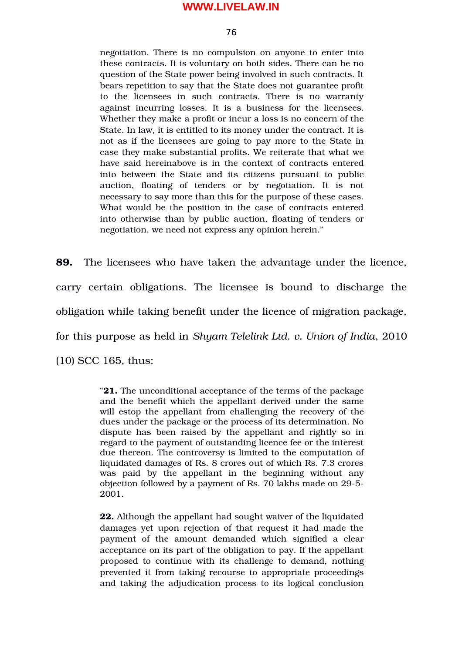76

negotiation. There is no compulsion on anyone to enter into these contracts. It is voluntary on both sides. There can be no question of the State power being involved in such contracts. It bears repetition to say that the State does not guarantee profit to the licensees in such contracts. There is no warranty against incurring losses. It is a business for the licensees. Whether they make a profit or incur a loss is no concern of the State. In law, it is entitled to its money under the contract. It is not as if the licensees are going to pay more to the State in case they make substantial profits. We reiterate that what we have said hereinabove is in the context of contracts entered into between the State and its citizens pursuant to public auction, floating of tenders or by negotiation. It is not necessary to say more than this for the purpose of these cases. What would be the position in the case of contracts entered into otherwise than by public auction, floating of tenders or negotiation, we need not express any opinion herein."

**89.** The licensees who have taken the advantage under the licence, carry certain obligations. The licensee is bound to discharge the obligation while taking benefit under the licence of migration package, for this purpose as held in *Shyam Telelink Ltd. v. Union of India*, 2010

(10) SCC 165, thus:

"**21.** The unconditional acceptance of the terms of the package and the benefit which the appellant derived under the same will estop the appellant from challenging the recovery of the dues under the package or the process of its determination. No dispute has been raised by the appellant and rightly so in regard to the payment of outstanding licence fee or the interest due thereon. The controversy is limited to the computation of liquidated damages of Rs. 8 crores out of which Rs. 7.3 crores was paid by the appellant in the beginning without any objection followed by a payment of Rs. 70 lakhs made on 29-5-2001.

**22.** Although the appellant had sought waiver of the liquidated damages yet upon rejection of that request it had made the payment of the amount demanded which signified a clear acceptance on its part of the obligation to pay. If the appellant proposed to continue with its challenge to demand, nothing prevented it from taking recourse to appropriate proceedings and taking the adjudication process to its logical conclusion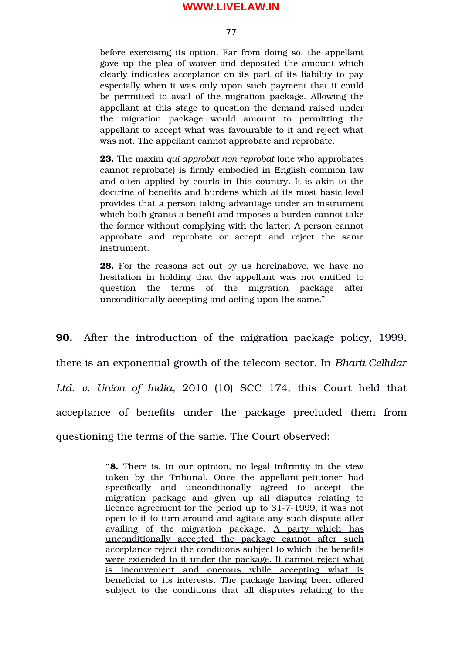77

before exercising its option. Far from doing so, the appellant gave up the plea of waiver and deposited the amount which clearly indicates acceptance on its part of its liability to pay especially when it was only upon such payment that it could be permitted to avail of the migration package. Allowing the appellant at this stage to question the demand raised under the migration package would amount to permitting the appellant to accept what was favourable to it and reject what was not. The appellant cannot approbate and reprobate.

**23.** The maxim *qui approbat non reprobat* (one who approbates cannot reprobate) is firmly embodied in English common law and often applied by courts in this country. It is akin to the doctrine of benefits and burdens which at its most basic level provides that a person taking advantage under an instrument which both grants a benefit and imposes a burden cannot take the former without complying with the latter. A person cannot approbate and reprobate or accept and reject the same instrument.

**28.** For the reasons set out by us hereinabove, we have no hesitation in holding that the appellant was not entitled to question the terms of the migration package after unconditionally accepting and acting upon the same."

**90.** After the introduction of the migration package policy, 1999, there is an exponential growth of the telecom sector. In *Bharti Cellular* Ltd. v. Union of India, 2010 (10) SCC 174, this Court held that acceptance of benefits under the package precluded them from questioning the terms of the same. The Court observed:

> **"8.** There is, in our opinion, no legal infirmity in the view taken by the Tribunal. Once the appellant-petitioner had specifically and unconditionally agreed to accept the migration package and given up all disputes relating to licence agreement for the period up to 31-7-1999, it was not open to it to turn around and agitate any such dispute after availing of the migration package. A party which has unconditionally accepted the package cannot after such acceptance reject the conditions subject to which the benefits were extended to it under the package. It cannot reject what is inconvenient and onerous while accepting what is beneficial to its interests. The package having been offered subject to the conditions that all disputes relating to the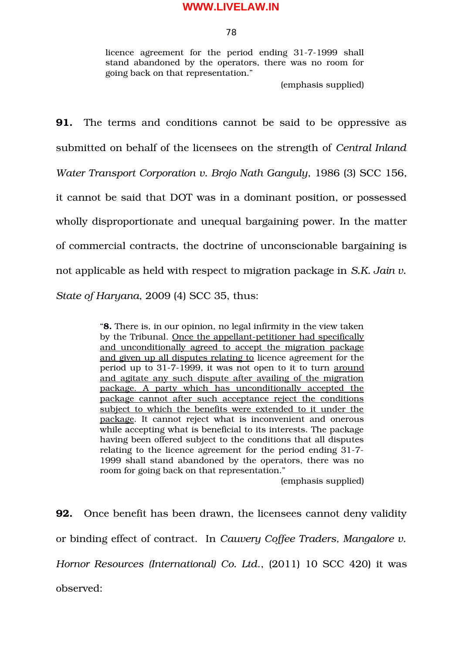78

licence agreement for the period ending 31-7-1999 shall stand abandoned by the operators, there was no room for going back on that representation."

(emphasis supplied)

**91.** The terms and conditions cannot be said to be oppressive as submitted on behalf of the licensees on the strength of *Central Inland Water Transport Corporation v. Brojo Nath Ganguly*, 1986 (3) SCC 156, it cannot be said that DOT was in a dominant position, or possessed wholly disproportionate and unequal bargaining power. In the matter of commercial contracts, the doctrine of unconscionable bargaining is not applicable as held with respect to migration package in *S.K. Jain v. State of Haryana*, 2009 (4) SCC 35, thus:

> "**8.** There is, in our opinion, no legal infirmity in the view taken by the Tribunal. Once the appellant-petitioner had specifically and unconditionally agreed to accept the migration package and given up all disputes relating to licence agreement for the period up to 31-7-1999, it was not open to it to turn around and agitate any such dispute after availing of the migration package. A party which has unconditionally accepted the package cannot after such acceptance reject the conditions subject to which the benefits were extended to it under the package. It cannot reject what is inconvenient and onerous while accepting what is beneficial to its interests. The package having been offered subject to the conditions that all disputes relating to the licence agreement for the period ending 31-7-1999 shall stand abandoned by the operators, there was no room for going back on that representation."

> > (emphasis supplied)

**92.** Once benefit has been drawn, the licensees cannot deny validity or binding effect of contract. In *Cauvery Coffee Traders, Mangalore v. Hornor Resources (International) Co. Ltd*., (2011) 10 SCC 420) it was observed: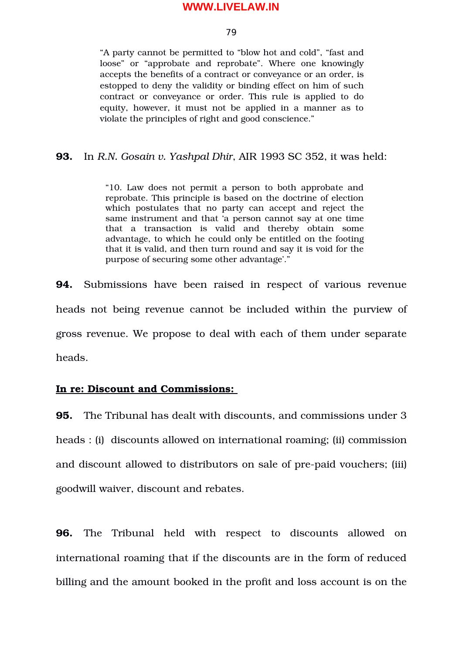79

"A party cannot be permitted to "blow hot and cold", "fast and loose" or "approbate and reprobate". Where one knowingly accepts the benefits of a contract or conveyance or an order, is estopped to deny the validity or binding effect on him of such contract or conveyance or order. This rule is applied to do equity, however, it must not be applied in a manner as to violate the principles of right and good conscience."

# **93.** In *R.N. Gosain v. Yashpal Dhir*, AIR 1993 SC 352, it was held:

"10. Law does not permit a person to both approbate and reprobate. This principle is based on the doctrine of election which postulates that no party can accept and reject the same instrument and that 'a person cannot say at one time that a transaction is valid and thereby obtain some advantage, to which he could only be entitled on the footing that it is valid, and then turn round and say it is void for the purpose of securing some other advantage'."

**94.** Submissions have been raised in respect of various revenue heads not being revenue cannot be included within the purview of gross revenue. We propose to deal with each of them under separate heads.

# **In re: Discount and Commissions:**

**95.** The Tribunal has dealt with discounts, and commissions under 3 heads : (i) discounts allowed on international roaming; (ii) commission and discount allowed to distributors on sale of pre-paid vouchers; (iii) goodwill waiver, discount and rebates.

**96.** The Tribunal held with respect to discounts allowed on international roaming that if the discounts are in the form of reduced billing and the amount booked in the profit and loss account is on the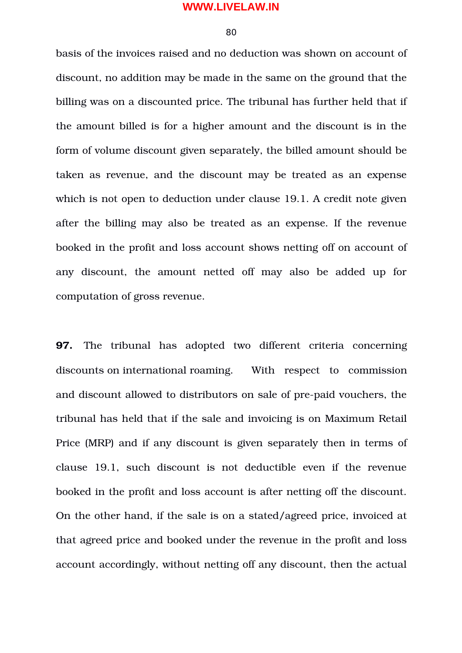80

basis of the invoices raised and no deduction was shown on account of discount, no addition may be made in the same on the ground that the billing was on a discounted price. The tribunal has further held that if the amount billed is for a higher amount and the discount is in the form of volume discount given separately, the billed amount should be taken as revenue, and the discount may be treated as an expense which is not open to deduction under clause 19.1. A credit note given after the billing may also be treated as an expense. If the revenue booked in the profit and loss account shows netting off on account of any discount, the amount netted off may also be added up for computation of gross revenue.

**97.** The tribunal has adopted two different criteria concerning discounts on international roaming. With respect to commission and discount allowed to distributors on sale of pre-paid vouchers, the tribunal has held that if the sale and invoicing is on Maximum Retail Price (MRP) and if any discount is given separately then in terms of clause 19.1, such discount is not deductible even if the revenue booked in the profit and loss account is after netting off the discount. On the other hand, if the sale is on a stated/agreed price, invoiced at that agreed price and booked under the revenue in the profit and loss account accordingly, without netting off any discount, then the actual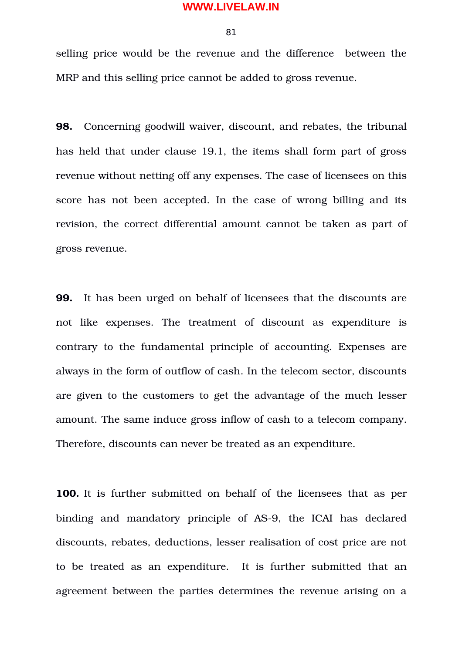81

selling price would be the revenue and the difference between the MRP and this selling price cannot be added to gross revenue.

**98.** Concerning goodwill waiver, discount, and rebates, the tribunal has held that under clause 19.1, the items shall form part of gross revenue without netting off any expenses. The case of licensees on this score has not been accepted. In the case of wrong billing and its revision, the correct differential amount cannot be taken as part of gross revenue.

**99.** It has been urged on behalf of licensees that the discounts are not like expenses. The treatment of discount as expenditure is contrary to the fundamental principle of accounting. Expenses are always in the form of outflow of cash. In the telecom sector, discounts are given to the customers to get the advantage of the much lesser amount. The same induce gross inflow of cash to a telecom company. Therefore, discounts can never be treated as an expenditure.

**100.** It is further submitted on behalf of the licensees that as per binding and mandatory principle of AS-9, the ICAI has declared discounts, rebates, deductions, lesser realisation of cost price are not to be treated as an expenditure. It is further submitted that an agreement between the parties determines the revenue arising on a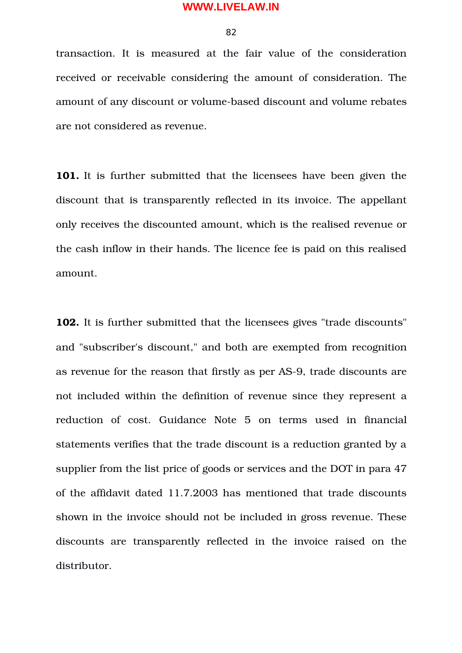82

transaction. It is measured at the fair value of the consideration received or receivable considering the amount of consideration. The amount of any discount or volume-based discount and volume rebates are not considered as revenue.

**101.** It is further submitted that the licensees have been given the discount that is transparently reflected in its invoice. The appellant only receives the discounted amount, which is the realised revenue or the cash inflow in their hands. The licence fee is paid on this realised amount.

**102.** It is further submitted that the licensees gives "trade discounts" and "subscriber's discount," and both are exempted from recognition as revenue for the reason that firstly as per AS-9, trade discounts are not included within the definition of revenue since they represent a reduction of cost. Guidance Note 5 on terms used in financial statements verifies that the trade discount is a reduction granted by a supplier from the list price of goods or services and the DOT in para 47 of the affidavit dated 11.7.2003 has mentioned that trade discounts shown in the invoice should not be included in gross revenue. These discounts are transparently reflected in the invoice raised on the distributor.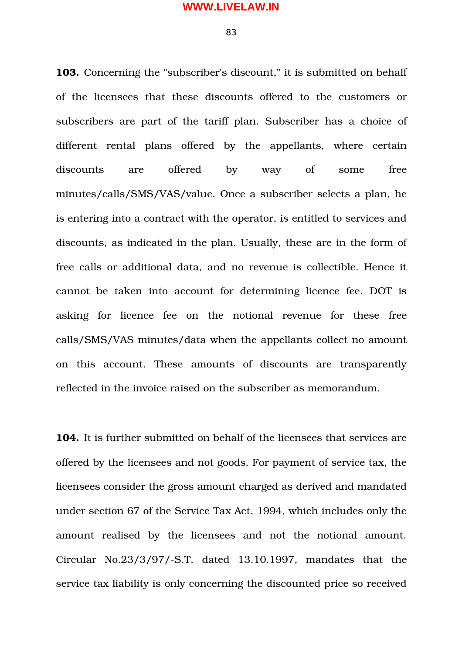83

**103.** Concerning the "subscriber's discount," it is submitted on behalf of the licensees that these discounts offered to the customers or subscribers are part of the tariff plan. Subscriber has a choice of different rental plans offered by the appellants, where certain discounts are offered by way of some free minutes/calls/SMS/VAS/value. Once a subscriber selects a plan, he is entering into a contract with the operator, is entitled to services and discounts, as indicated in the plan. Usually, these are in the form of free calls or additional data, and no revenue is collectible. Hence it cannot be taken into account for determining licence fee. DOT is asking for licence fee on the notional revenue for these free calls/SMS/VAS minutes/data when the appellants collect no amount on this account. These amounts of discounts are transparently reflected in the invoice raised on the subscriber as memorandum.

**104.** It is further submitted on behalf of the licensees that services are offered by the licensees and not goods. For payment of service tax, the licensees consider the gross amount charged as derived and mandated under section 67 of the Service Tax Act, 1994, which includes only the amount realised by the licensees and not the notional amount. Circular  $No.23/3/97/-S.T.$  dated  $13.10.1997$ , mandates that the service tax liability is only concerning the discounted price so received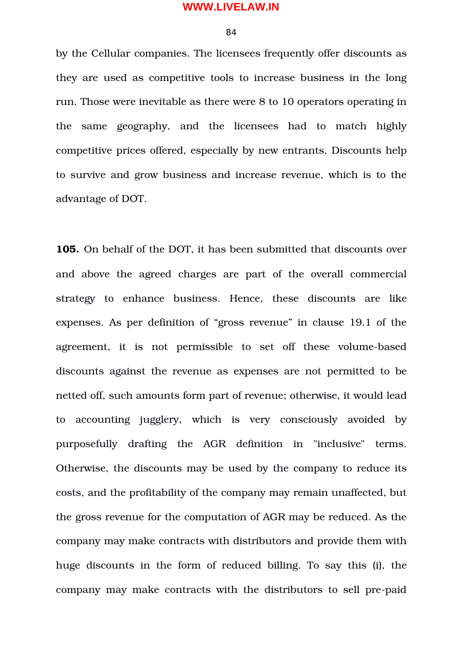84

by the Cellular companies. The licensees frequently offer discounts as they are used as competitive tools to increase business in the long run. Those were inevitable as there were 8 to 10 operators operating in the same geography, and the licensees had to match highly competitive prices offered, especially by new entrants. Discounts help to survive and grow business and increase revenue, which is to the advantage of DOT.

**105.** On behalf of the DOT, it has been submitted that discounts over and above the agreed charges are part of the overall commercial strategy to enhance business. Hence, these discounts are like expenses. As per definition of "gross revenue" in clause 19.1 of the agreement, it is not permissible to set off these volume-based discounts against the revenue as expenses are not permitted to be netted off, such amounts form part of revenue; otherwise, it would lead to accounting jugglery, which is very consciously avoided by purposefully drafting the AGR definition in "inclusive" terms. Otherwise, the discounts may be used by the company to reduce its costs, and the profitability of the company may remain unaffected, but the gross revenue for the computation of AGR may be reduced. As the company may make contracts with distributors and provide them with huge discounts in the form of reduced billing. To say this (i), the company may make contracts with the distributors to sell pre-paid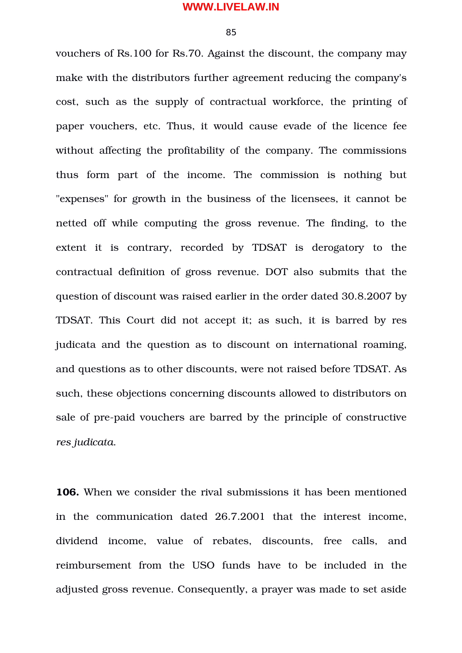85

vouchers of Rs.100 for Rs.70. Against the discount, the company may make with the distributors further agreement reducing the company's cost, such as the supply of contractual workforce, the printing of paper vouchers, etc. Thus, it would cause evade of the licence fee without affecting the profitability of the company. The commissions thus form part of the income. The commission is nothing but "expenses" for growth in the business of the licensees, it cannot be netted off while computing the gross revenue. The finding, to the extent it is contrary, recorded by TDSAT is derogatory to the contractual definition of gross revenue. DOT also submits that the question of discount was raised earlier in the order dated 30.8.2007 by TDSAT. This Court did not accept it; as such, it is barred by res judicata and the question as to discount on international roaming, and questions as to other discounts, were not raised before TDSAT. As such, these objections concerning discounts allowed to distributors on sale of pre-paid vouchers are barred by the principle of constructive *res judicata*.

**106.** When we consider the rival submissions it has been mentioned in the communication dated 26.7.2001 that the interest income, dividend income, value of rebates, discounts, free calls, and reimbursement from the USO funds have to be included in the adjusted gross revenue. Consequently, a prayer was made to set aside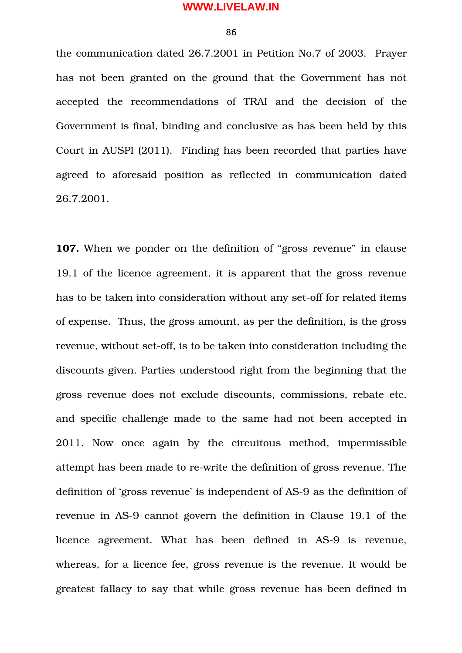86

the communication dated 26.7.2001 in Petition No.7 of 2003. Prayer has not been granted on the ground that the Government has not accepted the recommendations of TRAI and the decision of the Government is final, binding and conclusive as has been held by this Court in AUSPI (2011). Finding has been recorded that parties have agreed to aforesaid position as reflected in communication dated 26.7.2001.

**107.** When we ponder on the definition of "gross revenue" in clause 19.1 of the licence agreement, it is apparent that the gross revenue has to be taken into consideration without any set-off for related items of expense. Thus, the gross amount, as per the definition, is the gross revenue, without set-off, is to be taken into consideration including the discounts given. Parties understood right from the beginning that the gross revenue does not exclude discounts, commissions, rebate etc. and specific challenge made to the same had not been accepted in 2011. Now once again by the circuitous method, impermissible attempt has been made to re-write the definition of gross revenue. The definition of 'gross revenue' is independent of AS-9 as the definition of revenue in AS-9 cannot govern the definition in Clause 19.1 of the licence agreement. What has been defined in AS-9 is revenue, whereas, for a licence fee, gross revenue is the revenue. It would be greatest fallacy to say that while gross revenue has been defined in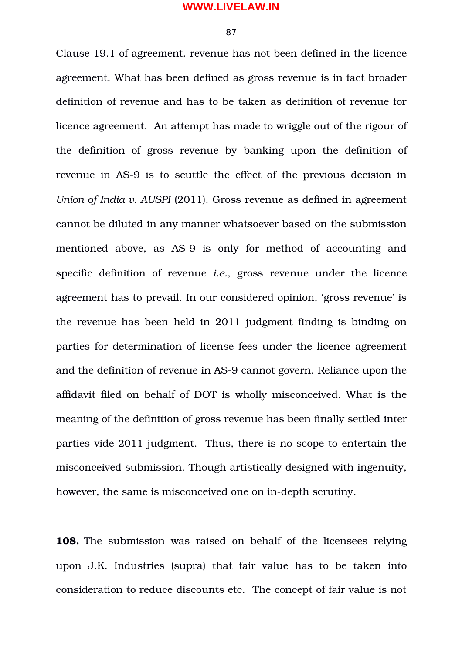87

Clause 19.1 of agreement, revenue has not been defined in the licence agreement. What has been defined as gross revenue is in fact broader definition of revenue and has to be taken as definition of revenue for licence agreement. An attempt has made to wriggle out of the rigour of the definition of gross revenue by banking upon the definition of revenue in AS-9 is to scuttle the effect of the previous decision in *Union of India v. AUSPI* (2011). Gross revenue as defined in agreement cannot be diluted in any manner whatsoever based on the submission mentioned above, as AS-9 is only for method of accounting and specific definition of revenue *i.e.*, gross revenue under the licence agreement has to prevail. In our considered opinion, 'gross revenue' is the revenue has been held in 2011 judgment finding is binding on parties for determination of license fees under the licence agreement and the definition of revenue in AS-9 cannot govern. Reliance upon the affidavit filed on behalf of DOT is wholly misconceived. What is the meaning of the definition of gross revenue has been finally settled inter parties vide 2011 judgment. Thus, there is no scope to entertain the misconceived submission. Though artistically designed with ingenuity, however, the same is misconceived one on in-depth scrutiny.

**108.** The submission was raised on behalf of the licensees relying upon J.K. Industries (supra) that fair value has to be taken into consideration to reduce discounts etc. The concept of fair value is not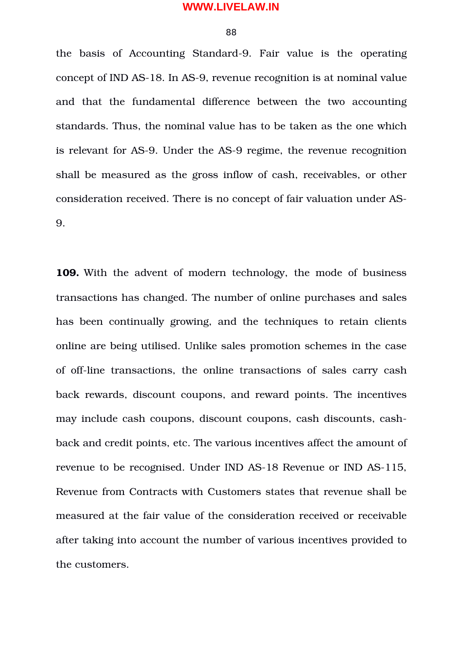88

the basis of Accounting Standard-9. Fair value is the operating concept of IND AS-18. In AS-9, revenue recognition is at nominal value and that the fundamental difference between the two accounting standards. Thus, the nominal value has to be taken as the one which is relevant for AS-9. Under the AS-9 regime, the revenue recognition shall be measured as the gross inflow of cash, receivables, or other consideration received. There is no concept of fair valuation under AS-9.

**109.** With the advent of modern technology, the mode of business transactions has changed. The number of online purchases and sales has been continually growing, and the techniques to retain clients online are being utilised. Unlike sales promotion schemes in the case of off-line transactions, the online transactions of sales carry cash back rewards, discount coupons, and reward points. The incentives may include cash coupons, discount coupons, cash discounts, cashback and credit points, etc. The various incentives affect the amount of revenue to be recognised. Under IND AS-18 Revenue or IND AS-115, Revenue from Contracts with Customers states that revenue shall be measured at the fair value of the consideration received or receivable after taking into account the number of various incentives provided to the customers.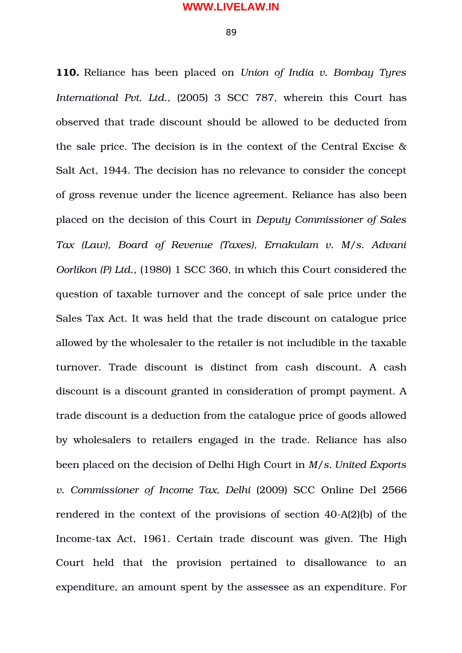**110.** Reliance has been placed on *Union of India v. Bombay Tyres International Pvt. Ltd*., (2005) 3 SCC 787, wherein this Court has observed that trade discount should be allowed to be deducted from the sale price. The decision is in the context of the Central Excise & Salt Act, 1944. The decision has no relevance to consider the concept of gross revenue under the licence agreement. Reliance has also been placed on the decision of this Court in *Deputy Commissioner of Sales Tax (Law), Board of Revenue (Taxes), Ernakulam v. M/s. Advani Oorlikon (P) Ltd*., (1980) 1 SCC 360, in which this Court considered the question of taxable turnover and the concept of sale price under the Sales Tax Act. It was held that the trade discount on catalogue price allowed by the wholesaler to the retailer is not includible in the taxable turnover. Trade discount is distinct from cash discount. A cash discount is a discount granted in consideration of prompt payment. A trade discount is a deduction from the catalogue price of goods allowed by wholesalers to retailers engaged in the trade. Reliance has also been placed on the decision of Delhi High Court in *M/s. United Exports v. Commissioner of Income Tax, Delhi* (2009) SCC Online Del 2566 rendered in the context of the provisions of section  $40-A(2)(b)$  of the Income-tax Act, 1961. Certain trade discount was given. The High Court held that the provision pertained to disallowance to an expenditure, an amount spent by the assessee as an expenditure. For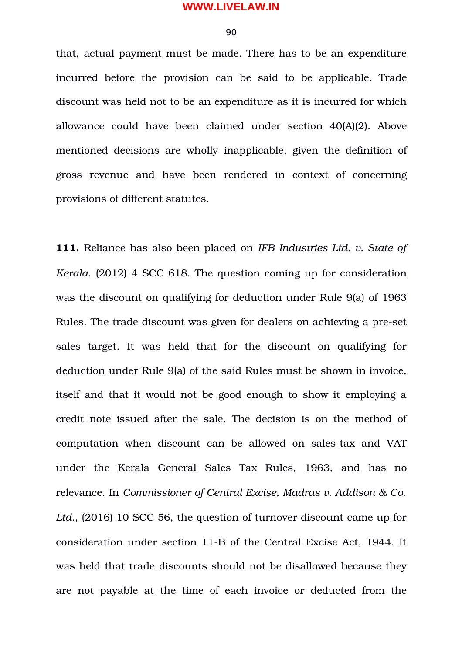90

that, actual payment must be made. There has to be an expenditure incurred before the provision can be said to be applicable. Trade discount was held not to be an expenditure as it is incurred for which allowance could have been claimed under section 40(A)(2). Above mentioned decisions are wholly inapplicable, given the definition of gross revenue and have been rendered in context of concerning provisions of different statutes.

**111.** Reliance has also been placed on *IFB Industries Ltd. v. State of Kerala*, (2012) 4 SCC 618. The question coming up for consideration was the discount on qualifying for deduction under Rule 9(a) of 1963 Rules. The trade discount was given for dealers on achieving a pre-set sales target. It was held that for the discount on qualifying for deduction under Rule 9(a) of the said Rules must be shown in invoice, itself and that it would not be good enough to show it employing a credit note issued after the sale. The decision is on the method of computation when discount can be allowed on sales-tax and VAT under the Kerala General Sales Tax Rules, 1963, and has no relevance. In *Commissioner of Central Excise, Madras v. Addison & Co. Ltd*., (2016) 10 SCC 56, the question of turnover discount came up for consideration under section 11-B of the Central Excise Act, 1944. It was held that trade discounts should not be disallowed because they are not payable at the time of each invoice or deducted from the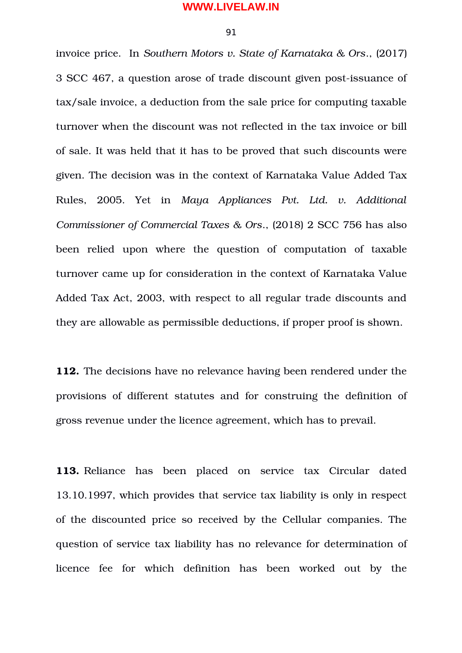91

invoice price. In *Southern Motors v. State of Karnataka & Ors*., (2017) 3 SCC 467, a question arose of trade discount given post-issuance of tax/sale invoice, a deduction from the sale price for computing taxable turnover when the discount was not reflected in the tax invoice or bill of sale. It was held that it has to be proved that such discounts were given. The decision was in the context of Karnataka Value Added Tax Rules, 2005. Yet in *Maya Appliances Pvt. Ltd. v. Additional Commissioner of Commercial Taxes & Ors*., (2018) 2 SCC 756 has also been relied upon where the question of computation of taxable turnover came up for consideration in the context of Karnataka Value Added Tax Act, 2003, with respect to all regular trade discounts and they are allowable as permissible deductions, if proper proof is shown.

**112.** The decisions have no relevance having been rendered under the provisions of different statutes and for construing the definition of gross revenue under the licence agreement, which has to prevail.

**113.** Reliance has been placed on service tax Circular dated 13.10.1997, which provides that service tax liability is only in respect of the discounted price so received by the Cellular companies. The question of service tax liability has no relevance for determination of licence fee for which definition has been worked out by the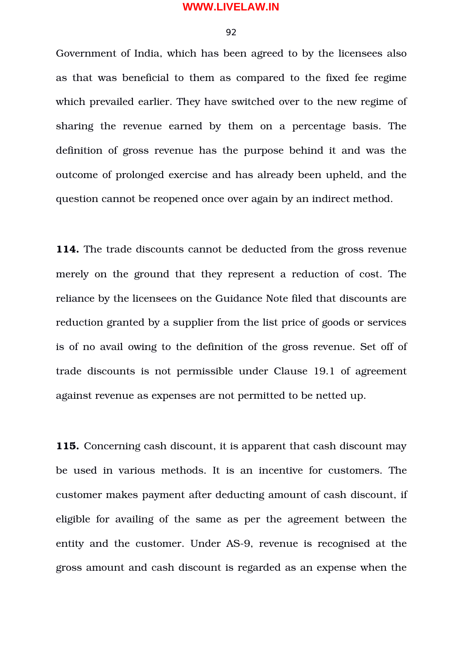92

Government of India, which has been agreed to by the licensees also as that was beneficial to them as compared to the fixed fee regime which prevailed earlier. They have switched over to the new regime of sharing the revenue earned by them on a percentage basis. The definition of gross revenue has the purpose behind it and was the outcome of prolonged exercise and has already been upheld, and the question cannot be reopened once over again by an indirect method.

**114.** The trade discounts cannot be deducted from the gross revenue merely on the ground that they represent a reduction of cost. The reliance by the licensees on the Guidance Note filed that discounts are reduction granted by a supplier from the list price of goods or services is of no avail owing to the definition of the gross revenue. Set off of trade discounts is not permissible under Clause 19.1 of agreement against revenue as expenses are not permitted to be netted up.

**115.** Concerning cash discount, it is apparent that cash discount may be used in various methods. It is an incentive for customers. The customer makes payment after deducting amount of cash discount, if eligible for availing of the same as per the agreement between the entity and the customer. Under AS-9, revenue is recognised at the gross amount and cash discount is regarded as an expense when the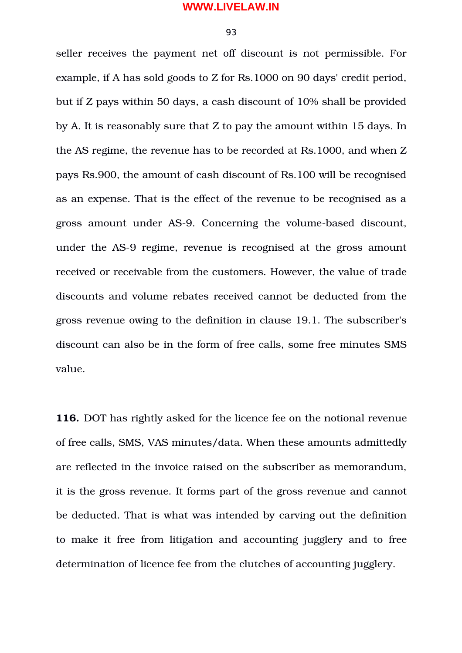93

seller receives the payment net off discount is not permissible. For example, if A has sold goods to Z for Rs.1000 on 90 days' credit period, but if Z pays within 50 days, a cash discount of 10% shall be provided by A. It is reasonably sure that Z to pay the amount within 15 days. In the AS regime, the revenue has to be recorded at Rs.1000, and when Z pays Rs.900, the amount of cash discount of Rs.100 will be recognised as an expense. That is the effect of the revenue to be recognised as a gross amount under AS-9. Concerning the volume-based discount, under the AS-9 regime, revenue is recognised at the gross amount received or receivable from the customers. However, the value of trade discounts and volume rebates received cannot be deducted from the gross revenue owing to the definition in clause 19.1. The subscriber's discount can also be in the form of free calls, some free minutes SMS value.

**116.** DOT has rightly asked for the licence fee on the notional revenue of free calls, SMS, VAS minutes/data. When these amounts admittedly are reflected in the invoice raised on the subscriber as memorandum, it is the gross revenue. It forms part of the gross revenue and cannot be deducted. That is what was intended by carving out the definition to make it free from litigation and accounting jugglery and to free determination of licence fee from the clutches of accounting jugglery.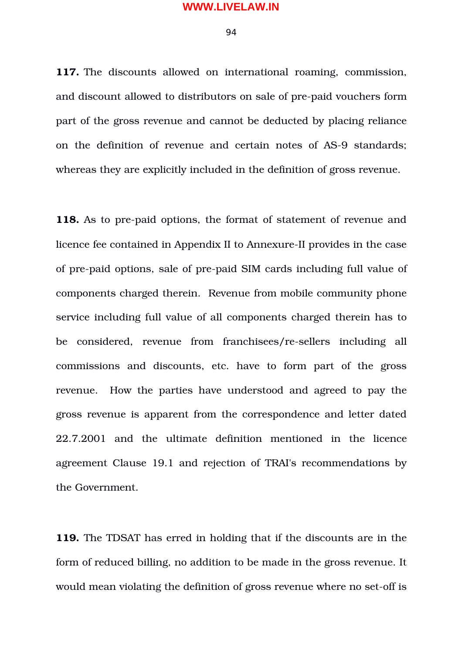94

117. The discounts allowed on international roaming, commission, and discount allowed to distributors on sale of pre-paid vouchers form part of the gross revenue and cannot be deducted by placing reliance on the definition of revenue and certain notes of AS-9 standards; whereas they are explicitly included in the definition of gross revenue.

118. As to pre-paid options, the format of statement of revenue and licence fee contained in Appendix II to Annexure-II provides in the case of pre-paid options, sale of pre-paid SIM cards including full value of components charged therein. Revenue from mobile community phone service including full value of all components charged therein has to be considered, revenue from franchisees/re-sellers including all commissions and discounts, etc. have to form part of the gross revenue. How the parties have understood and agreed to pay the gross revenue is apparent from the correspondence and letter dated 22.7.2001 and the ultimate definition mentioned in the licence agreement Clause 19.1 and rejection of TRAI's recommendations by the Government.

**119.** The TDSAT has erred in holding that if the discounts are in the form of reduced billing, no addition to be made in the gross revenue. It would mean violating the definition of gross revenue where no set-off is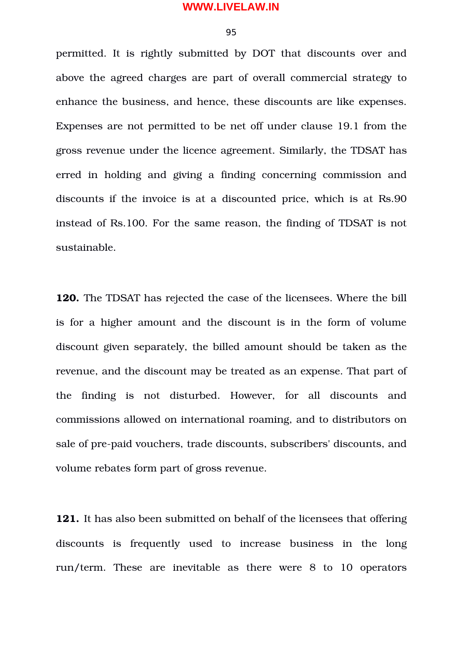95

permitted. It is rightly submitted by DOT that discounts over and above the agreed charges are part of overall commercial strategy to enhance the business, and hence, these discounts are like expenses. Expenses are not permitted to be net off under clause 19.1 from the gross revenue under the licence agreement. Similarly, the TDSAT has erred in holding and giving a finding concerning commission and discounts if the invoice is at a discounted price, which is at Rs.90 instead of Rs.100. For the same reason, the finding of TDSAT is not sustainable.

**120.** The TDSAT has rejected the case of the licensees. Where the bill is for a higher amount and the discount is in the form of volume discount given separately, the billed amount should be taken as the revenue, and the discount may be treated as an expense. That part of the finding is not disturbed. However, for all discounts and commissions allowed on international roaming, and to distributors on sale of pre-paid vouchers, trade discounts, subscribers' discounts, and volume rebates form part of gross revenue.

**121.** It has also been submitted on behalf of the licensees that offering discounts is frequently used to increase business in the long run/term. These are inevitable as there were 8 to 10 operators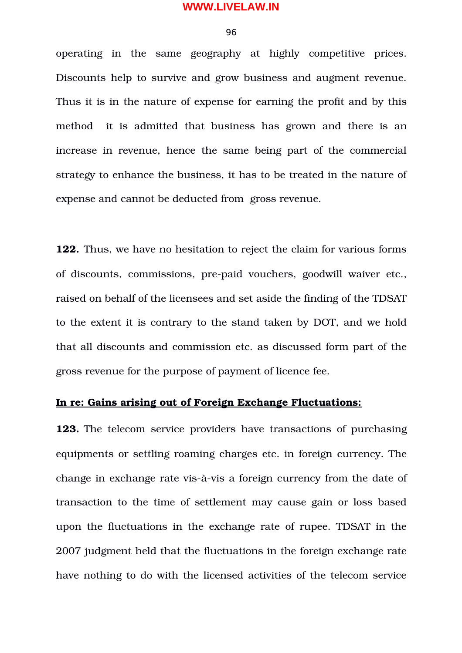96

operating in the same geography at highly competitive prices. Discounts help to survive and grow business and augment revenue. Thus it is in the nature of expense for earning the profit and by this method it is admitted that business has grown and there is an increase in revenue, hence the same being part of the commercial strategy to enhance the business, it has to be treated in the nature of expense and cannot be deducted from gross revenue.

**122.** Thus, we have no hesitation to reject the claim for various forms of discounts, commissions, pre-paid vouchers, goodwill waiver etc., raised on behalf of the licensees and set aside the finding of the TDSAT to the extent it is contrary to the stand taken by DOT, and we hold that all discounts and commission etc. as discussed form part of the gross revenue for the purpose of payment of licence fee.

# **In re: Gains arising out of Foreign Exchange Fluctuations:**

**123.** The telecom service providers have transactions of purchasing equipments or settling roaming charges etc. in foreign currency. The change in exchange rate vis-à-vis a foreign currency from the date of transaction to the time of settlement may cause gain or loss based upon the fluctuations in the exchange rate of rupee. TDSAT in the 2007 judgment held that the fluctuations in the foreign exchange rate have nothing to do with the licensed activities of the telecom service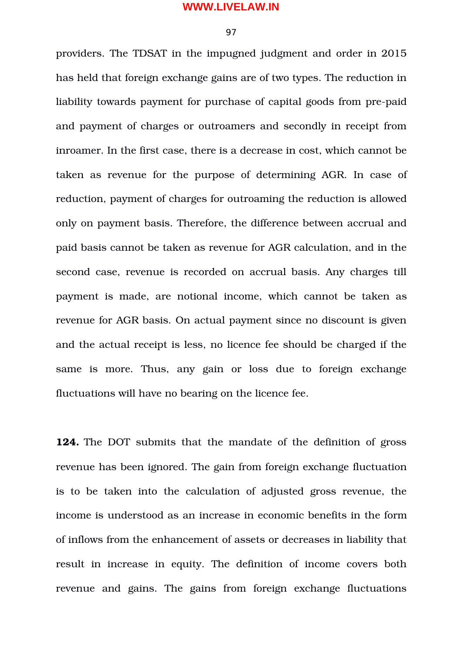97

providers. The TDSAT in the impugned judgment and order in 2015 has held that foreign exchange gains are of two types. The reduction in liability towards payment for purchase of capital goods from pre-paid and payment of charges or outroamers and secondly in receipt from inroamer. In the first case, there is a decrease in cost, which cannot be taken as revenue for the purpose of determining AGR. In case of reduction, payment of charges for outroaming the reduction is allowed only on payment basis. Therefore, the difference between accrual and paid basis cannot be taken as revenue for AGR calculation, and in the second case, revenue is recorded on accrual basis. Any charges till payment is made, are notional income, which cannot be taken as revenue for AGR basis. On actual payment since no discount is given and the actual receipt is less, no licence fee should be charged if the same is more. Thus, any gain or loss due to foreign exchange fluctuations will have no bearing on the licence fee.

**124.** The DOT submits that the mandate of the definition of gross revenue has been ignored. The gain from foreign exchange fluctuation is to be taken into the calculation of adjusted gross revenue, the income is understood as an increase in economic benefits in the form of inflows from the enhancement of assets or decreases in liability that result in increase in equity. The definition of income covers both revenue and gains. The gains from foreign exchange fluctuations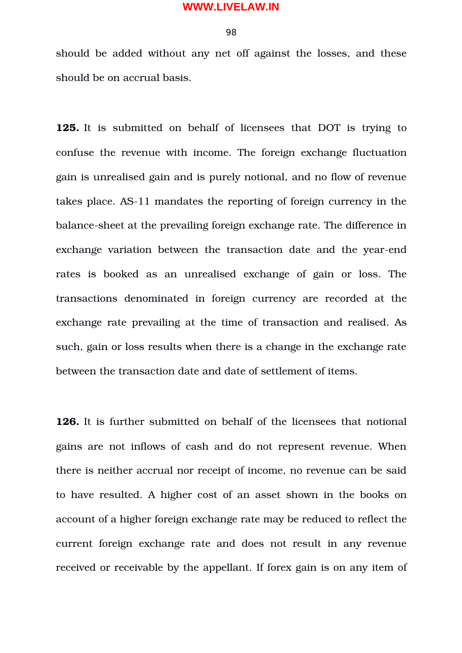should be added without any net off against the losses, and these should be on accrual basis.

**125.** It is submitted on behalf of licensees that DOT is trying to confuse the revenue with income. The foreign exchange fluctuation gain is unrealised gain and is purely notional, and no flow of revenue takes place. AS-11 mandates the reporting of foreign currency in the balance-sheet at the prevailing foreign exchange rate. The difference in exchange variation between the transaction date and the year-end rates is booked as an unrealised exchange of gain or loss. The transactions denominated in foreign currency are recorded at the exchange rate prevailing at the time of transaction and realised. As such, gain or loss results when there is a change in the exchange rate between the transaction date and date of settlement of items.

**126.** It is further submitted on behalf of the licensees that notional gains are not inflows of cash and do not represent revenue. When there is neither accrual nor receipt of income, no revenue can be said to have resulted. A higher cost of an asset shown in the books on account of a higher foreign exchange rate may be reduced to reflect the current foreign exchange rate and does not result in any revenue received or receivable by the appellant. If forex gain is on any item of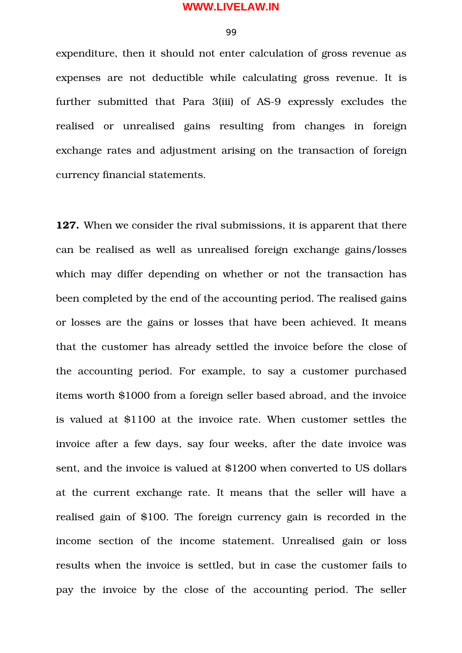99

expenditure, then it should not enter calculation of gross revenue as expenses are not deductible while calculating gross revenue. It is further submitted that Para 3(iii) of AS-9 expressly excludes the realised or unrealised gains resulting from changes in foreign exchange rates and adjustment arising on the transaction of foreign currency financial statements.

**127.** When we consider the rival submissions, it is apparent that there can be realised as well as unrealised foreign exchange gains/losses which may differ depending on whether or not the transaction has been completed by the end of the accounting period. The realised gains or losses are the gains or losses that have been achieved. It means that the customer has already settled the invoice before the close of the accounting period. For example, to say a customer purchased items worth \$1000 from a foreign seller based abroad, and the invoice is valued at \$1100 at the invoice rate. When customer settles the invoice after a few days, say four weeks, after the date invoice was sent, and the invoice is valued at \$1200 when converted to US dollars at the current exchange rate. It means that the seller will have a realised gain of \$100. The foreign currency gain is recorded in the income section of the income statement. Unrealised gain or loss results when the invoice is settled, but in case the customer fails to pay the invoice by the close of the accounting period. The seller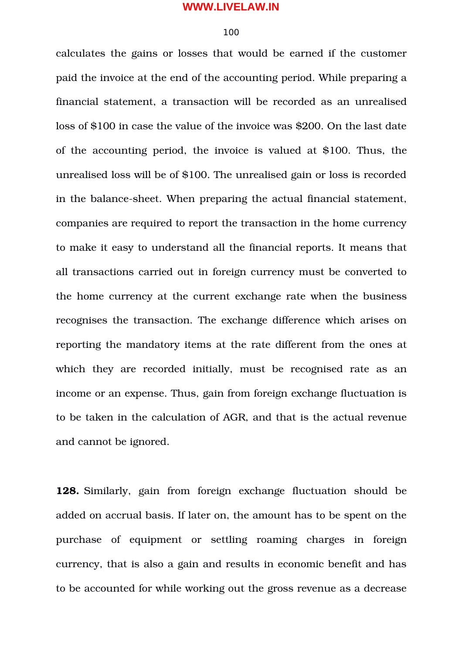#### 100

calculates the gains or losses that would be earned if the customer paid the invoice at the end of the accounting period. While preparing a financial statement, a transaction will be recorded as an unrealised loss of \$100 in case the value of the invoice was \$200. On the last date of the accounting period, the invoice is valued at \$100. Thus, the unrealised loss will be of \$100. The unrealised gain or loss is recorded in the balance-sheet. When preparing the actual financial statement, companies are required to report the transaction in the home currency to make it easy to understand all the financial reports. It means that all transactions carried out in foreign currency must be converted to the home currency at the current exchange rate when the business recognises the transaction. The exchange difference which arises on reporting the mandatory items at the rate different from the ones at which they are recorded initially, must be recognised rate as an income or an expense. Thus, gain from foreign exchange fluctuation is to be taken in the calculation of AGR, and that is the actual revenue and cannot be ignored.

**128.** Similarly, gain from foreign exchange fluctuation should be added on accrual basis. If later on, the amount has to be spent on the purchase of equipment or settling roaming charges in foreign currency, that is also a gain and results in economic benefit and has to be accounted for while working out the gross revenue as a decrease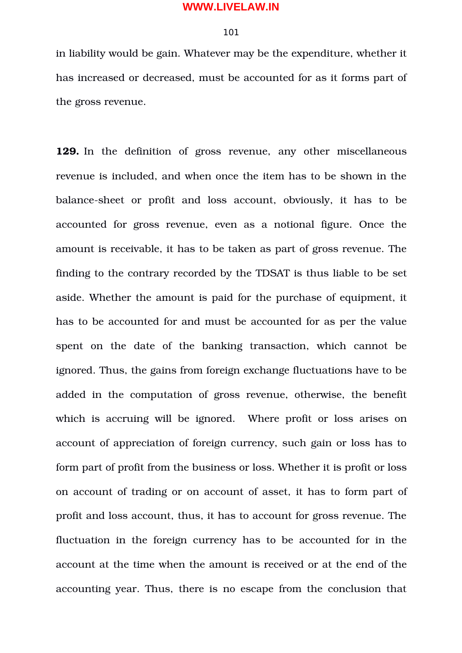## 101

in liability would be gain. Whatever may be the expenditure, whether it has increased or decreased, must be accounted for as it forms part of the gross revenue.

**129.** In the definition of gross revenue, any other miscellaneous revenue is included, and when once the item has to be shown in the balance-sheet or profit and loss account, obviously, it has to be accounted for gross revenue, even as a notional figure. Once the amount is receivable, it has to be taken as part of gross revenue. The finding to the contrary recorded by the TDSAT is thus liable to be set aside. Whether the amount is paid for the purchase of equipment, it has to be accounted for and must be accounted for as per the value spent on the date of the banking transaction, which cannot be ignored. Thus, the gains from foreign exchange fluctuations have to be added in the computation of gross revenue, otherwise, the benefit which is accruing will be ignored. Where profit or loss arises on account of appreciation of foreign currency, such gain or loss has to form part of profit from the business or loss. Whether it is profit or loss on account of trading or on account of asset, it has to form part of profit and loss account, thus, it has to account for gross revenue. The fluctuation in the foreign currency has to be accounted for in the account at the time when the amount is received or at the end of the accounting year. Thus, there is no escape from the conclusion that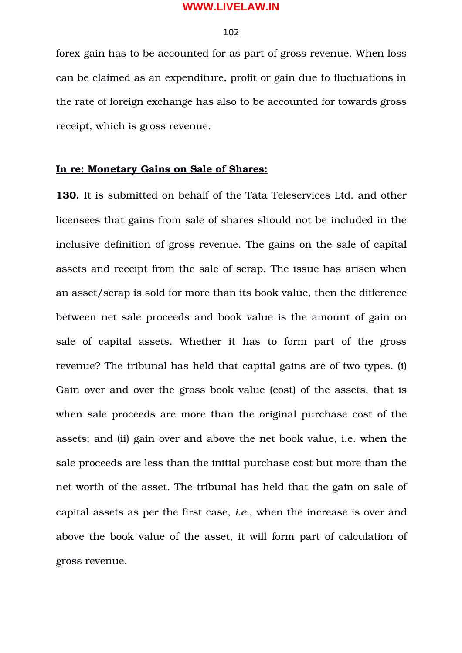#### 102

forex gain has to be accounted for as part of gross revenue. When loss can be claimed as an expenditure, profit or gain due to fluctuations in the rate of foreign exchange has also to be accounted for towards gross receipt, which is gross revenue.

# **In re: Monetary Gains on Sale of Shares:**

**130.** It is submitted on behalf of the Tata Teleservices Ltd. and other licensees that gains from sale of shares should not be included in the inclusive definition of gross revenue. The gains on the sale of capital assets and receipt from the sale of scrap. The issue has arisen when an asset/scrap is sold for more than its book value, then the difference between net sale proceeds and book value is the amount of gain on sale of capital assets. Whether it has to form part of the gross revenue? The tribunal has held that capital gains are of two types. (i) Gain over and over the gross book value (cost) of the assets, that is when sale proceeds are more than the original purchase cost of the assets; and (ii) gain over and above the net book value, i.e. when the sale proceeds are less than the initial purchase cost but more than the net worth of the asset. The tribunal has held that the gain on sale of capital assets as per the first case, *i.e.*, when the increase is over and above the book value of the asset, it will form part of calculation of gross revenue.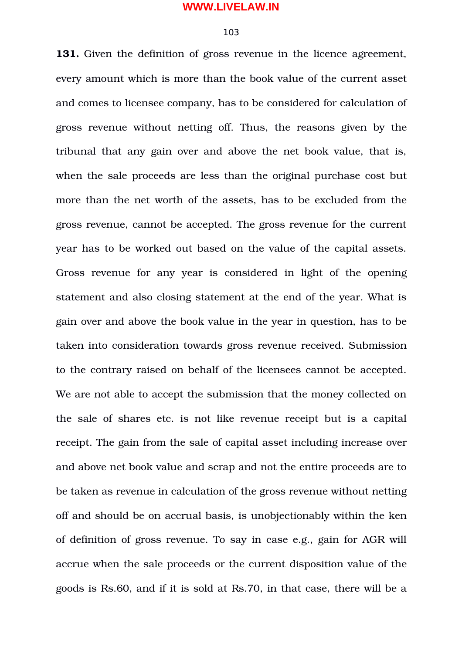#### 103

**131.** Given the definition of gross revenue in the licence agreement, every amount which is more than the book value of the current asset and comes to licensee company, has to be considered for calculation of gross revenue without netting off. Thus, the reasons given by the tribunal that any gain over and above the net book value, that is, when the sale proceeds are less than the original purchase cost but more than the net worth of the assets, has to be excluded from the gross revenue, cannot be accepted. The gross revenue for the current year has to be worked out based on the value of the capital assets. Gross revenue for any year is considered in light of the opening statement and also closing statement at the end of the year. What is gain over and above the book value in the year in question, has to be taken into consideration towards gross revenue received. Submission to the contrary raised on behalf of the licensees cannot be accepted. We are not able to accept the submission that the money collected on the sale of shares etc. is not like revenue receipt but is a capital receipt. The gain from the sale of capital asset including increase over and above net book value and scrap and not the entire proceeds are to be taken as revenue in calculation of the gross revenue without netting off and should be on accrual basis, is unobjectionably within the ken of definition of gross revenue. To say in case e.g., gain for AGR will accrue when the sale proceeds or the current disposition value of the goods is Rs.60, and if it is sold at Rs.70, in that case, there will be a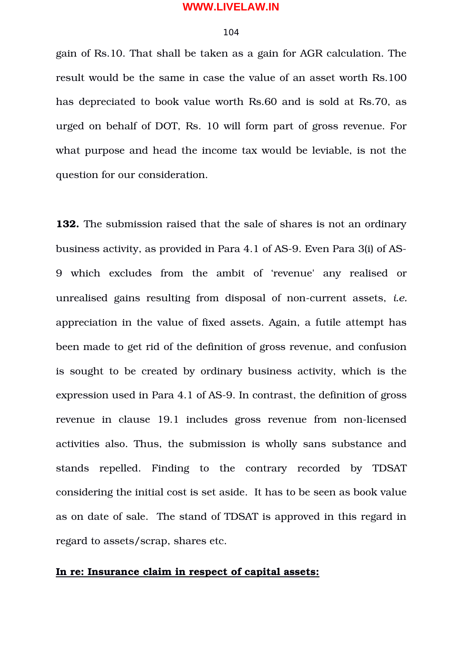#### 104

gain of Rs.10. That shall be taken as a gain for AGR calculation. The result would be the same in case the value of an asset worth Rs.100 has depreciated to book value worth Rs.60 and is sold at Rs.70, as urged on behalf of DOT, Rs. 10 will form part of gross revenue. For what purpose and head the income tax would be leviable, is not the question for our consideration.

**132.** The submission raised that the sale of shares is not an ordinary business activity, as provided in Para 4.1 of AS-9. Even Para 3(i) of AS-9 which excludes from the ambit of 'revenue' any realised or unrealised gains resulting from disposal of non-current assets, *i.e.* appreciation in the value of fixed assets. Again, a futile attempt has been made to get rid of the definition of gross revenue, and confusion is sought to be created by ordinary business activity, which is the expression used in Para 4.1 of AS-9. In contrast, the definition of gross revenue in clause 19.1 includes gross revenue from non-licensed activities also. Thus, the submission is wholly sans substance and stands repelled. Finding to the contrary recorded by TDSAT considering the initial cost is set aside. It has to be seen as book value as on date of sale. The stand of TDSAT is approved in this regard in regard to assets/scrap, shares etc.

# **In re: Insurance claim in respect of capital assets:**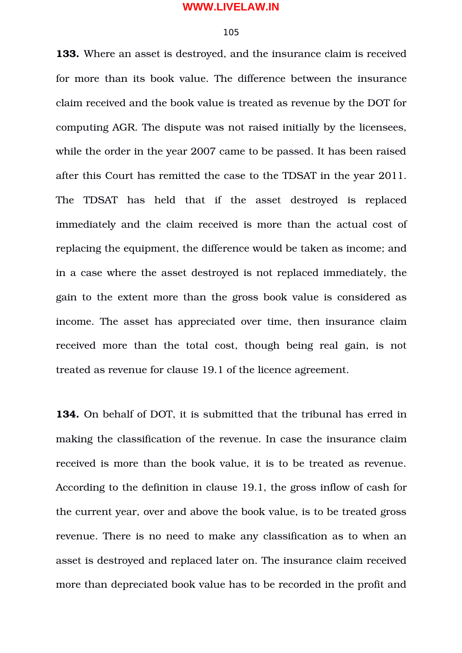# 105

**133.** Where an asset is destroyed, and the insurance claim is received for more than its book value. The difference between the insurance claim received and the book value is treated as revenue by the DOT for computing AGR. The dispute was not raised initially by the licensees, while the order in the year 2007 came to be passed. It has been raised after this Court has remitted the case to the TDSAT in the year 2011. The TDSAT has held that if the asset destroyed is replaced immediately and the claim received is more than the actual cost of replacing the equipment, the difference would be taken as income; and in a case where the asset destroyed is not replaced immediately, the gain to the extent more than the gross book value is considered as income. The asset has appreciated over time, then insurance claim received more than the total cost, though being real gain, is not treated as revenue for clause 19.1 of the licence agreement.

**134.** On behalf of DOT, it is submitted that the tribunal has erred in making the classification of the revenue. In case the insurance claim received is more than the book value, it is to be treated as revenue. According to the definition in clause 19.1, the gross inflow of cash for the current year, over and above the book value, is to be treated gross revenue. There is no need to make any classification as to when an asset is destroyed and replaced later on. The insurance claim received more than depreciated book value has to be recorded in the profit and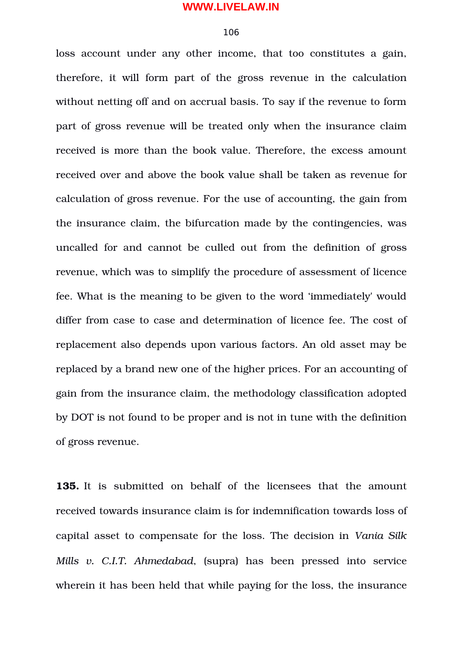#### 106

loss account under any other income, that too constitutes a gain, therefore, it will form part of the gross revenue in the calculation without netting off and on accrual basis. To say if the revenue to form part of gross revenue will be treated only when the insurance claim received is more than the book value. Therefore, the excess amount received over and above the book value shall be taken as revenue for calculation of gross revenue. For the use of accounting, the gain from the insurance claim, the bifurcation made by the contingencies, was uncalled for and cannot be culled out from the definition of gross revenue, which was to simplify the procedure of assessment of licence fee. What is the meaning to be given to the word 'immediately' would differ from case to case and determination of licence fee. The cost of replacement also depends upon various factors. An old asset may be replaced by a brand new one of the higher prices. For an accounting of gain from the insurance claim, the methodology classification adopted by DOT is not found to be proper and is not in tune with the definition of gross revenue.

**135.** It is submitted on behalf of the licensees that the amount received towards insurance claim is for indemnification towards loss of capital asset to compensate for the loss. The decision in *Vania Silk Mills v. C.I.T. Ahmedabad*, (supra) has been pressed into service wherein it has been held that while paying for the loss, the insurance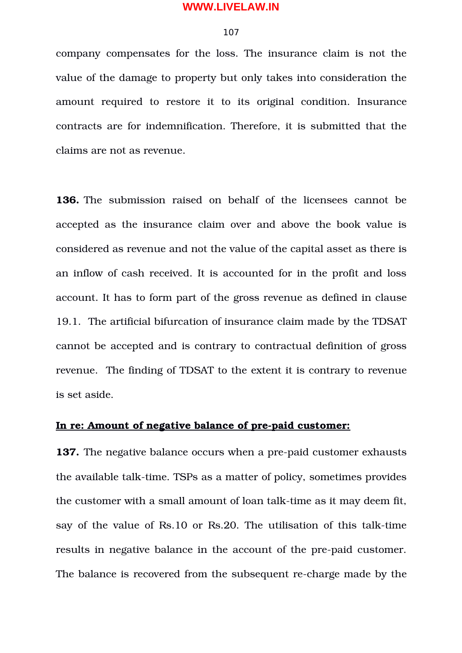#### 107

company compensates for the loss. The insurance claim is not the value of the damage to property but only takes into consideration the amount required to restore it to its original condition. Insurance contracts are for indemnification. Therefore, it is submitted that the claims are not as revenue.

**136.** The submission raised on behalf of the licensees cannot be accepted as the insurance claim over and above the book value is considered as revenue and not the value of the capital asset as there is an inflow of cash received. It is accounted for in the profit and loss account. It has to form part of the gross revenue as defined in clause 19.1. The artificial bifurcation of insurance claim made by the TDSAT cannot be accepted and is contrary to contractual definition of gross revenue. The finding of TDSAT to the extent it is contrary to revenue is set aside.

### In re: Amount of negative balance of pre-paid customer:

**137.** The negative balance occurs when a pre-paid customer exhausts the available talk-time. TSPs as a matter of policy, sometimes provides the customer with a small amount of loan talk-time as it may deem fit, say of the value of Rs.10 or Rs.20. The utilisation of this talk-time results in negative balance in the account of the pre-paid customer. The balance is recovered from the subsequent recharge made by the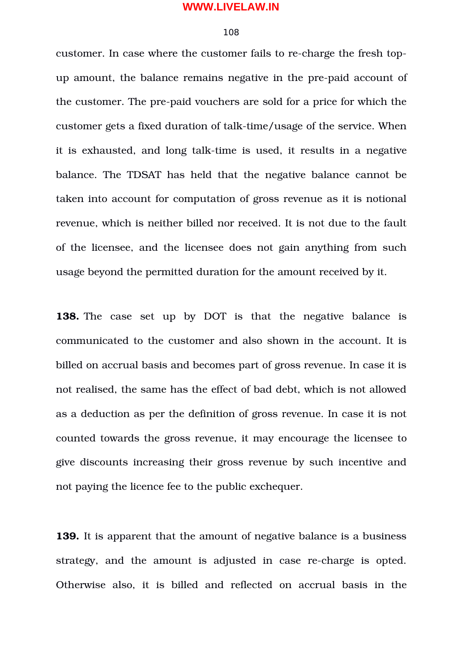#### 108

customer. In case where the customer fails to re-charge the fresh topup amount, the balance remains negative in the pre-paid account of the customer. The pre-paid vouchers are sold for a price for which the customer gets a fixed duration of talk-time/usage of the service. When it is exhausted, and long talk-time is used, it results in a negative balance. The TDSAT has held that the negative balance cannot be taken into account for computation of gross revenue as it is notional revenue, which is neither billed nor received. It is not due to the fault of the licensee, and the licensee does not gain anything from such usage beyond the permitted duration for the amount received by it.

**138.** The case set up by DOT is that the negative balance is communicated to the customer and also shown in the account. It is billed on accrual basis and becomes part of gross revenue. In case it is not realised, the same has the effect of bad debt, which is not allowed as a deduction as per the definition of gross revenue. In case it is not counted towards the gross revenue, it may encourage the licensee to give discounts increasing their gross revenue by such incentive and not paying the licence fee to the public exchequer.

**139.** It is apparent that the amount of negative balance is a business strategy, and the amount is adjusted in case re-charge is opted. Otherwise also, it is billed and reflected on accrual basis in the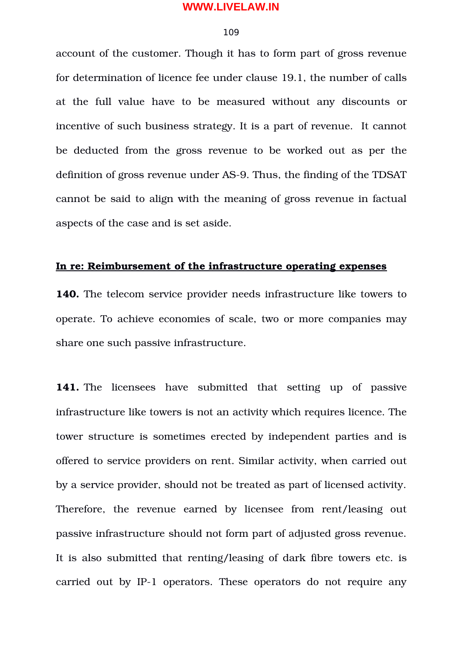### 109

account of the customer. Though it has to form part of gross revenue for determination of licence fee under clause 19.1, the number of calls at the full value have to be measured without any discounts or incentive of such business strategy. It is a part of revenue. It cannot be deducted from the gross revenue to be worked out as per the definition of gross revenue under AS-9. Thus, the finding of the TDSAT cannot be said to align with the meaning of gross revenue in factual aspects of the case and is set aside.

# **In re: Reimbursement of the infrastructure operating expenses**

**140.** The telecom service provider needs infrastructure like towers to operate. To achieve economies of scale, two or more companies may share one such passive infrastructure.

**141.** The licensees have submitted that setting up of passive infrastructure like towers is not an activity which requires licence. The tower structure is sometimes erected by independent parties and is offered to service providers on rent. Similar activity, when carried out by a service provider, should not be treated as part of licensed activity. Therefore, the revenue earned by licensee from rent/leasing out passive infrastructure should not form part of adjusted gross revenue. It is also submitted that renting/leasing of dark fibre towers etc. is carried out by IP-1 operators. These operators do not require any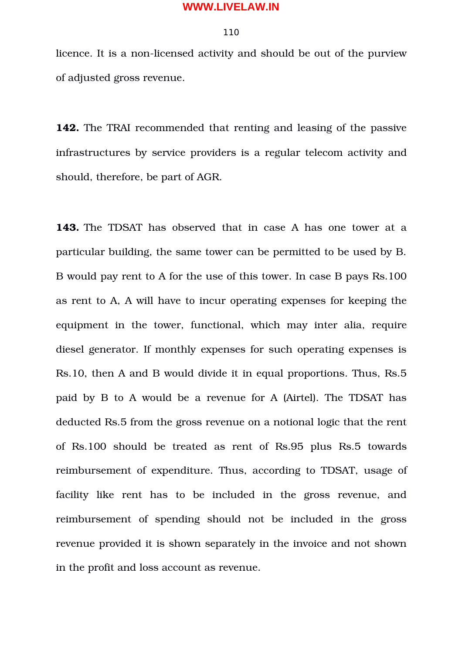### 110

licence. It is a non-licensed activity and should be out of the purview of adjusted gross revenue.

**142.** The TRAI recommended that renting and leasing of the passive infrastructures by service providers is a regular telecom activity and should, therefore, be part of AGR.

**143.** The TDSAT has observed that in case A has one tower at a particular building, the same tower can be permitted to be used by B. B would pay rent to A for the use of this tower. In case B pays Rs.100 as rent to A, A will have to incur operating expenses for keeping the equipment in the tower, functional, which may inter alia, require diesel generator. If monthly expenses for such operating expenses is Rs.10, then A and B would divide it in equal proportions. Thus, Rs.5 paid by B to A would be a revenue for A (Airtel). The TDSAT has deducted Rs.5 from the gross revenue on a notional logic that the rent of Rs.100 should be treated as rent of Rs.95 plus Rs.5 towards reimbursement of expenditure. Thus, according to TDSAT, usage of facility like rent has to be included in the gross revenue, and reimbursement of spending should not be included in the gross revenue provided it is shown separately in the invoice and not shown in the profit and loss account as revenue.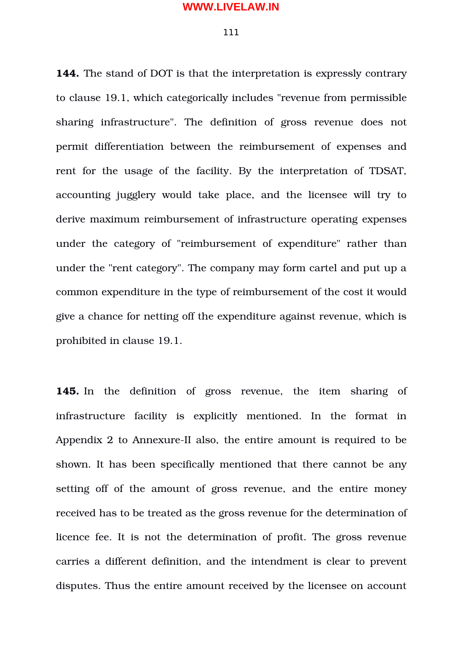#### 111

**144.** The stand of DOT is that the interpretation is expressly contrary to clause 19.1, which categorically includes "revenue from permissible sharing infrastructure". The definition of gross revenue does not permit differentiation between the reimbursement of expenses and rent for the usage of the facility. By the interpretation of TDSAT, accounting jugglery would take place, and the licensee will try to derive maximum reimbursement of infrastructure operating expenses under the category of "reimbursement of expenditure" rather than under the "rent category". The company may form cartel and put up a common expenditure in the type of reimbursement of the cost it would give a chance for netting off the expenditure against revenue, which is prohibited in clause 19.1.

**145.** In the definition of gross revenue, the item sharing of infrastructure facility is explicitly mentioned. In the format in Appendix 2 to Annexure-II also, the entire amount is required to be shown. It has been specifically mentioned that there cannot be any setting off of the amount of gross revenue, and the entire money received has to be treated as the gross revenue for the determination of licence fee. It is not the determination of profit. The gross revenue carries a different definition, and the intendment is clear to prevent disputes. Thus the entire amount received by the licensee on account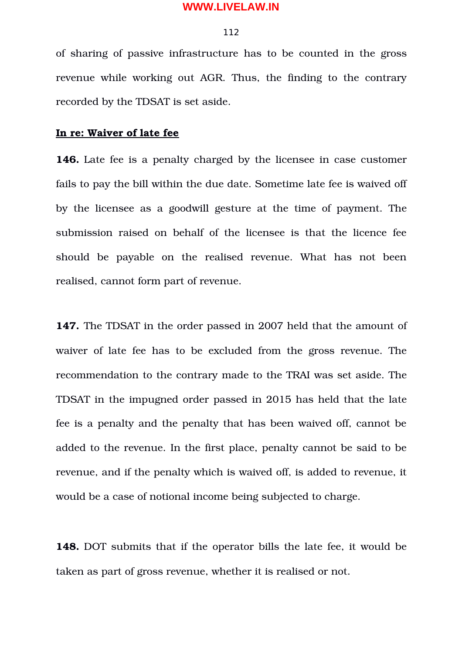#### 112

of sharing of passive infrastructure has to be counted in the gross revenue while working out AGR. Thus, the finding to the contrary recorded by the TDSAT is set aside.

# **In re: Waiver of late fee**

**146.** Late fee is a penalty charged by the licensee in case customer fails to pay the bill within the due date. Sometime late fee is waived off by the licensee as a goodwill gesture at the time of payment. The submission raised on behalf of the licensee is that the licence fee should be payable on the realised revenue. What has not been realised, cannot form part of revenue.

**147.** The TDSAT in the order passed in 2007 held that the amount of waiver of late fee has to be excluded from the gross revenue. The recommendation to the contrary made to the TRAI was set aside. The TDSAT in the impugned order passed in 2015 has held that the late fee is a penalty and the penalty that has been waived off, cannot be added to the revenue. In the first place, penalty cannot be said to be revenue, and if the penalty which is waived off, is added to revenue, it would be a case of notional income being subjected to charge.

**148.** DOT submits that if the operator bills the late fee, it would be taken as part of gross revenue, whether it is realised or not.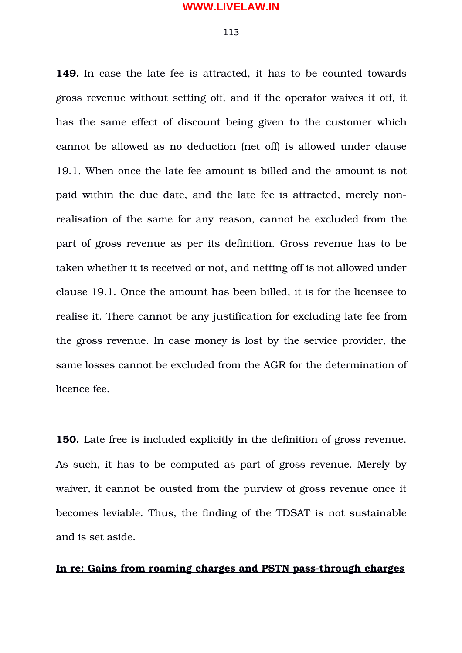#### 113

**149.** In case the late fee is attracted, it has to be counted towards gross revenue without setting off, and if the operator waives it off, it has the same effect of discount being given to the customer which cannot be allowed as no deduction (net off) is allowed under clause 19.1. When once the late fee amount is billed and the amount is not paid within the due date, and the late fee is attracted, merely nonrealisation of the same for any reason, cannot be excluded from the part of gross revenue as per its definition. Gross revenue has to be taken whether it is received or not, and netting off is not allowed under clause 19.1. Once the amount has been billed, it is for the licensee to realise it. There cannot be any justification for excluding late fee from the gross revenue. In case money is lost by the service provider, the same losses cannot be excluded from the AGR for the determination of licence fee.

**150.** Late free is included explicitly in the definition of gross revenue. As such, it has to be computed as part of gross revenue. Merely by waiver, it cannot be ousted from the purview of gross revenue once it becomes leviable. Thus, the finding of the TDSAT is not sustainable and is set aside.

# In re: Gains from roaming charges and PSTN pass-through charges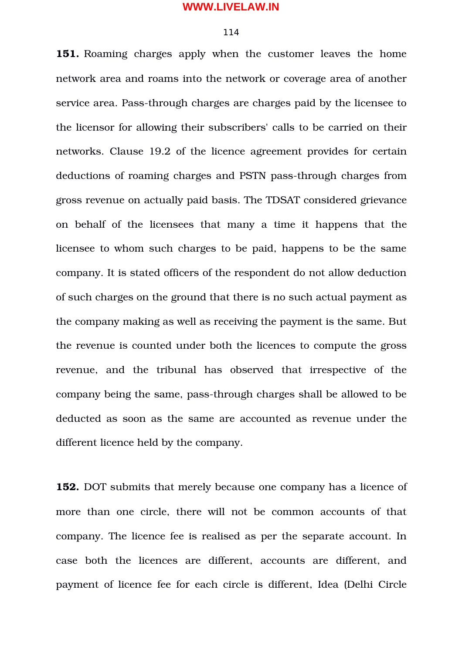#### 114

**151.** Roaming charges apply when the customer leaves the home network area and roams into the network or coverage area of another service area. Pass-through charges are charges paid by the licensee to the licensor for allowing their subscribers' calls to be carried on their networks. Clause 19.2 of the licence agreement provides for certain deductions of roaming charges and PSTN pass-through charges from gross revenue on actually paid basis. The TDSAT considered grievance on behalf of the licensees that many a time it happens that the licensee to whom such charges to be paid, happens to be the same company. It is stated officers of the respondent do not allow deduction of such charges on the ground that there is no such actual payment as the company making as well as receiving the payment is the same. But the revenue is counted under both the licences to compute the gross revenue, and the tribunal has observed that irrespective of the company being the same, pass-through charges shall be allowed to be deducted as soon as the same are accounted as revenue under the different licence held by the company.

**152.** DOT submits that merely because one company has a licence of more than one circle, there will not be common accounts of that company. The licence fee is realised as per the separate account. In case both the licences are different, accounts are different, and payment of licence fee for each circle is different, Idea (Delhi Circle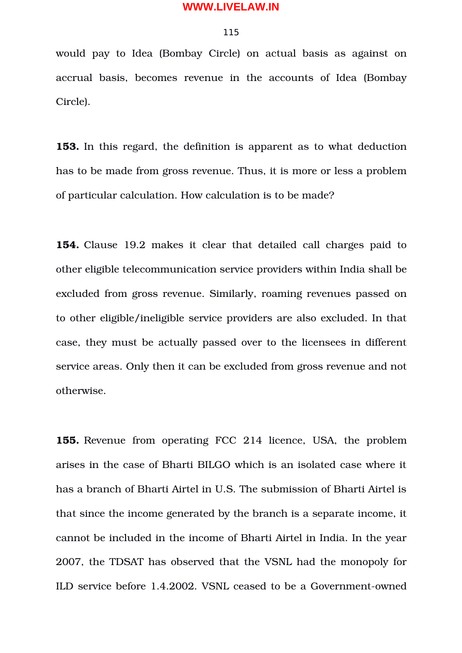### 115

would pay to Idea (Bombay Circle) on actual basis as against on accrual basis, becomes revenue in the accounts of Idea (Bombay Circle).

**153.** In this regard, the definition is apparent as to what deduction has to be made from gross revenue. Thus, it is more or less a problem of particular calculation. How calculation is to be made?

**154.** Clause 19.2 makes it clear that detailed call charges paid to other eligible telecommunication service providers within India shall be excluded from gross revenue. Similarly, roaming revenues passed on to other eligible/ineligible service providers are also excluded. In that case, they must be actually passed over to the licensees in different service areas. Only then it can be excluded from gross revenue and not otherwise.

**155.** Revenue from operating FCC 214 licence, USA, the problem arises in the case of Bharti BILGO which is an isolated case where it has a branch of Bharti Airtel in U.S. The submission of Bharti Airtel is that since the income generated by the branch is a separate income, it cannot be included in the income of Bharti Airtel in India. In the year 2007, the TDSAT has observed that the VSNL had the monopoly for ILD service before 1.4.2002. VSNL ceased to be a Government-owned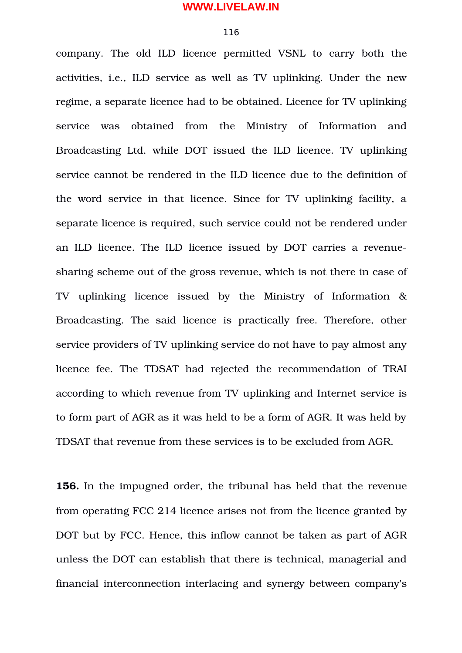#### 116

company. The old ILD licence permitted VSNL to carry both the activities, i.e., ILD service as well as TV uplinking. Under the new regime, a separate licence had to be obtained. Licence for TV uplinking service was obtained from the Ministry of Information and Broadcasting Ltd. while DOT issued the ILD licence. TV uplinking service cannot be rendered in the ILD licence due to the definition of the word service in that licence. Since for TV uplinking facility, a separate licence is required, such service could not be rendered under an ILD licence. The ILD licence issued by DOT carries a revenuesharing scheme out of the gross revenue, which is not there in case of TV uplinking licence issued by the Ministry of Information & Broadcasting. The said licence is practically free. Therefore, other service providers of TV uplinking service do not have to pay almost any licence fee. The TDSAT had rejected the recommendation of TRAI according to which revenue from TV uplinking and Internet service is to form part of AGR as it was held to be a form of AGR. It was held by TDSAT that revenue from these services is to be excluded from AGR.

**156.** In the impugned order, the tribunal has held that the revenue from operating FCC 214 licence arises not from the licence granted by DOT but by FCC. Hence, this inflow cannot be taken as part of AGR unless the DOT can establish that there is technical, managerial and financial interconnection interlacing and synergy between company's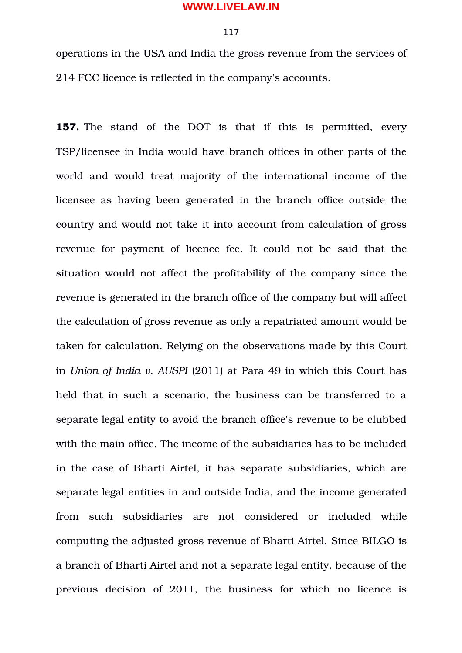### 117

operations in the USA and India the gross revenue from the services of 214 FCC licence is reflected in the company's accounts.

**157.** The stand of the DOT is that if this is permitted, every TSP/licensee in India would have branch offices in other parts of the world and would treat majority of the international income of the licensee as having been generated in the branch office outside the country and would not take it into account from calculation of gross revenue for payment of licence fee. It could not be said that the situation would not affect the profitability of the company since the revenue is generated in the branch office of the company but will affect the calculation of gross revenue as only a repatriated amount would be taken for calculation. Relying on the observations made by this Court in *Union of India v. AUSPI* (2011) at Para 49 in which this Court has held that in such a scenario, the business can be transferred to a separate legal entity to avoid the branch office's revenue to be clubbed with the main office. The income of the subsidiaries has to be included in the case of Bharti Airtel, it has separate subsidiaries, which are separate legal entities in and outside India, and the income generated from such subsidiaries are not considered or included while computing the adjusted gross revenue of Bharti Airtel. Since BILGO is a branch of Bharti Airtel and not a separate legal entity, because of the previous decision of 2011, the business for which no licence is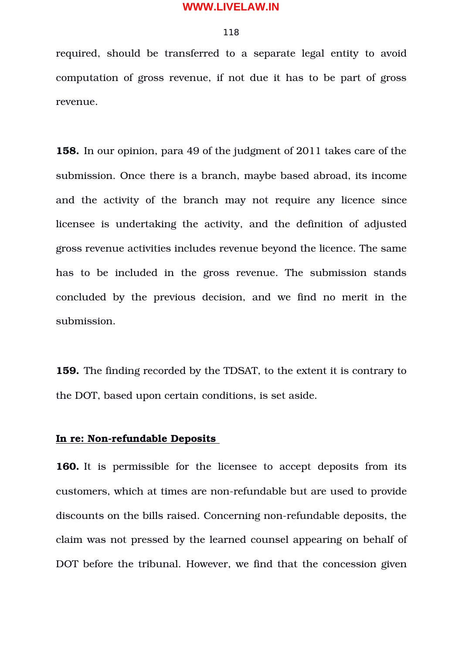### 118

required, should be transferred to a separate legal entity to avoid computation of gross revenue, if not due it has to be part of gross revenue.

**158.** In our opinion, para 49 of the judgment of 2011 takes care of the submission. Once there is a branch, maybe based abroad, its income and the activity of the branch may not require any licence since licensee is undertaking the activity, and the definition of adjusted gross revenue activities includes revenue beyond the licence. The same has to be included in the gross revenue. The submission stands concluded by the previous decision, and we find no merit in the submission.

**159.** The finding recorded by the TDSAT, to the extent it is contrary to the DOT, based upon certain conditions, is set aside.

# **In re: Non-refundable Deposits**

**160.** It is permissible for the licensee to accept deposits from its customers, which at times are non-refundable but are used to provide discounts on the bills raised. Concerning non-refundable deposits, the claim was not pressed by the learned counsel appearing on behalf of DOT before the tribunal. However, we find that the concession given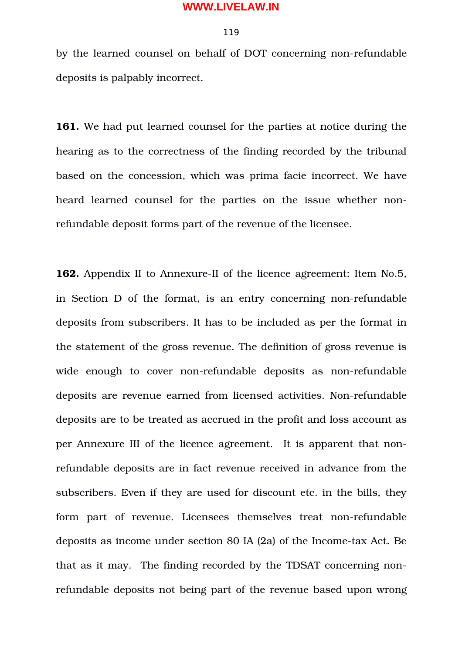#### 119

by the learned counsel on behalf of DOT concerning non-refundable deposits is palpably incorrect.

**161.** We had put learned counsel for the parties at notice during the hearing as to the correctness of the finding recorded by the tribunal based on the concession, which was prima facie incorrect. We have heard learned counsel for the parties on the issue whether nonrefundable deposit forms part of the revenue of the licensee.

**162.** Appendix II to Annexure-II of the licence agreement: Item No.5, in Section D of the format, is an entry concerning non-refundable deposits from subscribers. It has to be included as per the format in the statement of the gross revenue. The definition of gross revenue is wide enough to cover non-refundable deposits as non-refundable deposits are revenue earned from licensed activities. Non-refundable deposits are to be treated as accrued in the profit and loss account as per Annexure III of the licence agreement. It is apparent that nonrefundable deposits are in fact revenue received in advance from the subscribers. Even if they are used for discount etc. in the bills, they form part of revenue. Licensees themselves treat non-refundable deposits as income under section 80 IA (2a) of the Income-tax Act. Be that as it may. The finding recorded by the TDSAT concerning nonrefundable deposits not being part of the revenue based upon wrong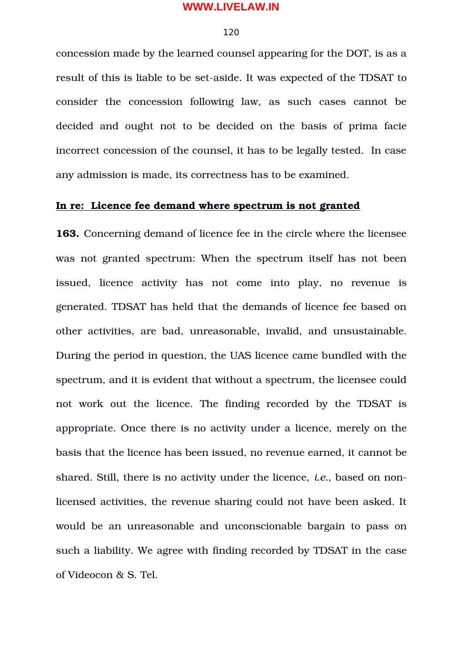#### 120

concession made by the learned counsel appearing for the DOT, is as a result of this is liable to be set-aside. It was expected of the TDSAT to consider the concession following law, as such cases cannot be decided and ought not to be decided on the basis of prima facie incorrect concession of the counsel, it has to be legally tested. In case any admission is made, its correctness has to be examined.

# **In re: Licence fee demand where spectrum is not granted**

**163.** Concerning demand of licence fee in the circle where the licensee was not granted spectrum: When the spectrum itself has not been issued, licence activity has not come into play, no revenue is generated. TDSAT has held that the demands of licence fee based on other activities, are bad, unreasonable, invalid, and unsustainable. During the period in question, the UAS licence came bundled with the spectrum, and it is evident that without a spectrum, the licensee could not work out the licence. The finding recorded by the TDSAT is appropriate. Once there is no activity under a licence, merely on the basis that the licence has been issued, no revenue earned, it cannot be shared. Still, there is no activity under the licence, *i.e.*, based on nonlicensed activities, the revenue sharing could not have been asked. It would be an unreasonable and unconscionable bargain to pass on such a liability. We agree with finding recorded by TDSAT in the case of Videocon & S. Tel.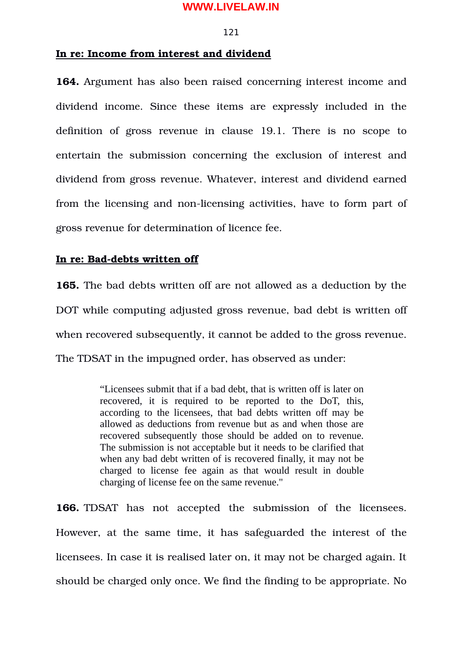#### 121

# **In re: Income from interest and dividend**

**164.** Argument has also been raised concerning interest income and dividend income. Since these items are expressly included in the definition of gross revenue in clause 19.1. There is no scope to entertain the submission concerning the exclusion of interest and dividend from gross revenue. Whatever, interest and dividend earned from the licensing and non-licensing activities, have to form part of gross revenue for determination of licence fee.

# **In re: Bad-debts written off**

**165.** The bad debts written off are not allowed as a deduction by the DOT while computing adjusted gross revenue, bad debt is written off when recovered subsequently, it cannot be added to the gross revenue. The TDSAT in the impugned order, has observed as under:

> "Licensees submit that if a bad debt, that is written off is later on recovered, it is required to be reported to the DoT, this, according to the licensees, that bad debts written off may be allowed as deductions from revenue but as and when those are recovered subsequently those should be added on to revenue. The submission is not acceptable but it needs to be clarified that when any bad debt written of is recovered finally, it may not be charged to license fee again as that would result in double charging of license fee on the same revenue."

**166.** TDSAT has not accepted the submission of the licensees. However, at the same time, it has safeguarded the interest of the licensees. In case it is realised later on, it may not be charged again. It should be charged only once. We find the finding to be appropriate. No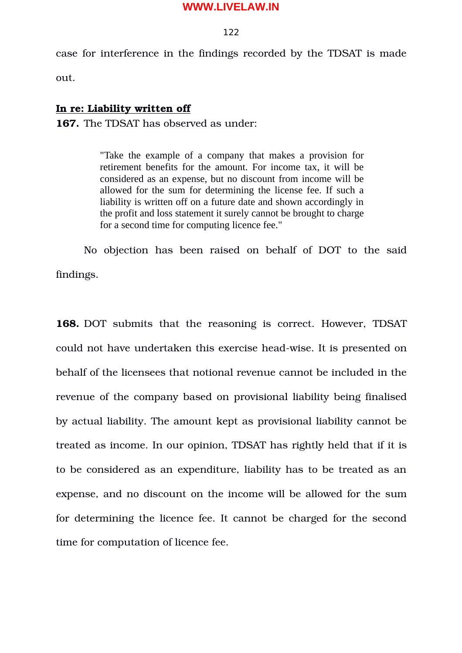#### 122

case for interference in the findings recorded by the TDSAT is made

out.

# **In re: Liability written off**

**167.** The TDSAT has observed as under:

"Take the example of a company that makes a provision for retirement benefits for the amount. For income tax, it will be considered as an expense, but no discount from income will be allowed for the sum for determining the license fee. If such a liability is written off on a future date and shown accordingly in the profit and loss statement it surely cannot be brought to charge for a second time for computing licence fee."

No objection has been raised on behalf of DOT to the said findings.

**168.** DOT submits that the reasoning is correct. However, TDSAT could not have undertaken this exercise head-wise. It is presented on behalf of the licensees that notional revenue cannot be included in the revenue of the company based on provisional liability being finalised by actual liability. The amount kept as provisional liability cannot be treated as income. In our opinion, TDSAT has rightly held that if it is to be considered as an expenditure, liability has to be treated as an expense, and no discount on the income will be allowed for the sum for determining the licence fee. It cannot be charged for the second time for computation of licence fee.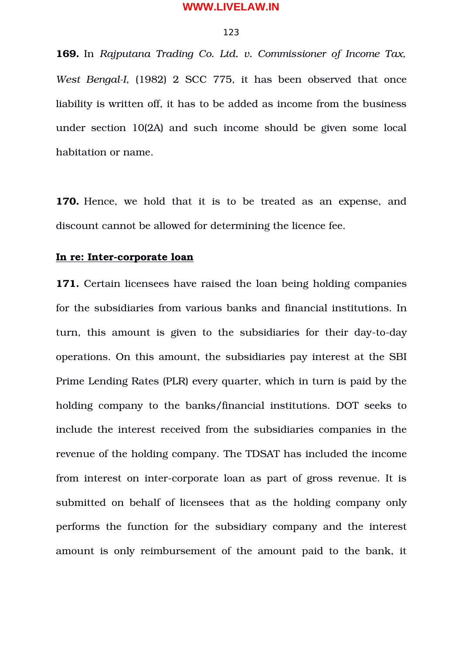#### 123

**169.** In *Rajputana Trading Co. Ltd. v. Commissioner of Income Tax, West BengalI*, (1982) 2 SCC 775, it has been observed that once liability is written off, it has to be added as income from the business under section 10(2A) and such income should be given some local habitation or name.

**170.** Hence, we hold that it is to be treated as an expense, and discount cannot be allowed for determining the licence fee.

# **In re: Inter-corporate loan**

**171.** Certain licensees have raised the loan being holding companies for the subsidiaries from various banks and financial institutions. In turn, this amount is given to the subsidiaries for their day-to-day operations. On this amount, the subsidiaries pay interest at the SBI Prime Lending Rates (PLR) every quarter, which in turn is paid by the holding company to the banks/financial institutions. DOT seeks to include the interest received from the subsidiaries companies in the revenue of the holding company. The TDSAT has included the income from interest on inter-corporate loan as part of gross revenue. It is submitted on behalf of licensees that as the holding company only performs the function for the subsidiary company and the interest amount is only reimbursement of the amount paid to the bank, it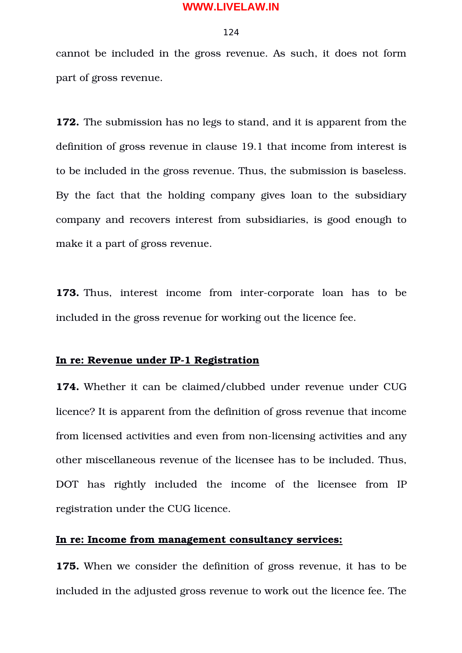#### 124

cannot be included in the gross revenue. As such, it does not form part of gross revenue.

**172.** The submission has no legs to stand, and it is apparent from the definition of gross revenue in clause 19.1 that income from interest is to be included in the gross revenue. Thus, the submission is baseless. By the fact that the holding company gives loan to the subsidiary company and recovers interest from subsidiaries, is good enough to make it a part of gross revenue.

**173.** Thus, interest income from inter-corporate loan has to be included in the gross revenue for working out the licence fee.

# **In re: Revenue under IP-1 Registration**

**174.** Whether it can be claimed/clubbed under revenue under CUG licence? It is apparent from the definition of gross revenue that income from licensed activities and even from non-licensing activities and any other miscellaneous revenue of the licensee has to be included. Thus, DOT has rightly included the income of the licensee from IP registration under the CUG licence.

# **In re: Income from management consultancy services:**

**175.** When we consider the definition of gross revenue, it has to be included in the adjusted gross revenue to work out the licence fee. The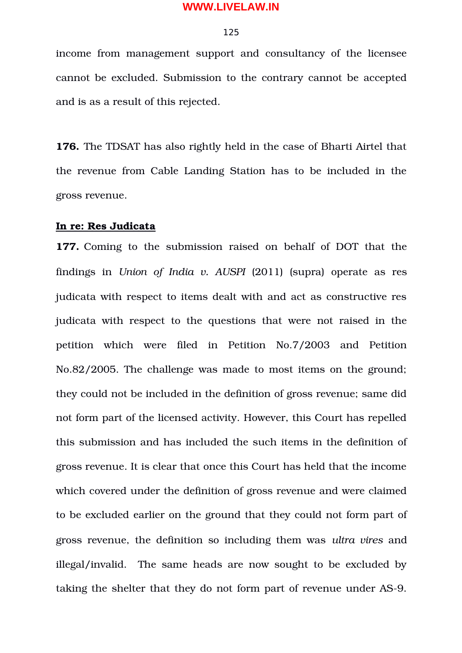#### 125

income from management support and consultancy of the licensee cannot be excluded. Submission to the contrary cannot be accepted and is as a result of this rejected.

**176.** The TDSAT has also rightly held in the case of Bharti Airtel that the revenue from Cable Landing Station has to be included in the gross revenue.

#### **In re: Res Judicata**

**177.** Coming to the submission raised on behalf of DOT that the findings in *Union of India v. AUSPI* (2011) (supra) operate as res judicata with respect to items dealt with and act as constructive res judicata with respect to the questions that were not raised in the petition which were filed in Petition No.7/2003 and Petition No.82/2005. The challenge was made to most items on the ground; they could not be included in the definition of gross revenue; same did not form part of the licensed activity. However, this Court has repelled this submission and has included the such items in the definition of gross revenue. It is clear that once this Court has held that the income which covered under the definition of gross revenue and were claimed to be excluded earlier on the ground that they could not form part of gross revenue, the definition so including them was *ultra vires* and illegal/invalid. The same heads are now sought to be excluded by taking the shelter that they do not form part of revenue under AS-9.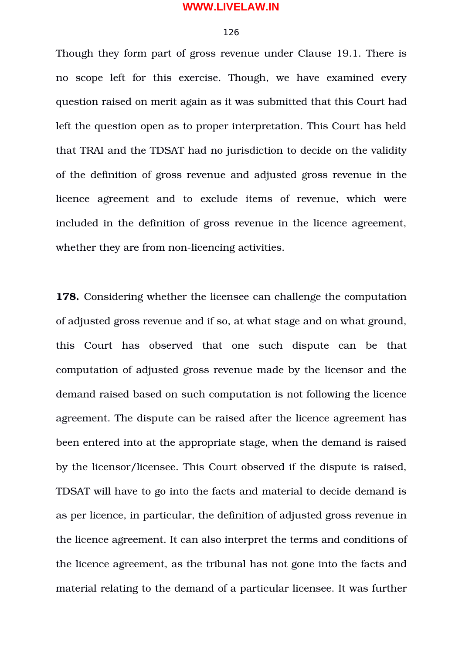#### 126

Though they form part of gross revenue under Clause 19.1. There is no scope left for this exercise. Though, we have examined every question raised on merit again as it was submitted that this Court had left the question open as to proper interpretation. This Court has held that TRAI and the TDSAT had no jurisdiction to decide on the validity of the definition of gross revenue and adjusted gross revenue in the licence agreement and to exclude items of revenue, which were included in the definition of gross revenue in the licence agreement, whether they are from non-licencing activities.

**178.** Considering whether the licensee can challenge the computation of adjusted gross revenue and if so, at what stage and on what ground, this Court has observed that one such dispute can be that computation of adjusted gross revenue made by the licensor and the demand raised based on such computation is not following the licence agreement. The dispute can be raised after the licence agreement has been entered into at the appropriate stage, when the demand is raised by the licensor/licensee. This Court observed if the dispute is raised, TDSAT will have to go into the facts and material to decide demand is as per licence, in particular, the definition of adjusted gross revenue in the licence agreement. It can also interpret the terms and conditions of the licence agreement, as the tribunal has not gone into the facts and material relating to the demand of a particular licensee. It was further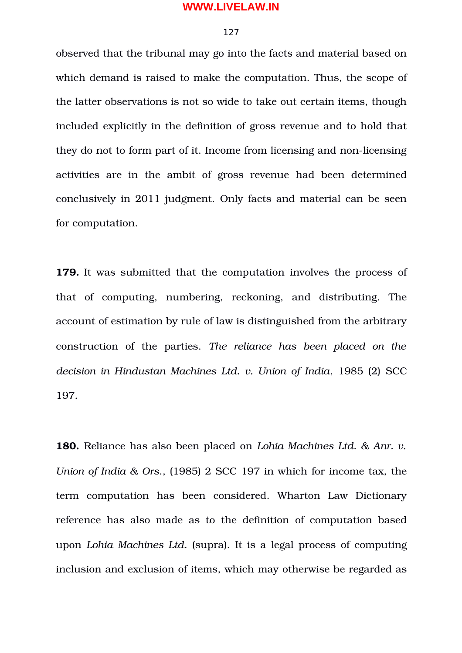#### 127

observed that the tribunal may go into the facts and material based on which demand is raised to make the computation. Thus, the scope of the latter observations is not so wide to take out certain items, though included explicitly in the definition of gross revenue and to hold that they do not to form part of it. Income from licensing and non-licensing activities are in the ambit of gross revenue had been determined conclusively in 2011 judgment. Only facts and material can be seen for computation.

**179.** It was submitted that the computation involves the process of that of computing, numbering, reckoning, and distributing. The account of estimation by rule of law is distinguished from the arbitrary construction of the parties. The reliance has been placed on the *decision in Hindustan Machines Ltd. v. Union of India*, 1985 (2) SCC 197.

**180.** Reliance has also been placed on *Lohia Machines Ltd. & Anr. v. Union of India & Ors*., (1985) 2 SCC 197 in which for income tax, the term computation has been considered. Wharton Law Dictionary reference has also made as to the definition of computation based upon *Lohia Machines Ltd*. (supra). It is a legal process of computing inclusion and exclusion of items, which may otherwise be regarded as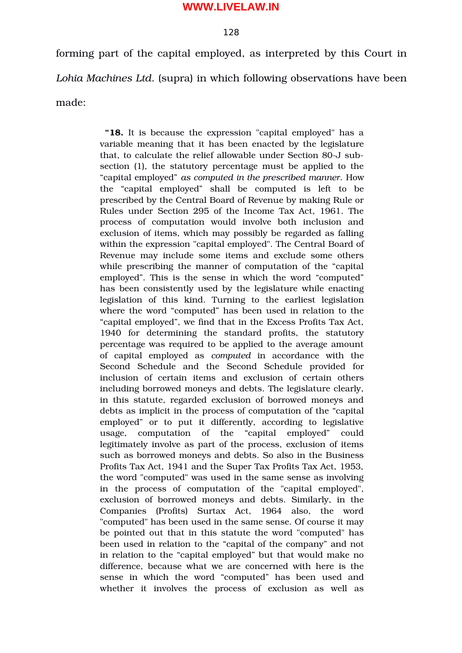### 128

forming part of the capital employed, as interpreted by this Court in *Lohia Machines Ltd*. (supra) in which following observations have been made:

> **"18.** It is because the expression "capital employed" has a variable meaning that it has been enacted by the legislature that, to calculate the relief allowable under Section 80-J subsection (1), the statutory percentage must be applied to the "capital employed" *as computed in the prescribed manner*. How the "capital employed" shall be computed is left to be prescribed by the Central Board of Revenue by making Rule or Rules under Section 295 of the Income Tax Act, 1961. The process of computation would involve both inclusion and exclusion of items, which may possibly be regarded as falling within the expression "capital employed". The Central Board of Revenue may include some items and exclude some others while prescribing the manner of computation of the "capital employed". This is the sense in which the word "computed" has been consistently used by the legislature while enacting legislation of this kind. Turning to the earliest legislation where the word "computed" has been used in relation to the "capital employed", we find that in the Excess Profits Tax Act, 1940 for determining the standard profits, the statutory percentage was required to be applied to the average amount of capital employed as *computed* in accordance with the Second Schedule and the Second Schedule provided for inclusion of certain items and exclusion of certain others including borrowed moneys and debts. The legislature clearly, in this statute, regarded exclusion of borrowed moneys and debts as implicit in the process of computation of the "capital employed" or to put it differently, according to legislative usage, computation of the "capital employed" could legitimately involve as part of the process, exclusion of items such as borrowed moneys and debts. So also in the Business Profits Tax Act, 1941 and the Super Tax Profits Tax Act, 1953, the word "computed" was used in the same sense as involving in the process of computation of the "capital employed", exclusion of borrowed moneys and debts. Similarly, in the Companies (Profits) Surtax Act, 1964 also, the word "computed" has been used in the same sense. Of course it may be pointed out that in this statute the word "computed" has been used in relation to the "capital of the company" and not in relation to the "capital employed" but that would make no difference, because what we are concerned with here is the sense in which the word "computed" has been used and whether it involves the process of exclusion as well as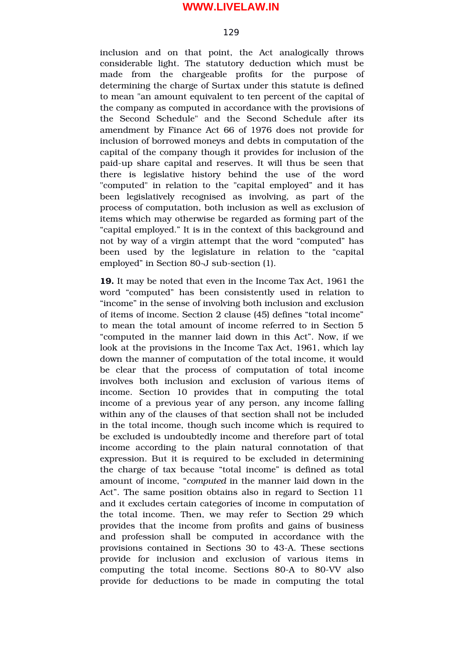#### 129

inclusion and on that point, the Act analogically throws considerable light. The statutory deduction which must be made from the chargeable profits for the purpose of determining the charge of Surtax under this statute is defined to mean "an amount equivalent to ten percent of the capital of the company as computed in accordance with the provisions of the Second Schedule" and the Second Schedule after its amendment by Finance Act 66 of 1976 does not provide for inclusion of borrowed moneys and debts in computation of the capital of the company though it provides for inclusion of the paid-up share capital and reserves. It will thus be seen that there is legislative history behind the use of the word "computed" in relation to the "capital employed" and it has been legislatively recognised as involving, as part of the process of computation, both inclusion as well as exclusion of items which may otherwise be regarded as forming part of the "capital employed." It is in the context of this background and not by way of a virgin attempt that the word "computed" has been used by the legislature in relation to the "capital employed" in Section 80-J sub-section (1).

**19.** It may be noted that even in the Income Tax Act, 1961 the word "computed" has been consistently used in relation to "income" in the sense of involving both inclusion and exclusion of items of income. Section 2 clause (45) defines "total income" to mean the total amount of income referred to in Section 5 "computed in the manner laid down in this Act". Now, if we look at the provisions in the Income Tax Act, 1961, which lay down the manner of computation of the total income, it would be clear that the process of computation of total income involves both inclusion and exclusion of various items of income. Section 10 provides that in computing the total income of a previous year of any person, any income falling within any of the clauses of that section shall not be included in the total income, though such income which is required to be excluded is undoubtedly income and therefore part of total income according to the plain natural connotation of that expression. But it is required to be excluded in determining the charge of tax because "total income" is defined as total amount of income, "*computed* in the manner laid down in the Act". The same position obtains also in regard to Section 11 and it excludes certain categories of income in computation of the total income. Then, we may refer to Section 29 which provides that the income from profits and gains of business and profession shall be computed in accordance with the provisions contained in Sections 30 to 43A. These sections provide for inclusion and exclusion of various items in computing the total income. Sections 80-A to 80-VV also provide for deductions to be made in computing the total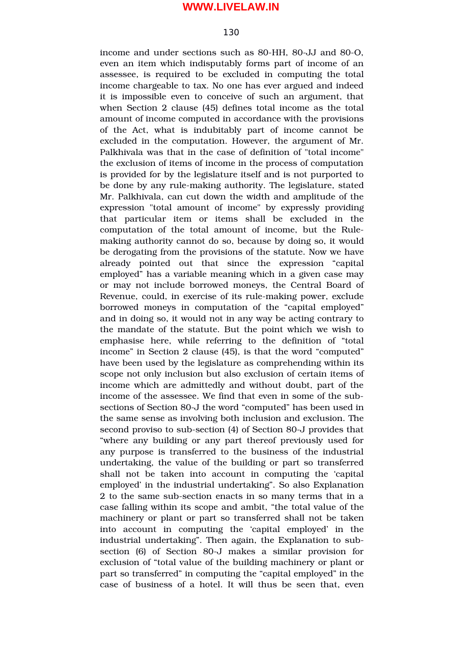#### 130

income and under sections such as 80-HH, 80-JJ and 80-O, even an item which indisputably forms part of income of an assessee, is required to be excluded in computing the total income chargeable to tax. No one has ever argued and indeed it is impossible even to conceive of such an argument, that when Section 2 clause (45) defines total income as the total amount of income computed in accordance with the provisions of the Act, what is indubitably part of income cannot be excluded in the computation. However, the argument of Mr. Palkhivala was that in the case of definition of "total income" the exclusion of items of income in the process of computation is provided for by the legislature itself and is not purported to be done by any rule-making authority. The legislature, stated Mr. Palkhivala, can cut down the width and amplitude of the expression "total amount of income" by expressly providing that particular item or items shall be excluded in the computation of the total amount of income, but the Rulemaking authority cannot do so, because by doing so, it would be derogating from the provisions of the statute. Now we have already pointed out that since the expression "capital" employed" has a variable meaning which in a given case may or may not include borrowed moneys, the Central Board of Revenue, could, in exercise of its rule-making power, exclude borrowed moneys in computation of the "capital employed" and in doing so, it would not in any way be acting contrary to the mandate of the statute. But the point which we wish to emphasise here, while referring to the definition of "total income" in Section 2 clause (45), is that the word "computed" have been used by the legislature as comprehending within its scope not only inclusion but also exclusion of certain items of income which are admittedly and without doubt, part of the income of the assessee. We find that even in some of the subsections of Section 80-J the word "computed" has been used in the same sense as involving both inclusion and exclusion. The second proviso to sub-section (4) of Section 80-J provides that "where any building or any part thereof previously used for any purpose is transferred to the business of the industrial undertaking, the value of the building or part so transferred shall not be taken into account in computing the 'capital employed' in the industrial undertaking". So also Explanation 2 to the same sub-section enacts in so many terms that in a case falling within its scope and ambit, "the total value of the machinery or plant or part so transferred shall not be taken into account in computing the 'capital employed' in the industrial undertaking". Then again, the Explanation to subsection (6) of Section 80-J makes a similar provision for exclusion of "total value of the building machinery or plant or part so transferred" in computing the "capital employed" in the case of business of a hotel. It will thus be seen that, even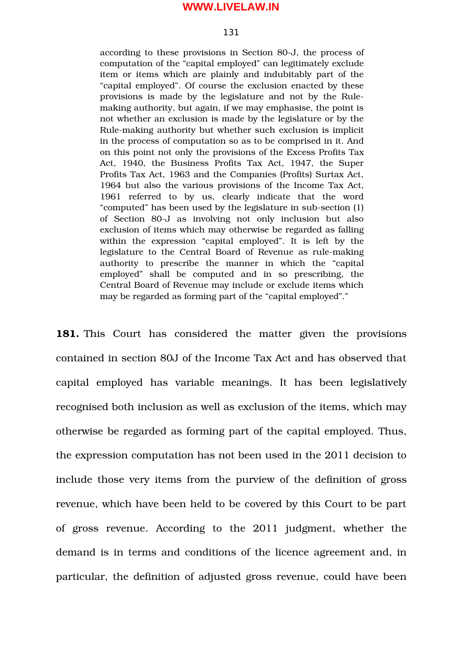#### 131

according to these provisions in Section 80-J, the process of computation of the "capital employed" can legitimately exclude item or items which are plainly and indubitably part of the "capital employed". Of course the exclusion enacted by these provisions is made by the legislature and not by the Rulemaking authority, but again, if we may emphasise, the point is not whether an exclusion is made by the legislature or by the Rule-making authority but whether such exclusion is implicit in the process of computation so as to be comprised in it. And on this point not only the provisions of the Excess Profits Tax Act, 1940, the Business Profits Tax Act, 1947, the Super Profits Tax Act, 1963 and the Companies (Profits) Surtax Act, 1964 but also the various provisions of the Income Tax Act, 1961 referred to by us, clearly indicate that the word "computed" has been used by the legislature in sub-section (1) of Section 80-J as involving not only inclusion but also exclusion of items which may otherwise be regarded as falling within the expression "capital employed". It is left by the legislature to the Central Board of Revenue as rule-making authority to prescribe the manner in which the "capital" employed" shall be computed and in so prescribing, the Central Board of Revenue may include or exclude items which may be regarded as forming part of the "capital employed"."

**181.** This Court has considered the matter given the provisions contained in section 80J of the Income Tax Act and has observed that capital employed has variable meanings. It has been legislatively recognised both inclusion as well as exclusion of the items, which may otherwise be regarded as forming part of the capital employed. Thus, the expression computation has not been used in the 2011 decision to include those very items from the purview of the definition of gross revenue, which have been held to be covered by this Court to be part of gross revenue. According to the 2011 judgment, whether the demand is in terms and conditions of the licence agreement and, in particular, the definition of adjusted gross revenue, could have been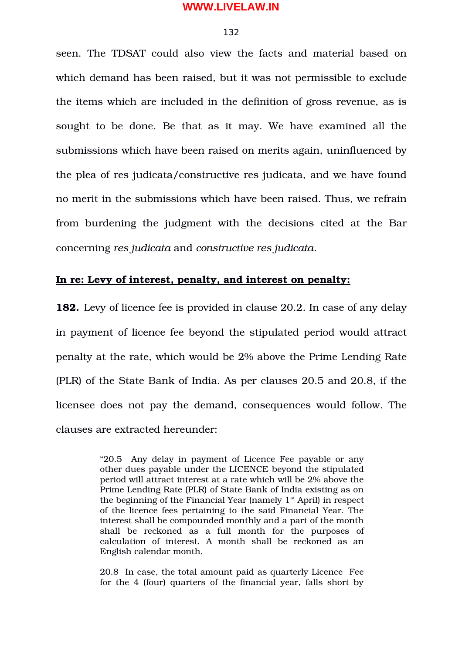#### 132

seen. The TDSAT could also view the facts and material based on which demand has been raised, but it was not permissible to exclude the items which are included in the definition of gross revenue, as is sought to be done. Be that as it may. We have examined all the submissions which have been raised on merits again, uninfluenced by the plea of res judicata/constructive res judicata, and we have found no merit in the submissions which have been raised. Thus, we refrain from burdening the judgment with the decisions cited at the Bar concerning *res judicata* and *constructive res judicata*.

# **In re: Levy of interest, penalty, and interest on penalty:**

**182.** Levy of licence fee is provided in clause 20.2. In case of any delay in payment of licence fee beyond the stipulated period would attract penalty at the rate, which would be 2% above the Prime Lending Rate (PLR) of the State Bank of India. As per clauses 20.5 and 20.8, if the licensee does not pay the demand, consequences would follow. The clauses are extracted hereunder:

> "20.5 Any delay in payment of Licence Fee payable or any other dues payable under the LICENCE beyond the stipulated period will attract interest at a rate which will be 2% above the Prime Lending Rate (PLR) of State Bank of India existing as on the beginning of the Financial Year (namely  $1<sup>st</sup>$  April) in respect of the licence fees pertaining to the said Financial Year. The interest shall be compounded monthly and a part of the month shall be reckoned as a full month for the purposes of calculation of interest. A month shall be reckoned as an English calendar month.

> 20.8 In case, the total amount paid as quarterly Licence Fee for the 4 (four) quarters of the financial year, falls short by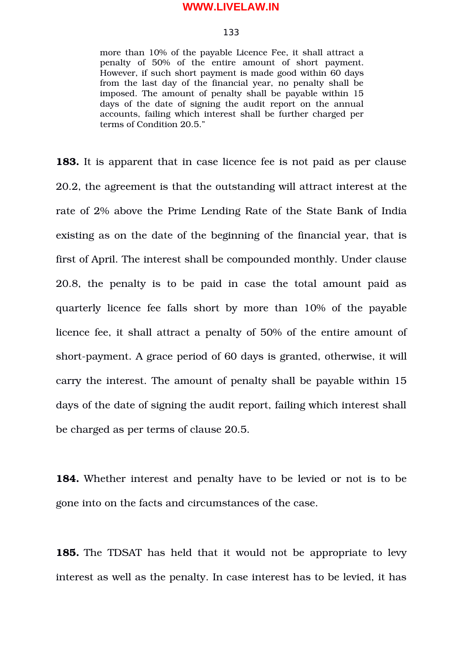#### 133

more than 10% of the payable Licence Fee, it shall attract a penalty of 50% of the entire amount of short payment. However, if such short payment is made good within 60 days from the last day of the financial year, no penalty shall be imposed. The amount of penalty shall be payable within 15 days of the date of signing the audit report on the annual accounts, failing which interest shall be further charged per terms of Condition 20.5."

**183.** It is apparent that in case licence fee is not paid as per clause 20.2, the agreement is that the outstanding will attract interest at the rate of 2% above the Prime Lending Rate of the State Bank of India existing as on the date of the beginning of the financial year, that is first of April. The interest shall be compounded monthly. Under clause 20.8, the penalty is to be paid in case the total amount paid as quarterly licence fee falls short by more than 10% of the payable licence fee, it shall attract a penalty of 50% of the entire amount of short-payment. A grace period of 60 days is granted, otherwise, it will carry the interest. The amount of penalty shall be payable within 15 days of the date of signing the audit report, failing which interest shall be charged as per terms of clause 20.5.

**184.** Whether interest and penalty have to be levied or not is to be gone into on the facts and circumstances of the case.

**185.** The TDSAT has held that it would not be appropriate to levy interest as well as the penalty. In case interest has to be levied, it has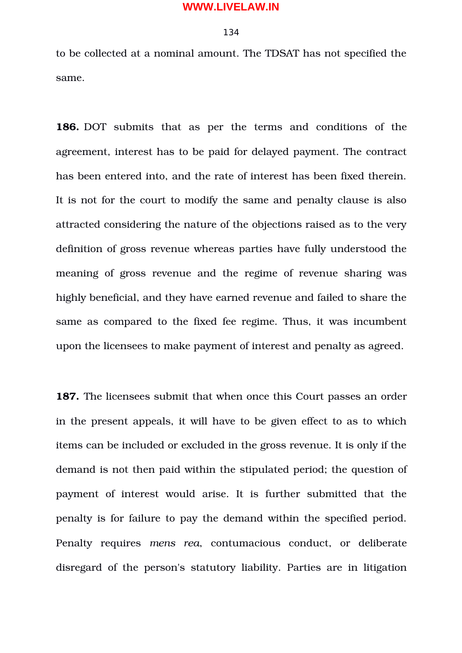#### 134

to be collected at a nominal amount. The TDSAT has not specified the same.

**186.** DOT submits that as per the terms and conditions of the agreement, interest has to be paid for delayed payment. The contract has been entered into, and the rate of interest has been fixed therein. It is not for the court to modify the same and penalty clause is also attracted considering the nature of the objections raised as to the very definition of gross revenue whereas parties have fully understood the meaning of gross revenue and the regime of revenue sharing was highly beneficial, and they have earned revenue and failed to share the same as compared to the fixed fee regime. Thus, it was incumbent upon the licensees to make payment of interest and penalty as agreed.

**187.** The licensees submit that when once this Court passes an order in the present appeals, it will have to be given effect to as to which items can be included or excluded in the gross revenue. It is only if the demand is not then paid within the stipulated period; the question of payment of interest would arise. It is further submitted that the penalty is for failure to pay the demand within the specified period. Penalty requires mens rea, contumacious conduct, or deliberate disregard of the person's statutory liability. Parties are in litigation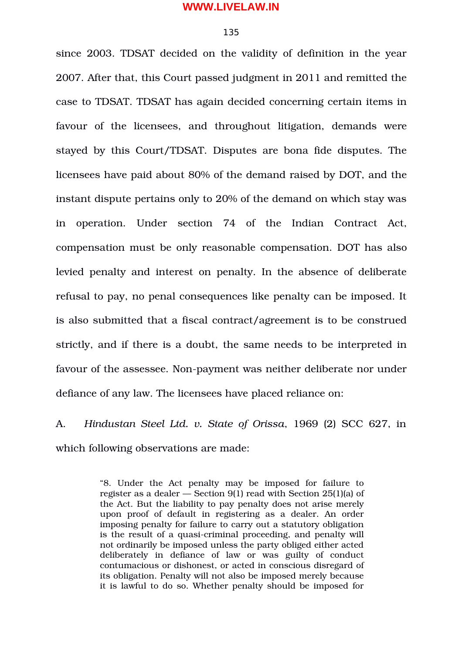#### 135

since 2003. TDSAT decided on the validity of definition in the year 2007. After that, this Court passed judgment in 2011 and remitted the case to TDSAT. TDSAT has again decided concerning certain items in favour of the licensees, and throughout litigation, demands were stayed by this Court/TDSAT. Disputes are bona fide disputes. The licensees have paid about 80% of the demand raised by DOT, and the instant dispute pertains only to 20% of the demand on which stay was in operation. Under section 74 of the Indian Contract Act, compensation must be only reasonable compensation. DOT has also levied penalty and interest on penalty. In the absence of deliberate refusal to pay, no penal consequences like penalty can be imposed. It is also submitted that a fiscal contract/agreement is to be construed strictly, and if there is a doubt, the same needs to be interpreted in favour of the assessee. Non-payment was neither deliberate nor under defiance of any law. The licensees have placed reliance on:

A. *Hindustan Steel Ltd. v. State of Orissa*, 1969 (2) SCC 627, in which following observations are made:

> "8. Under the Act penalty may be imposed for failure to register as a dealer — Section 9(1) read with Section 25(1)(a) of the Act. But the liability to pay penalty does not arise merely upon proof of default in registering as a dealer. An order imposing penalty for failure to carry out a statutory obligation is the result of a quasi-criminal proceeding, and penalty will not ordinarily be imposed unless the party obliged either acted deliberately in defiance of law or was guilty of conduct contumacious or dishonest, or acted in conscious disregard of its obligation. Penalty will not also be imposed merely because it is lawful to do so. Whether penalty should be imposed for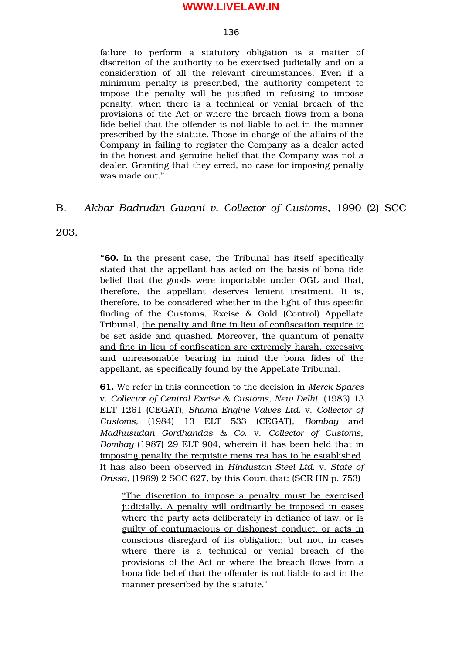#### 136

failure to perform a statutory obligation is a matter of discretion of the authority to be exercised judicially and on a consideration of all the relevant circumstances. Even if a minimum penalty is prescribed, the authority competent to impose the penalty will be justified in refusing to impose penalty, when there is a technical or venial breach of the provisions of the Act or where the breach flows from a bona fide belief that the offender is not liable to act in the manner prescribed by the statute. Those in charge of the affairs of the Company in failing to register the Company as a dealer acted in the honest and genuine belief that the Company was not a dealer. Granting that they erred, no case for imposing penalty was made out."

# B. *Akbar Badrudin Giwani v. Collector of Customs*, 1990 (2) SCC

203,

**"60.** In the present case, the Tribunal has itself specifically stated that the appellant has acted on the basis of bona fide belief that the goods were importable under OGL and that, therefore, the appellant deserves lenient treatment. It is, therefore, to be considered whether in the light of this specific finding of the Customs, Excise  $\&$  Gold (Control) Appellate Tribunal, the penalty and fine in lieu of confiscation require to be set aside and quashed. Moreover, the quantum of penalty and fine in lieu of confiscation are extremely harsh, excessive and unreasonable bearing in mind the bona fides of the appellant, as specifically found by the Appellate Tribunal.

**61.** We refer in this connection to the decision in *Merck Spares* v. *Collector of Central Excise & Customs, New Delhi*, (1983) 13 ELT 1261 (CEGAT), *Shama Engine Valves Ltd.* v. *Collector of Customs,* (1984) 13 ELT 533 (CEGAT), *Bombay* and *Madhusudan Gordhandas & Co.* v. *Collector of Customs, Bombay* (1987) 29 ELT 904, wherein it has been held that in imposing penalty the requisite mens rea has to be established. It has also been observed in *Hindustan Steel Ltd.* v. *State of Orissa*, (1969) 2 SCC 627, by this Court that: (SCR HN p. 753)

"The discretion to impose a penalty must be exercised judicially. A penalty will ordinarily be imposed in cases where the party acts deliberately in defiance of law, or is guilty of contumacious or dishonest conduct, or acts in conscious disregard of its obligation; but not, in cases where there is a technical or venial breach of the provisions of the Act or where the breach flows from a bona fide belief that the offender is not liable to act in the manner prescribed by the statute."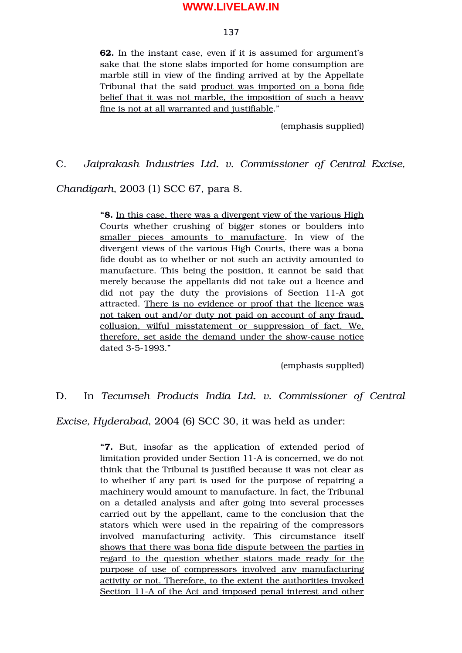#### 137

**62.** In the instant case, even if it is assumed for argument's sake that the stone slabs imported for home consumption are marble still in view of the finding arrived at by the Appellate Tribunal that the said product was imported on a bona fide belief that it was not marble, the imposition of such a heavy fine is not at all warranted and justifiable."

(emphasis supplied)

C. *Jaiprakash Industries Ltd. v. Commissioner of Central Excise,*

*Chandigarh*, 2003 (1) SCC 67, para 8.

**"8.** In this case, there was a divergent view of the various High Courts whether crushing of bigger stones or boulders into smaller pieces amounts to manufacture. In view of the divergent views of the various High Courts, there was a bona fide doubt as to whether or not such an activity amounted to manufacture. This being the position, it cannot be said that merely because the appellants did not take out a licence and did not pay the duty the provisions of Section 11-A got attracted. There is no evidence or proof that the licence was not taken out and/or duty not paid on account of any fraud, collusion, wilful misstatement or suppression of fact. We, therefore, set aside the demand under the showcause notice dated 3-5-1993."

(emphasis supplied)

D. In *Tecumseh Products India Ltd. v. Commissioner of Central*

*Excise, Hyderabad*, 2004 (6) SCC 30, it was held as under:

"7. But, insofar as the application of extended period of limitation provided under Section 11A is concerned, we do not think that the Tribunal is justified because it was not clear as to whether if any part is used for the purpose of repairing a machinery would amount to manufacture. In fact, the Tribunal on a detailed analysis and after going into several processes carried out by the appellant, came to the conclusion that the stators which were used in the repairing of the compressors involved manufacturing activity. This circumstance itself shows that there was bona fide dispute between the parties in regard to the question whether stators made ready for the purpose of use of compressors involved any manufacturing activity or not. Therefore, to the extent the authorities invoked Section 11-A of the Act and imposed penal interest and other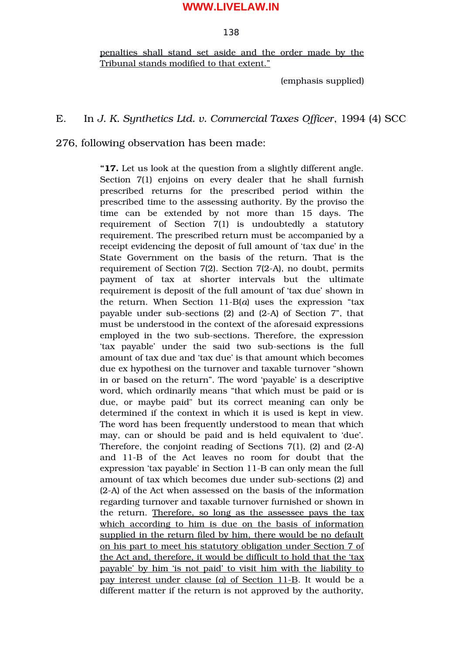#### 138

penalties shall stand set aside and the order made by the Tribunal stands modified to that extent."

(emphasis supplied)

# E. In *J. K. Synthetics Ltd. v. Commercial Taxes Officer*, 1994 (4) SCC

276, following observation has been made:

**"17.** Let us look at the question from a slightly different angle. Section 7(1) enjoins on every dealer that he shall furnish prescribed returns for the prescribed period within the prescribed time to the assessing authority. By the proviso the time can be extended by not more than 15 days. The requirement of Section  $7(1)$  is undoubtedly a statutory requirement. The prescribed return must be accompanied by a receipt evidencing the deposit of full amount of 'tax due' in the State Government on the basis of the return. That is the requirement of Section 7(2). Section 7(2-A), no doubt, permits payment of tax at shorter intervals but the ultimate requirement is deposit of the full amount of 'tax due' shown in the return. When Section 11-B(*a*) uses the expression "tax payable under sub-sections  $(2)$  and  $(2-A)$  of Section 7", that must be understood in the context of the aforesaid expressions employed in the two subsections. Therefore, the expression 'tax payable' under the said two sub-sections is the full amount of tax due and 'tax due' is that amount which becomes due ex hypothesi on the turnover and taxable turnover "shown in or based on the return". The word 'payable' is a descriptive word, which ordinarily means "that which must be paid or is due, or maybe paid" but its correct meaning can only be determined if the context in which it is used is kept in view. The word has been frequently understood to mean that which may, can or should be paid and is held equivalent to 'due'. Therefore, the conjoint reading of Sections 7(1), (2) and (2A) and 11-B of the Act leaves no room for doubt that the expression 'tax payable' in Section 11-B can only mean the full amount of tax which becomes due under sub-sections (2) and (2A) of the Act when assessed on the basis of the information regarding turnover and taxable turnover furnished or shown in the return. Therefore, so long as the assessee pays the tax which according to him is due on the basis of information supplied in the return filed by him, there would be no default on his part to meet his statutory obligation under Section 7 of the Act and, therefore, it would be difficult to hold that the 'tax payable' by him 'is not paid' to visit him with the liability to pay interest under clause (*a*) of Section 11-B. It would be a different matter if the return is not approved by the authority,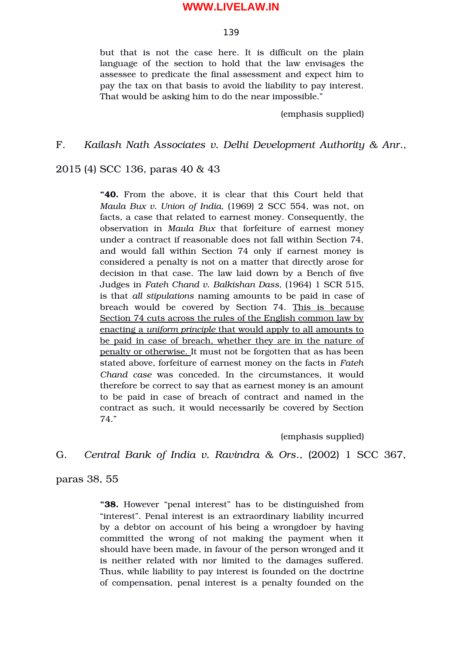#### 139

but that is not the case here. It is difficult on the plain language of the section to hold that the law envisages the assessee to predicate the final assessment and expect him to pay the tax on that basis to avoid the liability to pay interest. That would be asking him to do the near impossible."

(emphasis supplied)

## F. *Kailash Nath Associates v. Delhi Development Authority & Anr*.,

2015 (4) SCC 136, paras 40 & 43

**"40.** From the above, it is clear that this Court held that *Maula Bux v. Union of India, (1969) 2 SCC 554, was not, on* facts, a case that related to earnest money. Consequently, the observation in *Maula Bux* that forfeiture of earnest money under a contract if reasonable does not fall within Section 74, and would fall within Section 74 only if earnest money is considered a penalty is not on a matter that directly arose for decision in that case. The law laid down by a Bench of five Judges in *Fateh Chand v. Balkishan Dass,* (1964) 1 SCR 515, is that *all stipulations* naming amounts to be paid in case of breach would be covered by Section 74. This is because Section 74 cuts across the rules of the English common law by enacting a *uniform principle* that would apply to all amounts to be paid in case of breach, whether they are in the nature of penalty or otherwise. It must not be forgotten that as has been stated above, forfeiture of earnest money on the facts in *Fateh Chand case* was conceded. In the circumstances, it would therefore be correct to say that as earnest money is an amount to be paid in case of breach of contract and named in the contract as such, it would necessarily be covered by Section 74."

(emphasis supplied)

# G. *Central Bank of India v. Ravindra & Ors*., (2002) 1 SCC 367,

paras 38, 55

**"38.** However "penal interest" has to be distinguished from "interest". Penal interest is an extraordinary liability incurred by a debtor on account of his being a wrongdoer by having committed the wrong of not making the payment when it should have been made, in favour of the person wronged and it is neither related with nor limited to the damages suffered. Thus, while liability to pay interest is founded on the doctrine of compensation, penal interest is a penalty founded on the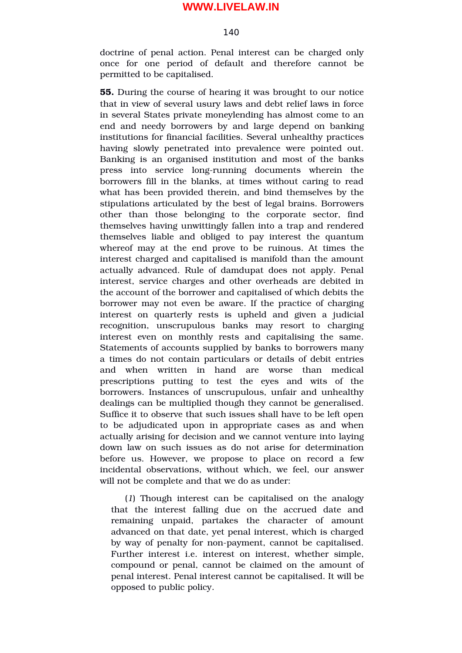#### 140

doctrine of penal action. Penal interest can be charged only once for one period of default and therefore cannot be permitted to be capitalised.

**55.** During the course of hearing it was brought to our notice that in view of several usury laws and debt relief laws in force in several States private moneylending has almost come to an end and needy borrowers by and large depend on banking institutions for financial facilities. Several unhealthy practices having slowly penetrated into prevalence were pointed out. Banking is an organised institution and most of the banks press into service long-running documents wherein the borrowers fill in the blanks, at times without caring to read what has been provided therein, and bind themselves by the stipulations articulated by the best of legal brains. Borrowers other than those belonging to the corporate sector, find themselves having unwittingly fallen into a trap and rendered themselves liable and obliged to pay interest the quantum whereof may at the end prove to be ruinous. At times the interest charged and capitalised is manifold than the amount actually advanced. Rule of damdupat does not apply. Penal interest, service charges and other overheads are debited in the account of the borrower and capitalised of which debits the borrower may not even be aware. If the practice of charging interest on quarterly rests is upheld and given a judicial recognition, unscrupulous banks may resort to charging interest even on monthly rests and capitalising the same. Statements of accounts supplied by banks to borrowers many a times do not contain particulars or details of debit entries and when written in hand are worse than medical prescriptions putting to test the eyes and wits of the borrowers. Instances of unscrupulous, unfair and unhealthy dealings can be multiplied though they cannot be generalised. Suffice it to observe that such issues shall have to be left open to be adjudicated upon in appropriate cases as and when actually arising for decision and we cannot venture into laying down law on such issues as do not arise for determination before us. However, we propose to place on record a few incidental observations, without which, we feel, our answer will not be complete and that we do as under:

(*1*) Though interest can be capitalised on the analogy that the interest falling due on the accrued date and remaining unpaid, partakes the character of amount advanced on that date, yet penal interest, which is charged by way of penalty for non-payment, cannot be capitalised. Further interest i.e. interest on interest, whether simple, compound or penal, cannot be claimed on the amount of penal interest. Penal interest cannot be capitalised. It will be opposed to public policy.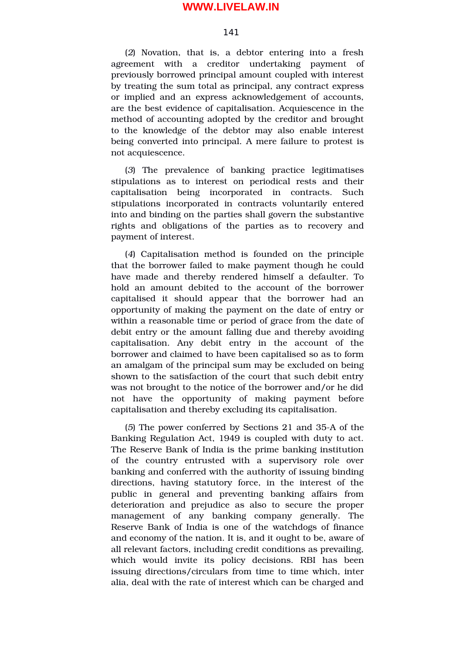#### 141

(*2*) Novation, that is, a debtor entering into a fresh agreement with a creditor undertaking payment of previously borrowed principal amount coupled with interest by treating the sum total as principal, any contract express or implied and an express acknowledgement of accounts, are the best evidence of capitalisation. Acquiescence in the method of accounting adopted by the creditor and brought to the knowledge of the debtor may also enable interest being converted into principal. A mere failure to protest is not acquiescence.

(*3*) The prevalence of banking practice legitimatises stipulations as to interest on periodical rests and their capitalisation being incorporated in contracts. Such stipulations incorporated in contracts voluntarily entered into and binding on the parties shall govern the substantive rights and obligations of the parties as to recovery and payment of interest.

(*4*) Capitalisation method is founded on the principle that the borrower failed to make payment though he could have made and thereby rendered himself a defaulter. To hold an amount debited to the account of the borrower capitalised it should appear that the borrower had an opportunity of making the payment on the date of entry or within a reasonable time or period of grace from the date of debit entry or the amount falling due and thereby avoiding capitalisation. Any debit entry in the account of the borrower and claimed to have been capitalised so as to form an amalgam of the principal sum may be excluded on being shown to the satisfaction of the court that such debit entry was not brought to the notice of the borrower and/or he did not have the opportunity of making payment before capitalisation and thereby excluding its capitalisation.

(*5*) The power conferred by Sections 21 and 35A of the Banking Regulation Act, 1949 is coupled with duty to act. The Reserve Bank of India is the prime banking institution of the country entrusted with a supervisory role over banking and conferred with the authority of issuing binding directions, having statutory force, in the interest of the public in general and preventing banking affairs from deterioration and prejudice as also to secure the proper management of any banking company generally. The Reserve Bank of India is one of the watchdogs of finance and economy of the nation. It is, and it ought to be, aware of all relevant factors, including credit conditions as prevailing, which would invite its policy decisions. RBI has been issuing directions/circulars from time to time which, inter alia, deal with the rate of interest which can be charged and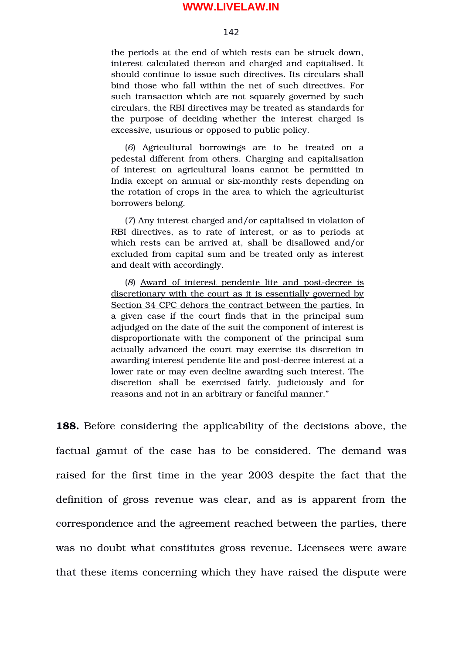#### 142

the periods at the end of which rests can be struck down, interest calculated thereon and charged and capitalised. It should continue to issue such directives. Its circulars shall bind those who fall within the net of such directives. For such transaction which are not squarely governed by such circulars, the RBI directives may be treated as standards for the purpose of deciding whether the interest charged is excessive, usurious or opposed to public policy.

(*6*) Agricultural borrowings are to be treated on a pedestal different from others. Charging and capitalisation of interest on agricultural loans cannot be permitted in India except on annual or six-monthly rests depending on the rotation of crops in the area to which the agriculturist borrowers belong.

(*7*) Any interest charged and/or capitalised in violation of RBI directives, as to rate of interest, or as to periods at which rests can be arrived at, shall be disallowed and/or excluded from capital sum and be treated only as interest and dealt with accordingly.

(8) Award of interest pendente lite and post-decree is discretionary with the court as it is essentially governed by Section 34 CPC dehors the contract between the parties. In a given case if the court finds that in the principal sum adjudged on the date of the suit the component of interest is disproportionate with the component of the principal sum actually advanced the court may exercise its discretion in awarding interest pendente lite and post-decree interest at a lower rate or may even decline awarding such interest. The discretion shall be exercised fairly, judiciously and for reasons and not in an arbitrary or fanciful manner."

**188.** Before considering the applicability of the decisions above, the factual gamut of the case has to be considered. The demand was raised for the first time in the year 2003 despite the fact that the definition of gross revenue was clear, and as is apparent from the correspondence and the agreement reached between the parties, there was no doubt what constitutes gross revenue. Licensees were aware that these items concerning which they have raised the dispute were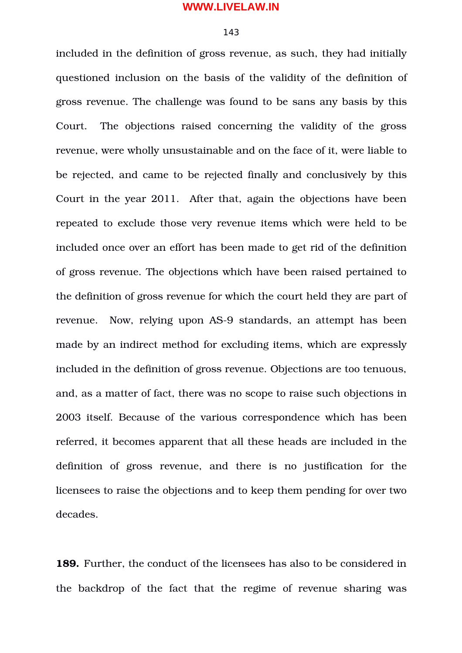#### 143

included in the definition of gross revenue, as such, they had initially questioned inclusion on the basis of the validity of the definition of gross revenue. The challenge was found to be sans any basis by this Court. The objections raised concerning the validity of the gross revenue, were wholly unsustainable and on the face of it, were liable to be rejected, and came to be rejected finally and conclusively by this Court in the year 2011. After that, again the objections have been repeated to exclude those very revenue items which were held to be included once over an effort has been made to get rid of the definition of gross revenue. The objections which have been raised pertained to the definition of gross revenue for which the court held they are part of revenue. Now, relying upon AS-9 standards, an attempt has been made by an indirect method for excluding items, which are expressly included in the definition of gross revenue. Objections are too tenuous, and, as a matter of fact, there was no scope to raise such objections in 2003 itself. Because of the various correspondence which has been referred, it becomes apparent that all these heads are included in the definition of gross revenue, and there is no justification for the licensees to raise the objections and to keep them pending for over two decades.

**189.** Further, the conduct of the licensees has also to be considered in the backdrop of the fact that the regime of revenue sharing was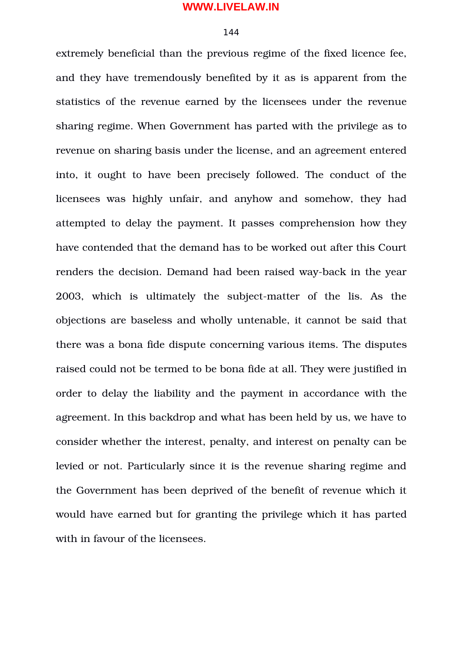## 144

extremely beneficial than the previous regime of the fixed licence fee, and they have tremendously benefited by it as is apparent from the statistics of the revenue earned by the licensees under the revenue sharing regime. When Government has parted with the privilege as to revenue on sharing basis under the license, and an agreement entered into, it ought to have been precisely followed. The conduct of the licensees was highly unfair, and anyhow and somehow, they had attempted to delay the payment. It passes comprehension how they have contended that the demand has to be worked out after this Court renders the decision. Demand had been raised way-back in the year 2003, which is ultimately the subject-matter of the lis. As the objections are baseless and wholly untenable, it cannot be said that there was a bona fide dispute concerning various items. The disputes raised could not be termed to be bona fide at all. They were justified in order to delay the liability and the payment in accordance with the agreement. In this backdrop and what has been held by us, we have to consider whether the interest, penalty, and interest on penalty can be levied or not. Particularly since it is the revenue sharing regime and the Government has been deprived of the benefit of revenue which it would have earned but for granting the privilege which it has parted with in favour of the licensees.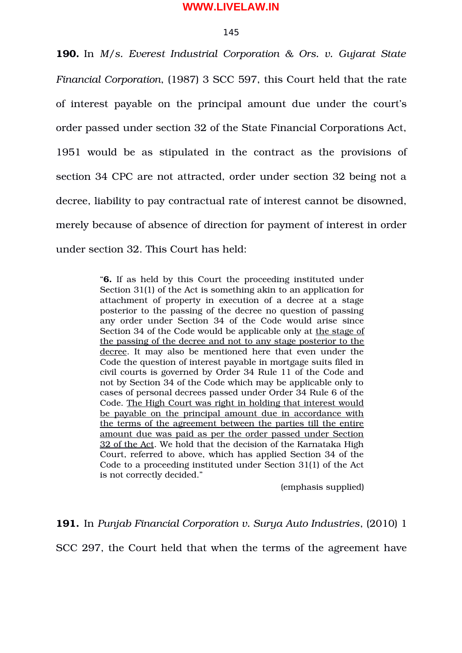#### 145

**190.** In *M/s. Everest Industrial Corporation & Ors. v. Gujarat State Financial Corporation*, (1987) 3 SCC 597, this Court held that the rate of interest payable on the principal amount due under the court's order passed under section 32 of the State Financial Corporations Act, 1951 would be as stipulated in the contract as the provisions of section 34 CPC are not attracted, order under section 32 being not a decree, liability to pay contractual rate of interest cannot be disowned, merely because of absence of direction for payment of interest in order under section 32. This Court has held:

> "**6.** If as held by this Court the proceeding instituted under Section 31(1) of the Act is something akin to an application for attachment of property in execution of a decree at a stage posterior to the passing of the decree no question of passing any order under Section 34 of the Code would arise since Section 34 of the Code would be applicable only at the stage of the passing of the decree and not to any stage posterior to the decree. It may also be mentioned here that even under the Code the question of interest payable in mortgage suits filed in civil courts is governed by Order 34 Rule 11 of the Code and not by Section 34 of the Code which may be applicable only to cases of personal decrees passed under Order 34 Rule 6 of the Code. The High Court was right in holding that interest would be payable on the principal amount due in accordance with the terms of the agreement between the parties till the entire amount due was paid as per the order passed under Section 32 of the Act. We hold that the decision of the Karnataka High Court, referred to above, which has applied Section 34 of the Code to a proceeding instituted under Section 31(1) of the Act is not correctly decided."

> > (emphasis supplied)

**191.** In *Punjab Financial Corporation v. Surya Auto Industries*, (2010) 1

SCC 297, the Court held that when the terms of the agreement have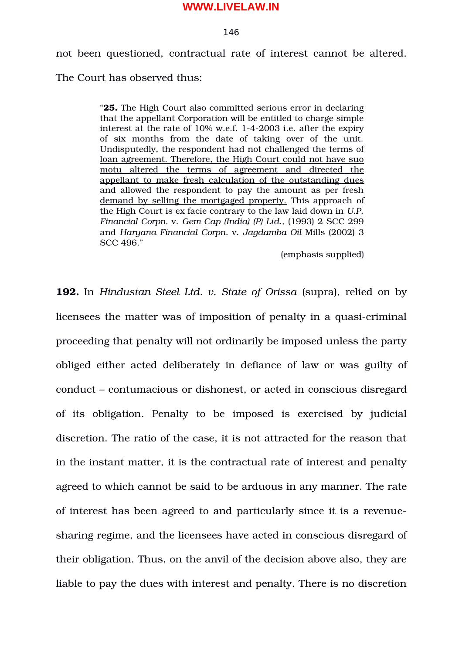### 146

not been questioned, contractual rate of interest cannot be altered.

The Court has observed thus:

"**25.** The High Court also committed serious error in declaring that the appellant Corporation will be entitled to charge simple interest at the rate of  $10\%$  w.e.f. 1-4-2003 i.e. after the expiry of six months from the date of taking over of the unit. Undisputedly, the respondent had not challenged the terms of loan agreement. Therefore, the High Court could not have suo motu altered the terms of agreement and directed the appellant to make fresh calculation of the outstanding dues and allowed the respondent to pay the amount as per fresh demand by selling the mortgaged property. This approach of the High Court is ex facie contrary to the law laid down in *U.P. Financial Corpn.* v. *Gem Cap (India) (P) Ltd.,* (1993) 2 SCC 299 and *Haryana Financial Corpn.* v. *Jagdamba Oil* Mills (2002) 3 SCC 496."

(emphasis supplied)

**192.** In *Hindustan Steel Ltd. v. State of Orissa* (supra), relied on by licensees the matter was of imposition of penalty in a quasi-criminal proceeding that penalty will not ordinarily be imposed unless the party obliged either acted deliberately in defiance of law or was guilty of conduct – contumacious or dishonest, or acted in conscious disregard of its obligation. Penalty to be imposed is exercised by judicial discretion. The ratio of the case, it is not attracted for the reason that in the instant matter, it is the contractual rate of interest and penalty agreed to which cannot be said to be arduous in any manner. The rate of interest has been agreed to and particularly since it is a revenuesharing regime, and the licensees have acted in conscious disregard of their obligation. Thus, on the anvil of the decision above also, they are liable to pay the dues with interest and penalty. There is no discretion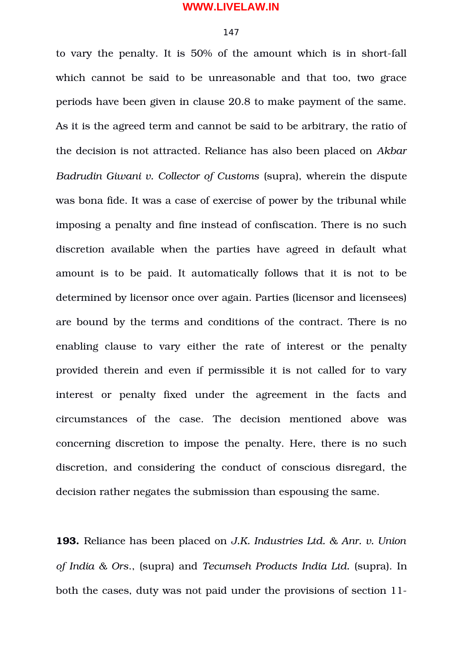#### 147

to vary the penalty. It is 50% of the amount which is in short-fall which cannot be said to be unreasonable and that too, two grace periods have been given in clause 20.8 to make payment of the same. As it is the agreed term and cannot be said to be arbitrary, the ratio of the decision is not attracted. Reliance has also been placed on *Akbar Badrudin Giwani v. Collector of Customs* (supra), wherein the dispute was bona fide. It was a case of exercise of power by the tribunal while imposing a penalty and fine instead of confiscation. There is no such discretion available when the parties have agreed in default what amount is to be paid. It automatically follows that it is not to be determined by licensor once over again. Parties (licensor and licensees) are bound by the terms and conditions of the contract. There is no enabling clause to vary either the rate of interest or the penalty provided therein and even if permissible it is not called for to vary interest or penalty fixed under the agreement in the facts and circumstances of the case. The decision mentioned above was concerning discretion to impose the penalty. Here, there is no such discretion, and considering the conduct of conscious disregard, the decision rather negates the submission than espousing the same.

**193.** Reliance has been placed on *J.K. Industries Ltd. & Anr. v. Union of India & Ors*., (supra) and *Tecumseh Products India Ltd.* (supra). In both the cases, duty was not paid under the provisions of section 11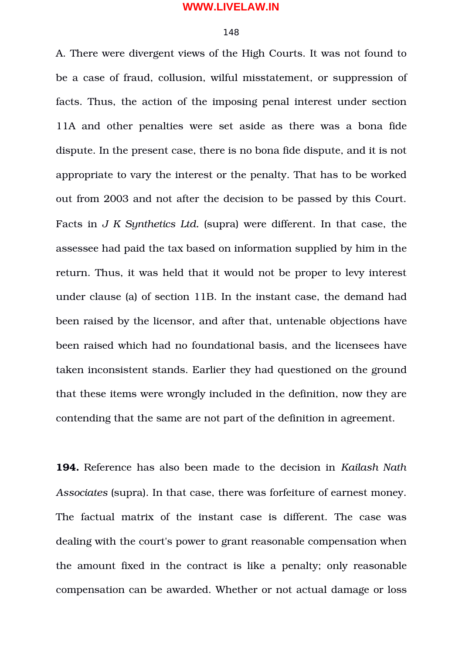#### 148

A. There were divergent views of the High Courts. It was not found to be a case of fraud, collusion, wilful misstatement, or suppression of facts. Thus, the action of the imposing penal interest under section 11A and other penalties were set aside as there was a bona fide dispute. In the present case, there is no bona fide dispute, and it is not appropriate to vary the interest or the penalty. That has to be worked out from 2003 and not after the decision to be passed by this Court. Facts in *J K Synthetics Ltd.* (supra) were different. In that case, the assessee had paid the tax based on information supplied by him in the return. Thus, it was held that it would not be proper to levy interest under clause (a) of section 11B. In the instant case, the demand had been raised by the licensor, and after that, untenable objections have been raised which had no foundational basis, and the licensees have taken inconsistent stands. Earlier they had questioned on the ground that these items were wrongly included in the definition, now they are contending that the same are not part of the definition in agreement.

**194.** Reference has also been made to the decision in *Kailash Nath Associates* (supra). In that case, there was forfeiture of earnest money. The factual matrix of the instant case is different. The case was dealing with the court's power to grant reasonable compensation when the amount fixed in the contract is like a penalty; only reasonable compensation can be awarded. Whether or not actual damage or loss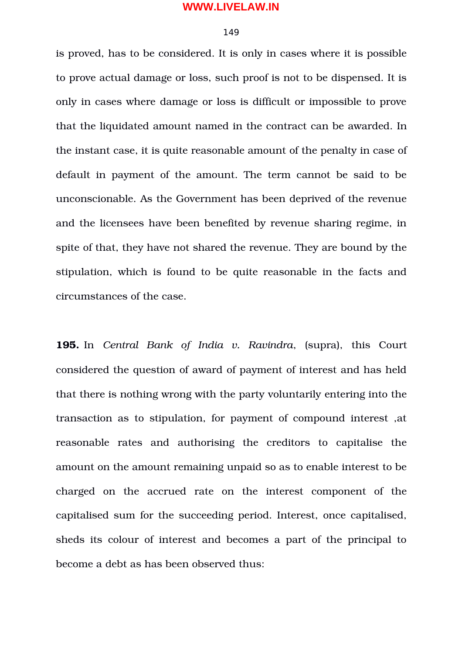# 149

is proved, has to be considered. It is only in cases where it is possible to prove actual damage or loss, such proof is not to be dispensed. It is only in cases where damage or loss is difficult or impossible to prove that the liquidated amount named in the contract can be awarded. In the instant case, it is quite reasonable amount of the penalty in case of default in payment of the amount. The term cannot be said to be unconscionable. As the Government has been deprived of the revenue and the licensees have been benefited by revenue sharing regime, in spite of that, they have not shared the revenue. They are bound by the stipulation, which is found to be quite reasonable in the facts and circumstances of the case.

**195.** In *Central Bank of India v. Ravindra*, (supra), this Court considered the question of award of payment of interest and has held that there is nothing wrong with the party voluntarily entering into the transaction as to stipulation, for payment of compound interest ,at reasonable rates and authorising the creditors to capitalise the amount on the amount remaining unpaid so as to enable interest to be charged on the accrued rate on the interest component of the capitalised sum for the succeeding period. Interest, once capitalised, sheds its colour of interest and becomes a part of the principal to become a debt as has been observed thus: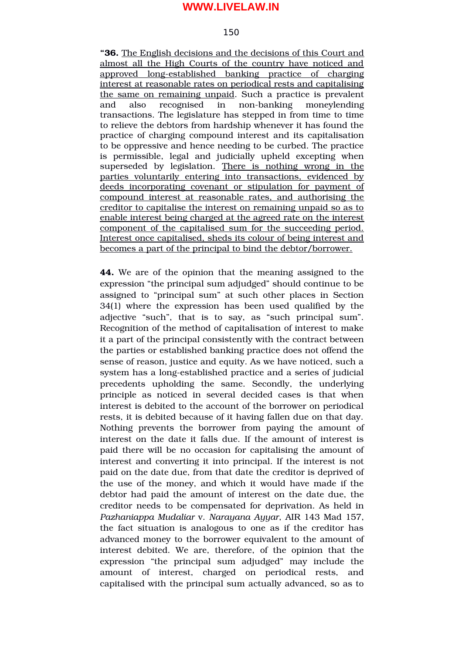#### 150

**"36.** The English decisions and the decisions of this Court and almost all the High Courts of the country have noticed and approved long-established banking practice of charging interest at reasonable rates on periodical rests and capitalising the same on remaining unpaid. Such a practice is prevalent and also recognised in non-banking moneylending transactions. The legislature has stepped in from time to time to relieve the debtors from hardship whenever it has found the practice of charging compound interest and its capitalisation to be oppressive and hence needing to be curbed. The practice is permissible, legal and judicially upheld excepting when superseded by legislation. There is nothing wrong in the parties voluntarily entering into transactions, evidenced by deeds incorporating covenant or stipulation for payment of compound interest at reasonable rates, and authorising the creditor to capitalise the interest on remaining unpaid so as to enable interest being charged at the agreed rate on the interest component of the capitalised sum for the succeeding period. Interest once capitalised, sheds its colour of being interest and becomes a part of the principal to bind the debtor/borrower.

**44.** We are of the opinion that the meaning assigned to the expression "the principal sum adjudged" should continue to be assigned to "principal sum" at such other places in Section 34(1) where the expression has been used qualified by the adjective "such", that is to say, as "such principal sum". Recognition of the method of capitalisation of interest to make it a part of the principal consistently with the contract between the parties or established banking practice does not offend the sense of reason, justice and equity. As we have noticed, such a system has a long-established practice and a series of judicial precedents upholding the same. Secondly, the underlying principle as noticed in several decided cases is that when interest is debited to the account of the borrower on periodical rests, it is debited because of it having fallen due on that day. Nothing prevents the borrower from paying the amount of interest on the date it falls due. If the amount of interest is paid there will be no occasion for capitalising the amount of interest and converting it into principal. If the interest is not paid on the date due, from that date the creditor is deprived of the use of the money, and which it would have made if the debtor had paid the amount of interest on the date due, the creditor needs to be compensated for deprivation. As held in *Pazhaniappa Mudaliar* v. *Narayana Ayyar*, AIR 143 Mad 157, the fact situation is analogous to one as if the creditor has advanced money to the borrower equivalent to the amount of interest debited. We are, therefore, of the opinion that the expression "the principal sum adjudged" may include the amount of interest, charged on periodical rests, and capitalised with the principal sum actually advanced, so as to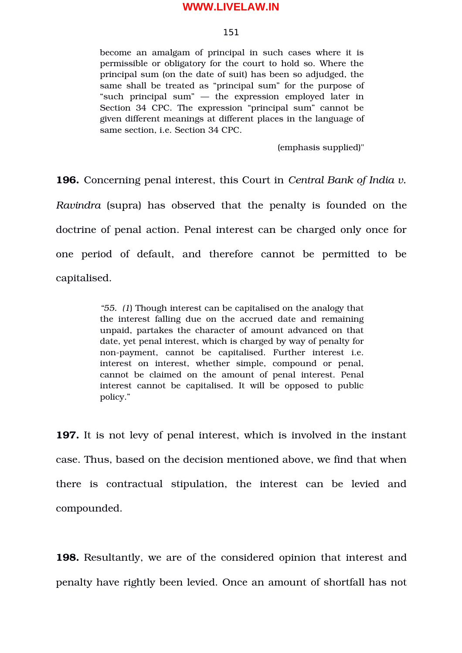# 151

become an amalgam of principal in such cases where it is permissible or obligatory for the court to hold so. Where the principal sum (on the date of suit) has been so adjudged, the same shall be treated as "principal sum" for the purpose of "such principal sum" — the expression employed later in Section 34 CPC. The expression "principal sum" cannot be given different meanings at different places in the language of same section, i.e. Section 34 CPC.

(emphasis supplied)"

**196.** Concerning penal interest, this Court in *Central Bank of India v. Ravindra* (supra) has observed that the penalty is founded on the doctrine of penal action. Penal interest can be charged only once for one period of default, and therefore cannot be permitted to be capitalised.

> *"55. (1*) Though interest can be capitalised on the analogy that the interest falling due on the accrued date and remaining unpaid, partakes the character of amount advanced on that date, yet penal interest, which is charged by way of penalty for non-payment, cannot be capitalised. Further interest i.e. interest on interest, whether simple, compound or penal, cannot be claimed on the amount of penal interest. Penal interest cannot be capitalised. It will be opposed to public policy."

**197.** It is not levy of penal interest, which is involved in the instant case. Thus, based on the decision mentioned above, we find that when there is contractual stipulation, the interest can be levied and compounded.

**198.** Resultantly, we are of the considered opinion that interest and penalty have rightly been levied. Once an amount of shortfall has not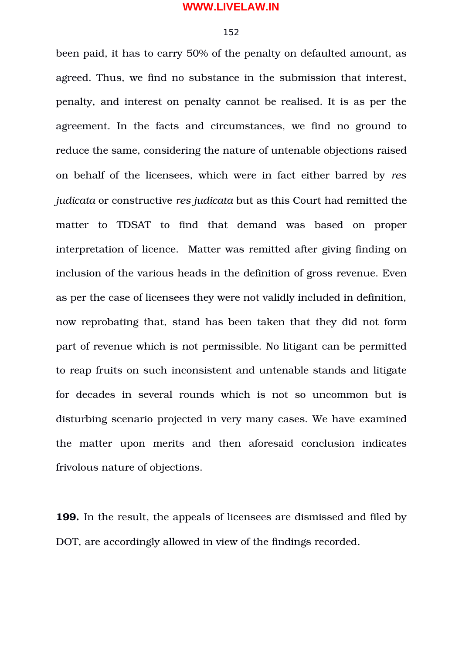#### 152

been paid, it has to carry 50% of the penalty on defaulted amount, as agreed. Thus, we find no substance in the submission that interest, penalty, and interest on penalty cannot be realised. It is as per the agreement. In the facts and circumstances, we find no ground to reduce the same, considering the nature of untenable objections raised on behalf of the licensees, which were in fact either barred by *res judicata* or constructive *res judicata* but as this Court had remitted the matter to TDSAT to find that demand was based on proper interpretation of licence. Matter was remitted after giving finding on inclusion of the various heads in the definition of gross revenue. Even as per the case of licensees they were not validly included in definition, now reprobating that, stand has been taken that they did not form part of revenue which is not permissible. No litigant can be permitted to reap fruits on such inconsistent and untenable stands and litigate for decades in several rounds which is not so uncommon but is disturbing scenario projected in very many cases. We have examined the matter upon merits and then aforesaid conclusion indicates frivolous nature of objections.

**199.** In the result, the appeals of licensees are dismissed and filed by DOT, are accordingly allowed in view of the findings recorded.